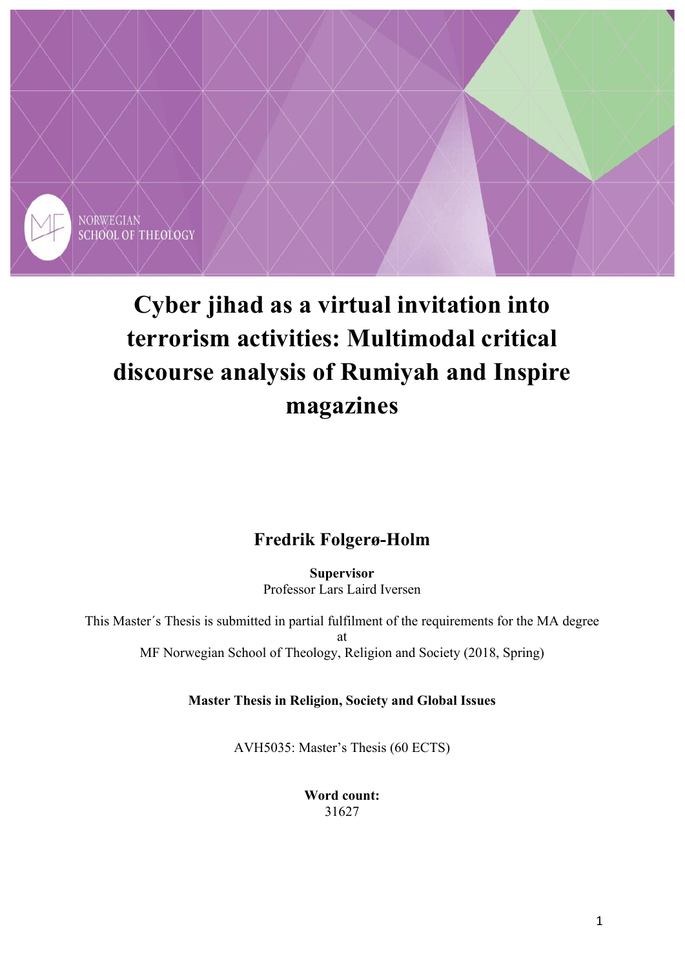

# **Cyber jihad as a virtual invitation into terrorism activities: Multimodal critical discourse analysis of Rumiyah and Inspire magazines**

## **Fredrik Folgerø-Holm**

**Supervisor**  Professor Lars Laird Iversen

This Master´s Thesis is submitted in partial fulfilment of the requirements for the MA degree at MF Norwegian School of Theology, Religion and Society (2018, Spring)

**Master Thesis in Religion, Society and Global Issues** 

AVH5035: Master's Thesis (60 ECTS)

**Word count:**  31627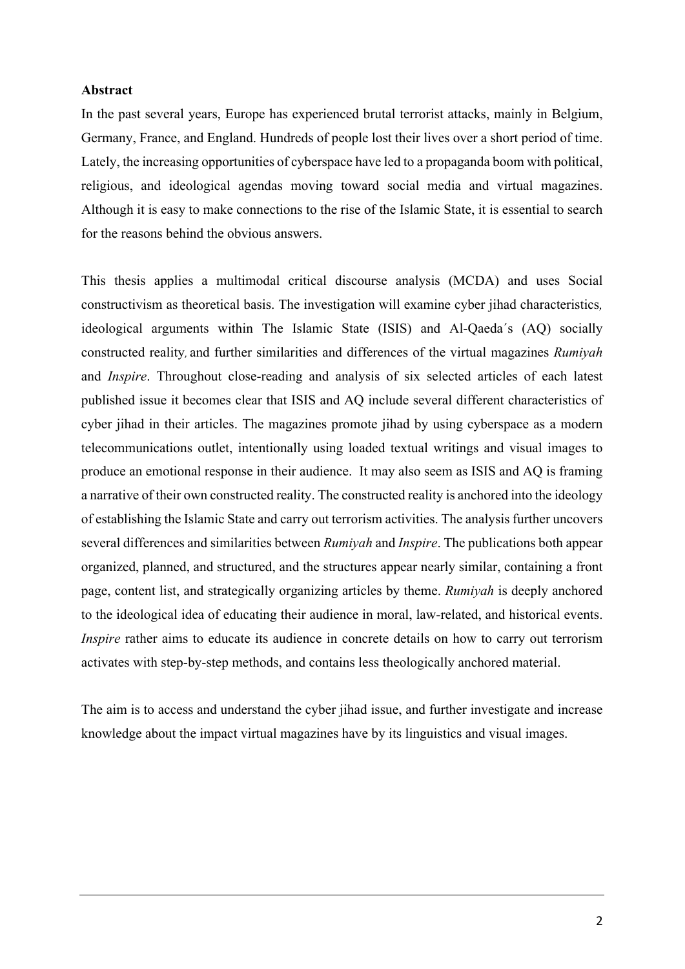### **Abstract**

In the past several years, Europe has experienced brutal terrorist attacks, mainly in Belgium, Germany, France, and England. Hundreds of people lost their lives over a short period of time. Lately, the increasing opportunities of cyberspace have led to a propaganda boom with political, religious, and ideological agendas moving toward social media and virtual magazines. Although it is easy to make connections to the rise of the Islamic State, it is essential to search for the reasons behind the obvious answers.

This thesis applies a multimodal critical discourse analysis (MCDA) and uses Social constructivism as theoretical basis. The investigation will examine cyber jihad characteristics*,* ideological arguments within The Islamic State (ISIS) and Al-Qaeda´s (AQ) socially constructed reality, and further similarities and differences of the virtual magazines *Rumiyah* and *Inspire*. Throughout close-reading and analysis of six selected articles of each latest published issue it becomes clear that ISIS and AQ include several different characteristics of cyber jihad in their articles. The magazines promote jihad by using cyberspace as a modern telecommunications outlet, intentionally using loaded textual writings and visual images to produce an emotional response in their audience. It may also seem as ISIS and AQ is framing a narrative of their own constructed reality. The constructed reality is anchored into the ideology of establishing the Islamic State and carry out terrorism activities. The analysis further uncovers several differences and similarities between *Rumiyah* and *Inspire*. The publications both appear organized, planned, and structured, and the structures appear nearly similar, containing a front page, content list, and strategically organizing articles by theme. *Rumiyah* is deeply anchored to the ideological idea of educating their audience in moral, law-related, and historical events. *Inspire* rather aims to educate its audience in concrete details on how to carry out terrorism activates with step-by-step methods, and contains less theologically anchored material.

The aim is to access and understand the cyber jihad issue, and further investigate and increase knowledge about the impact virtual magazines have by its linguistics and visual images.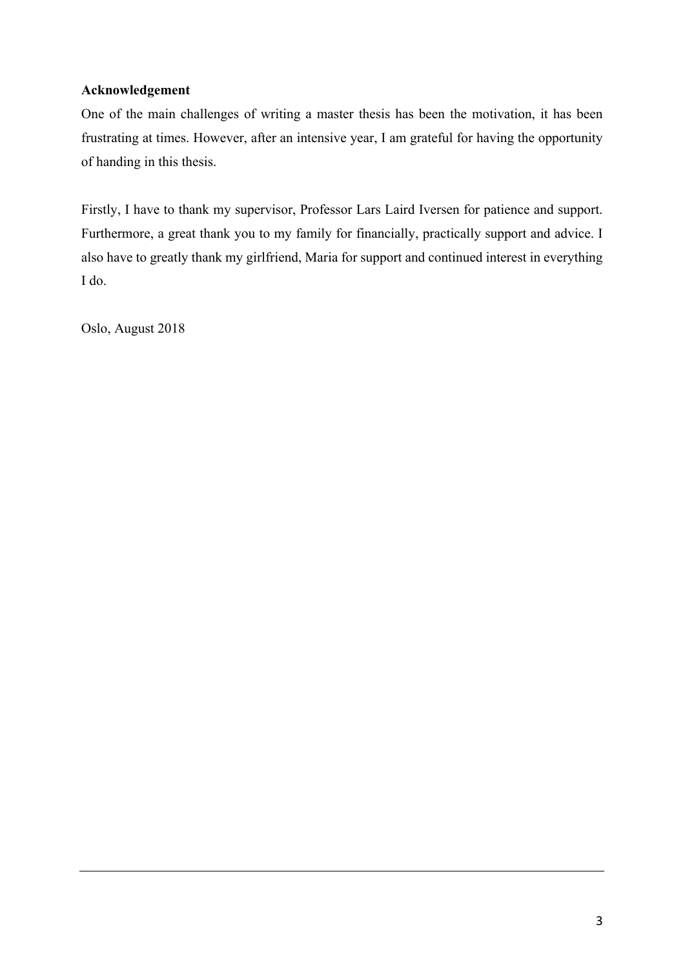### **Acknowledgement**

One of the main challenges of writing a master thesis has been the motivation, it has been frustrating at times. However, after an intensive year, I am grateful for having the opportunity of handing in this thesis.

Firstly, I have to thank my supervisor, Professor Lars Laird Iversen for patience and support. Furthermore, a great thank you to my family for financially, practically support and advice. I also have to greatly thank my girlfriend, Maria for support and continued interest in everything I do.

Oslo, August 2018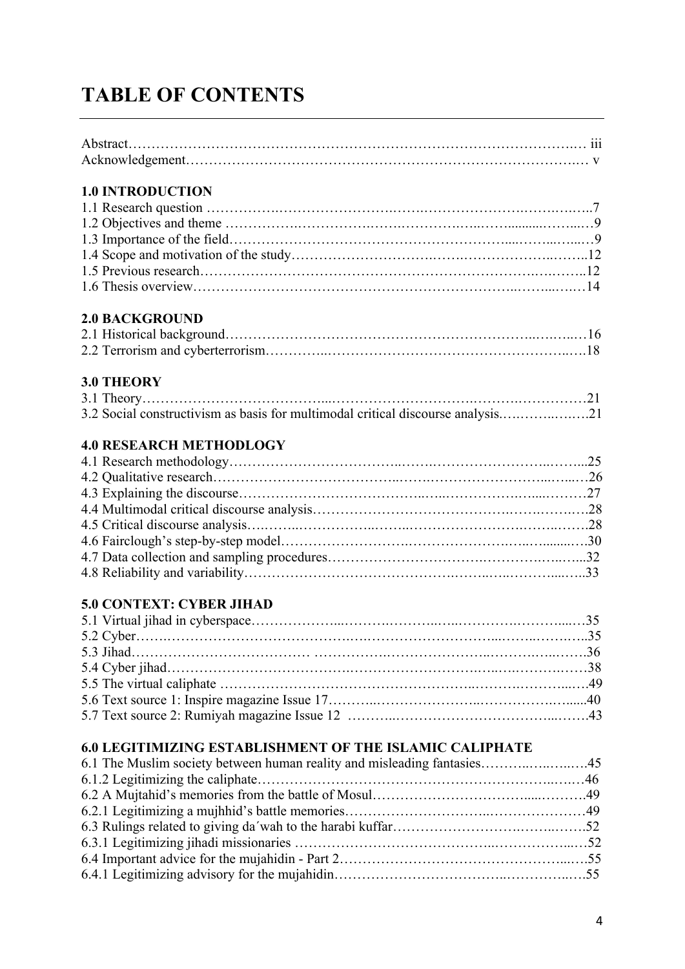# **TABLE OF CONTENTS**

| <b>1.0 INTRODUCTION</b>                                                         |  |
|---------------------------------------------------------------------------------|--|
|                                                                                 |  |
|                                                                                 |  |
|                                                                                 |  |
|                                                                                 |  |
|                                                                                 |  |
|                                                                                 |  |
|                                                                                 |  |
| <b>2.0 BACKGROUND</b>                                                           |  |
|                                                                                 |  |
|                                                                                 |  |
| <b>3.0 THEORY</b>                                                               |  |
|                                                                                 |  |
| 3.2 Social constructivism as basis for multimodal critical discourse analysis21 |  |
|                                                                                 |  |
| <b>4.0 RESEARCH METHODLOGY</b>                                                  |  |
|                                                                                 |  |
|                                                                                 |  |
|                                                                                 |  |
|                                                                                 |  |
|                                                                                 |  |
|                                                                                 |  |
|                                                                                 |  |
|                                                                                 |  |
| <b>5.0 CONTEXT: CYBER JIHAD</b>                                                 |  |
|                                                                                 |  |
|                                                                                 |  |
|                                                                                 |  |
|                                                                                 |  |
|                                                                                 |  |
|                                                                                 |  |
|                                                                                 |  |
|                                                                                 |  |
| <b>6.0 LEGITIMIZING ESTABLISHMENT OF THE ISLAMIC CALIPHATE</b>                  |  |
| 6.1 The Muslim society between human reality and misleading fantasies45         |  |
|                                                                                 |  |
|                                                                                 |  |
|                                                                                 |  |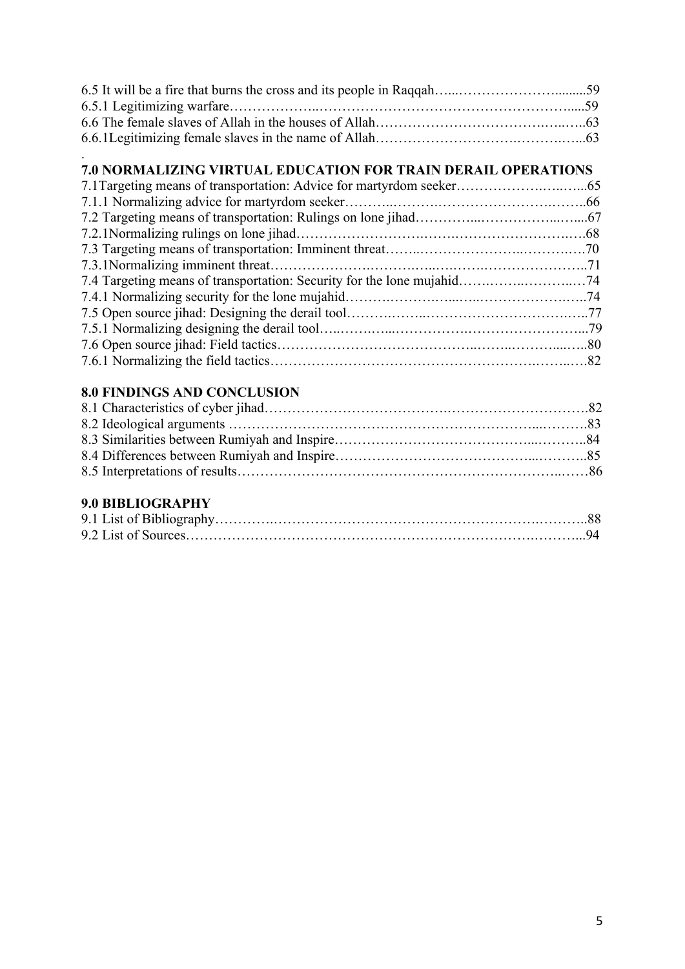### . **7.0 NORMALIZING VIRTUAL EDUCATION FOR TRAIN DERAIL OPERATIONS**

### **8.0 FINDINGS AND CONCLUSION**

### **9.0 BIBLIOGRAPHY**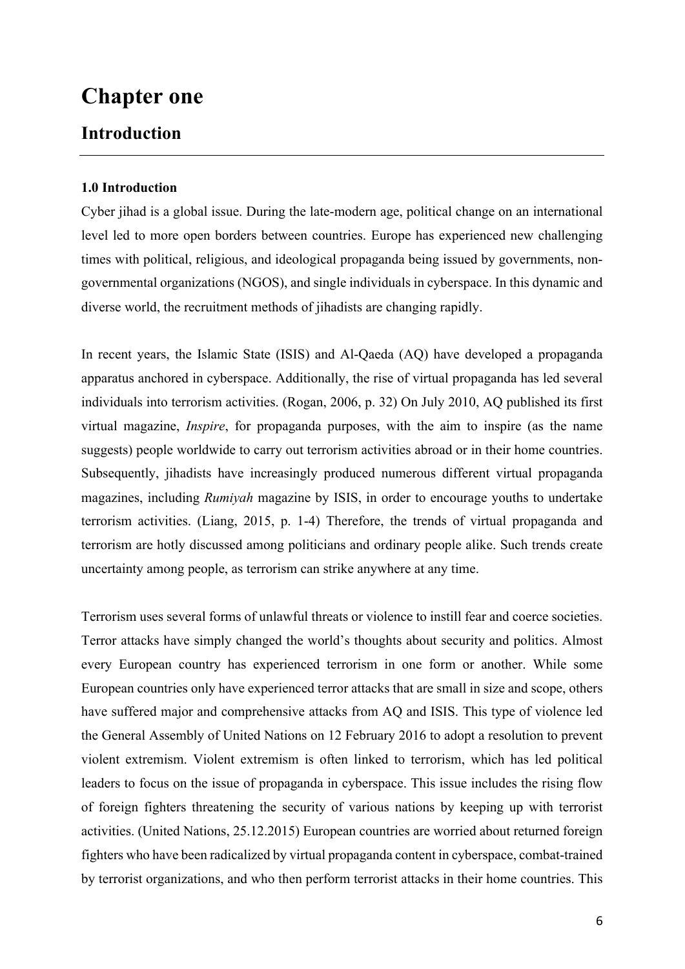# **Chapter one**

### **Introduction**

### **1.0 Introduction**

Cyber jihad is a global issue. During the late-modern age, political change on an international level led to more open borders between countries. Europe has experienced new challenging times with political, religious, and ideological propaganda being issued by governments, nongovernmental organizations (NGOS), and single individuals in cyberspace. In this dynamic and diverse world, the recruitment methods of jihadists are changing rapidly.

In recent years, the Islamic State (ISIS) and Al-Qaeda (AQ) have developed a propaganda apparatus anchored in cyberspace. Additionally, the rise of virtual propaganda has led several individuals into terrorism activities. (Rogan, 2006, p. 32) On July 2010, AQ published its first virtual magazine, *Inspire*, for propaganda purposes, with the aim to inspire (as the name suggests) people worldwide to carry out terrorism activities abroad or in their home countries. Subsequently, jihadists have increasingly produced numerous different virtual propaganda magazines, including *Rumiyah* magazine by ISIS, in order to encourage youths to undertake terrorism activities. (Liang, 2015, p. 1-4) Therefore, the trends of virtual propaganda and terrorism are hotly discussed among politicians and ordinary people alike. Such trends create uncertainty among people, as terrorism can strike anywhere at any time.

Terrorism uses several forms of unlawful threats or violence to instill fear and coerce societies. Terror attacks have simply changed the world's thoughts about security and politics. Almost every European country has experienced terrorism in one form or another. While some European countries only have experienced terror attacks that are small in size and scope, others have suffered major and comprehensive attacks from AQ and ISIS. This type of violence led the General Assembly of United Nations on 12 February 2016 to adopt a resolution to prevent violent extremism. Violent extremism is often linked to terrorism, which has led political leaders to focus on the issue of propaganda in cyberspace. This issue includes the rising flow of foreign fighters threatening the security of various nations by keeping up with terrorist activities. (United Nations, 25.12.2015) European countries are worried about returned foreign fighters who have been radicalized by virtual propaganda content in cyberspace, combat-trained by terrorist organizations, and who then perform terrorist attacks in their home countries. This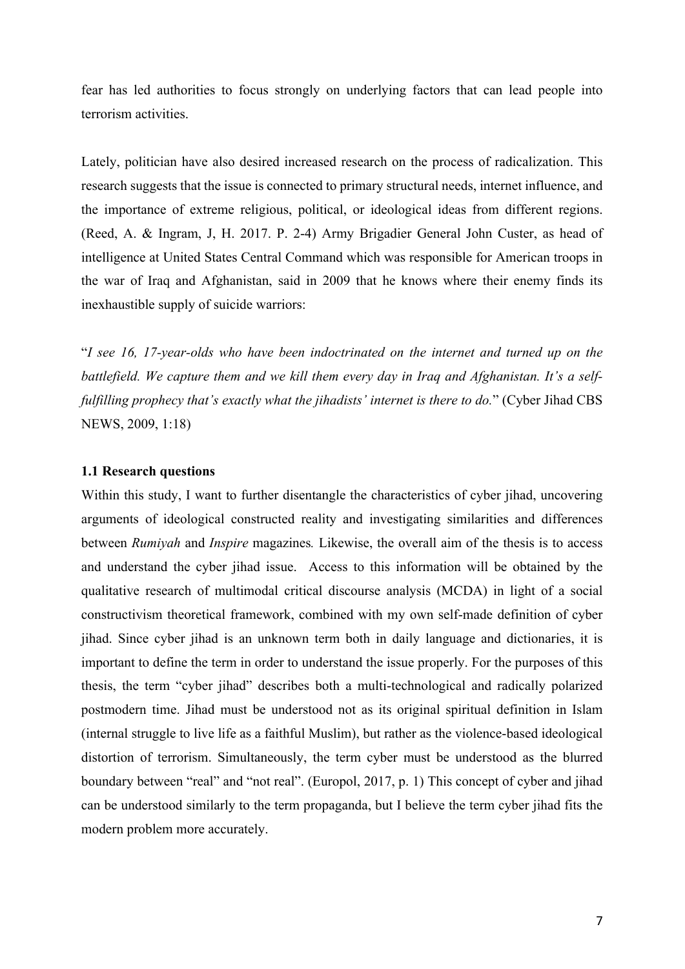fear has led authorities to focus strongly on underlying factors that can lead people into terrorism activities.

Lately, politician have also desired increased research on the process of radicalization. This research suggests that the issue is connected to primary structural needs, internet influence, and the importance of extreme religious, political, or ideological ideas from different regions. (Reed, A. & Ingram, J, H. 2017. P. 2-4) Army Brigadier General John Custer, as head of intelligence at United States Central Command which was responsible for American troops in the war of Iraq and Afghanistan, said in 2009 that he knows where their enemy finds its inexhaustible supply of suicide warriors:

"*I see 16, 17-year-olds who have been indoctrinated on the internet and turned up on the battlefield. We capture them and we kill them every day in Iraq and Afghanistan. It's a selffulfilling prophecy that's exactly what the jihadists' internet is there to do.*" (Cyber Jihad CBS NEWS, 2009, 1:18)

### **1.1 Research questions**

Within this study, I want to further disentangle the characteristics of cyber jihad, uncovering arguments of ideological constructed reality and investigating similarities and differences between *Rumiyah* and *Inspire* magazines*.* Likewise, the overall aim of the thesis is to access and understand the cyber jihad issue. Access to this information will be obtained by the qualitative research of multimodal critical discourse analysis (MCDA) in light of a social constructivism theoretical framework, combined with my own self-made definition of cyber jihad. Since cyber jihad is an unknown term both in daily language and dictionaries, it is important to define the term in order to understand the issue properly. For the purposes of this thesis, the term "cyber jihad" describes both a multi-technological and radically polarized postmodern time. Jihad must be understood not as its original spiritual definition in Islam (internal struggle to live life as a faithful Muslim), but rather as the violence-based ideological distortion of terrorism. Simultaneously, the term cyber must be understood as the blurred boundary between "real" and "not real". (Europol, 2017, p. 1) This concept of cyber and jihad can be understood similarly to the term propaganda, but I believe the term cyber jihad fits the modern problem more accurately.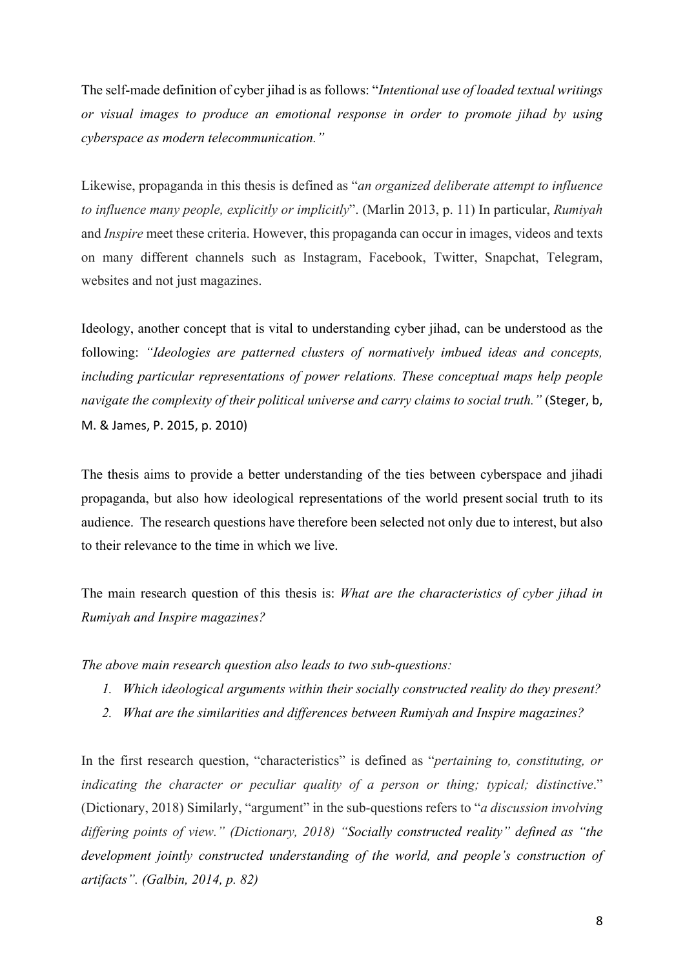The self-made definition of cyber jihad is as follows: "*Intentional use of loaded textual writings or visual images to produce an emotional response in order to promote jihad by using cyberspace as modern telecommunication."* 

Likewise, propaganda in this thesis is defined as "*an organized deliberate attempt to influence to influence many people, explicitly or implicitly*". (Marlin 2013, p. 11) In particular, *Rumiyah* and *Inspire* meet these criteria. However, this propaganda can occur in images, videos and texts on many different channels such as Instagram, Facebook, Twitter, Snapchat, Telegram, websites and not just magazines.

Ideology, another concept that is vital to understanding cyber jihad, can be understood as the following: *"Ideologies are patterned clusters of normatively imbued ideas and concepts, including particular representations of power relations. These conceptual maps help people navigate the complexity of their political universe and carry claims to social truth.*" (Steger, b, M. & James, P. 2015, p. 2010) 

The thesis aims to provide a better understanding of the ties between cyberspace and jihadi propaganda, but also how ideological representations of the world present social truth to its audience. The research questions have therefore been selected not only due to interest, but also to their relevance to the time in which we live.

The main research question of this thesis is: *What are the characteristics of cyber jihad in Rumiyah and Inspire magazines?* 

*The above main research question also leads to two sub-questions:* 

- *1. Which ideological arguments within their socially constructed reality do they present?*
- *2. What are the similarities and differences between Rumiyah and Inspire magazines?*

In the first research question, "characteristics" is defined as "*pertaining to, constituting, or indicating the character or peculiar quality of a person or thing; typical; distinctive*." (Dictionary, 2018) Similarly, "argument" in the sub-questions refers to "*a discussion involving differing points of view." (Dictionary, 2018) "Socially constructed reality" defined as "the development jointly constructed understanding of the world, and people's construction of artifacts". (Galbin, 2014, p. 82)*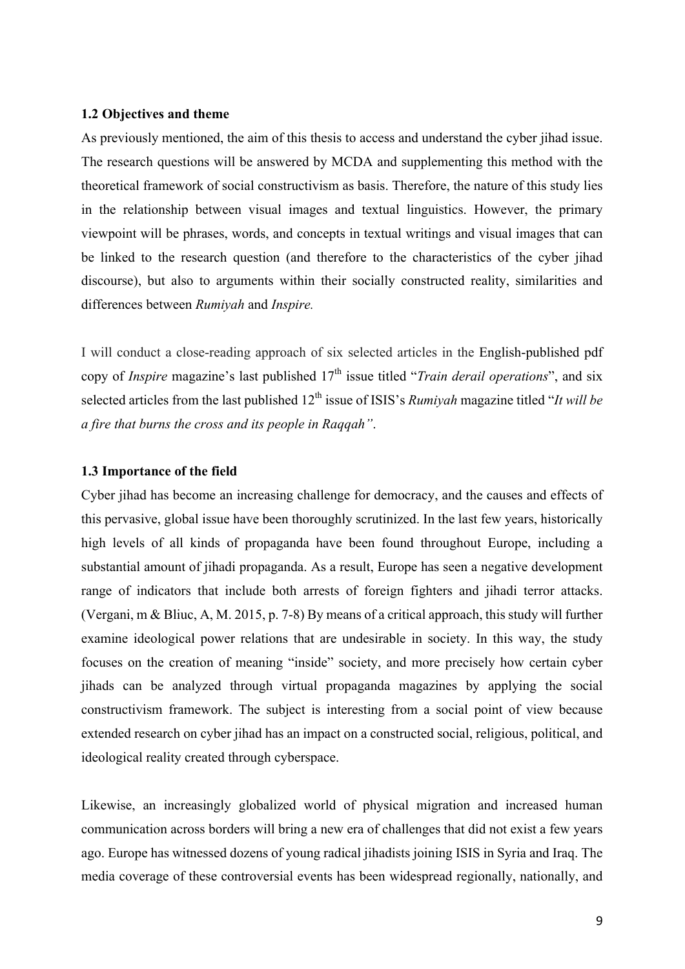### **1.2 Objectives and theme**

As previously mentioned, the aim of this thesis to access and understand the cyber jihad issue. The research questions will be answered by MCDA and supplementing this method with the theoretical framework of social constructivism as basis. Therefore, the nature of this study lies in the relationship between visual images and textual linguistics. However, the primary viewpoint will be phrases, words, and concepts in textual writings and visual images that can be linked to the research question (and therefore to the characteristics of the cyber jihad discourse), but also to arguments within their socially constructed reality, similarities and differences between *Rumiyah* and *Inspire.*

I will conduct a close-reading approach of six selected articles in the English-published pdf copy of *Inspire* magazine's last published  $17<sup>th</sup>$  issue titled "*Train derail operations*", and six selected articles from the last published 12<sup>th</sup> issue of ISIS's *Rumiyah* magazine titled "*It will be a fire that burns the cross and its people in Raqqah"*.

### **1.3 Importance of the field**

Cyber jihad has become an increasing challenge for democracy, and the causes and effects of this pervasive, global issue have been thoroughly scrutinized. In the last few years, historically high levels of all kinds of propaganda have been found throughout Europe, including a substantial amount of jihadi propaganda. As a result, Europe has seen a negative development range of indicators that include both arrests of foreign fighters and jihadi terror attacks. (Vergani, m & Bliuc, A, M. 2015, p. 7-8) By means of a critical approach, this study will further examine ideological power relations that are undesirable in society. In this way, the study focuses on the creation of meaning "inside" society, and more precisely how certain cyber jihads can be analyzed through virtual propaganda magazines by applying the social constructivism framework. The subject is interesting from a social point of view because extended research on cyber jihad has an impact on a constructed social, religious, political, and ideological reality created through cyberspace.

Likewise, an increasingly globalized world of physical migration and increased human communication across borders will bring a new era of challenges that did not exist a few years ago. Europe has witnessed dozens of young radical jihadists joining ISIS in Syria and Iraq. The media coverage of these controversial events has been widespread regionally, nationally, and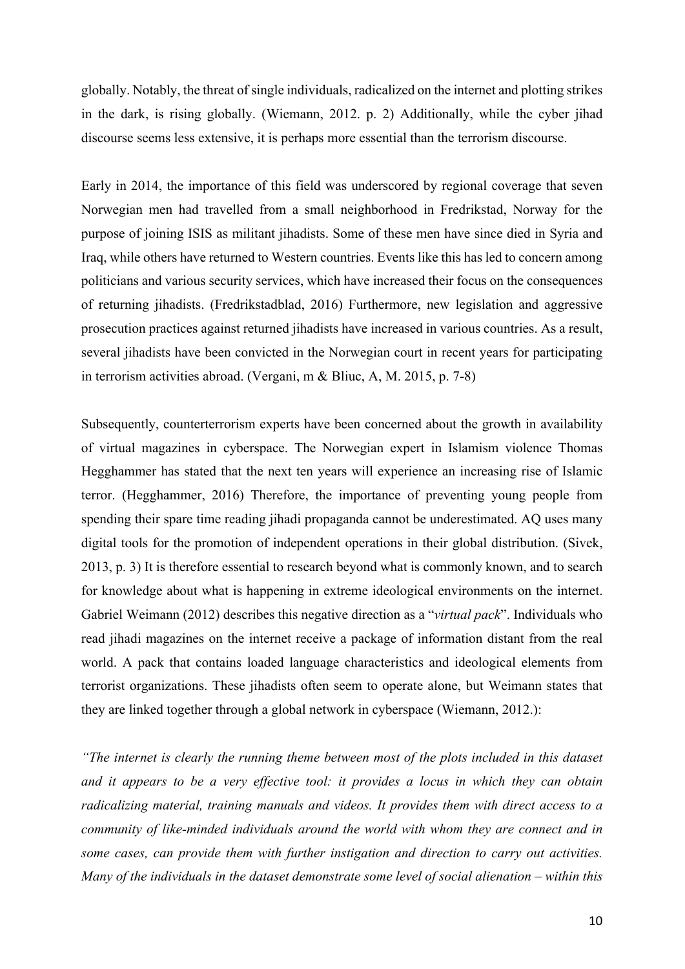globally. Notably, the threat of single individuals, radicalized on the internet and plotting strikes in the dark, is rising globally. (Wiemann, 2012. p. 2) Additionally, while the cyber jihad discourse seems less extensive, it is perhaps more essential than the terrorism discourse.

Early in 2014, the importance of this field was underscored by regional coverage that seven Norwegian men had travelled from a small neighborhood in Fredrikstad, Norway for the purpose of joining ISIS as militant jihadists. Some of these men have since died in Syria and Iraq, while others have returned to Western countries. Events like this has led to concern among politicians and various security services, which have increased their focus on the consequences of returning jihadists. (Fredrikstadblad, 2016) Furthermore, new legislation and aggressive prosecution practices against returned jihadists have increased in various countries. As a result, several jihadists have been convicted in the Norwegian court in recent years for participating in terrorism activities abroad. (Vergani, m & Bliuc, A, M. 2015, p. 7-8)

Subsequently, counterterrorism experts have been concerned about the growth in availability of virtual magazines in cyberspace. The Norwegian expert in Islamism violence Thomas Hegghammer has stated that the next ten years will experience an increasing rise of Islamic terror. (Hegghammer, 2016) Therefore, the importance of preventing young people from spending their spare time reading jihadi propaganda cannot be underestimated. AQ uses many digital tools for the promotion of independent operations in their global distribution. (Sivek, 2013, p. 3) It is therefore essential to research beyond what is commonly known, and to search for knowledge about what is happening in extreme ideological environments on the internet. Gabriel Weimann (2012) describes this negative direction as a "*virtual pack*". Individuals who read jihadi magazines on the internet receive a package of information distant from the real world. A pack that contains loaded language characteristics and ideological elements from terrorist organizations. These jihadists often seem to operate alone, but Weimann states that they are linked together through a global network in cyberspace (Wiemann, 2012.):

*"The internet is clearly the running theme between most of the plots included in this dataset and it appears to be a very effective tool: it provides a locus in which they can obtain radicalizing material, training manuals and videos. It provides them with direct access to a community of like-minded individuals around the world with whom they are connect and in some cases, can provide them with further instigation and direction to carry out activities. Many of the individuals in the dataset demonstrate some level of social alienation – within this*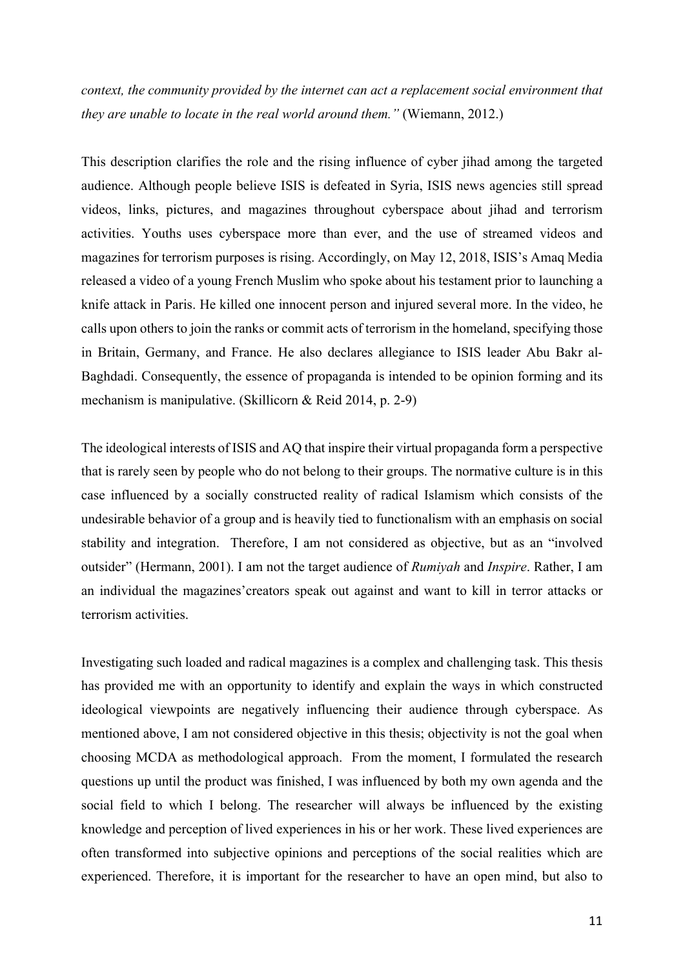*context, the community provided by the internet can act a replacement social environment that they are unable to locate in the real world around them."* (Wiemann, 2012.)

This description clarifies the role and the rising influence of cyber jihad among the targeted audience. Although people believe ISIS is defeated in Syria, ISIS news agencies still spread videos, links, pictures, and magazines throughout cyberspace about jihad and terrorism activities. Youths uses cyberspace more than ever, and the use of streamed videos and magazines for terrorism purposes is rising. Accordingly, on May 12, 2018, ISIS's Amaq Media released a video of a young French Muslim who spoke about his testament prior to launching a knife attack in Paris. He killed one innocent person and injured several more. In the video, he calls upon others to join the ranks or commit acts of terrorism in the homeland, specifying those in Britain, Germany, and France. He also declares allegiance to ISIS leader Abu Bakr al-Baghdadi. Consequently, the essence of propaganda is intended to be opinion forming and its mechanism is manipulative. (Skillicorn & Reid 2014, p. 2-9)

The ideological interests of ISIS and AQ that inspire their virtual propaganda form a perspective that is rarely seen by people who do not belong to their groups. The normative culture is in this case influenced by a socially constructed reality of radical Islamism which consists of the undesirable behavior of a group and is heavily tied to functionalism with an emphasis on social stability and integration. Therefore, I am not considered as objective, but as an "involved outsider" (Hermann, 2001). I am not the target audience of *Rumiyah* and *Inspire*. Rather, I am an individual the magazines'creators speak out against and want to kill in terror attacks or terrorism activities.

Investigating such loaded and radical magazines is a complex and challenging task. This thesis has provided me with an opportunity to identify and explain the ways in which constructed ideological viewpoints are negatively influencing their audience through cyberspace. As mentioned above, I am not considered objective in this thesis; objectivity is not the goal when choosing MCDA as methodological approach. From the moment, I formulated the research questions up until the product was finished, I was influenced by both my own agenda and the social field to which I belong. The researcher will always be influenced by the existing knowledge and perception of lived experiences in his or her work. These lived experiences are often transformed into subjective opinions and perceptions of the social realities which are experienced. Therefore, it is important for the researcher to have an open mind, but also to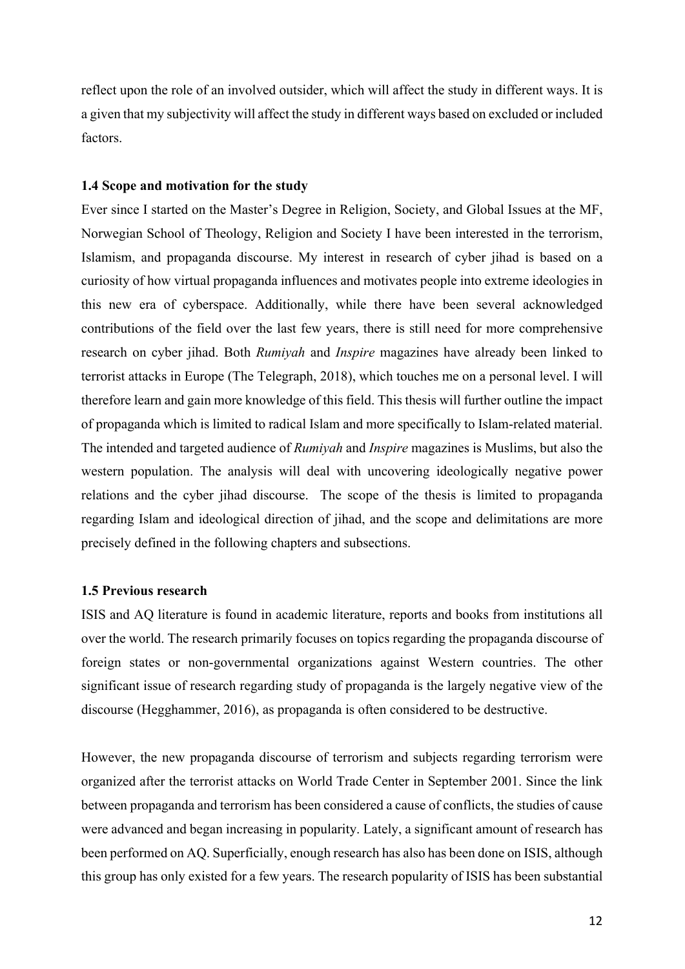reflect upon the role of an involved outsider, which will affect the study in different ways. It is a given that my subjectivity will affect the study in different ways based on excluded or included factors.

### **1.4 Scope and motivation for the study**

Ever since I started on the Master's Degree in Religion, Society, and Global Issues at the MF, Norwegian School of Theology, Religion and Society I have been interested in the terrorism, Islamism, and propaganda discourse. My interest in research of cyber jihad is based on a curiosity of how virtual propaganda influences and motivates people into extreme ideologies in this new era of cyberspace. Additionally, while there have been several acknowledged contributions of the field over the last few years, there is still need for more comprehensive research on cyber jihad. Both *Rumiyah* and *Inspire* magazines have already been linked to terrorist attacks in Europe (The Telegraph, 2018), which touches me on a personal level. I will therefore learn and gain more knowledge of this field. This thesis will further outline the impact of propaganda which is limited to radical Islam and more specifically to Islam-related material. The intended and targeted audience of *Rumiyah* and *Inspire* magazines is Muslims, but also the western population. The analysis will deal with uncovering ideologically negative power relations and the cyber jihad discourse. The scope of the thesis is limited to propaganda regarding Islam and ideological direction of jihad, and the scope and delimitations are more precisely defined in the following chapters and subsections.

### **1.5 Previous research**

ISIS and AQ literature is found in academic literature, reports and books from institutions all over the world. The research primarily focuses on topics regarding the propaganda discourse of foreign states or non-governmental organizations against Western countries. The other significant issue of research regarding study of propaganda is the largely negative view of the discourse (Hegghammer, 2016), as propaganda is often considered to be destructive.

However, the new propaganda discourse of terrorism and subjects regarding terrorism were organized after the terrorist attacks on World Trade Center in September 2001. Since the link between propaganda and terrorism has been considered a cause of conflicts, the studies of cause were advanced and began increasing in popularity. Lately, a significant amount of research has been performed on AQ. Superficially, enough research has also has been done on ISIS, although this group has only existed for a few years. The research popularity of ISIS has been substantial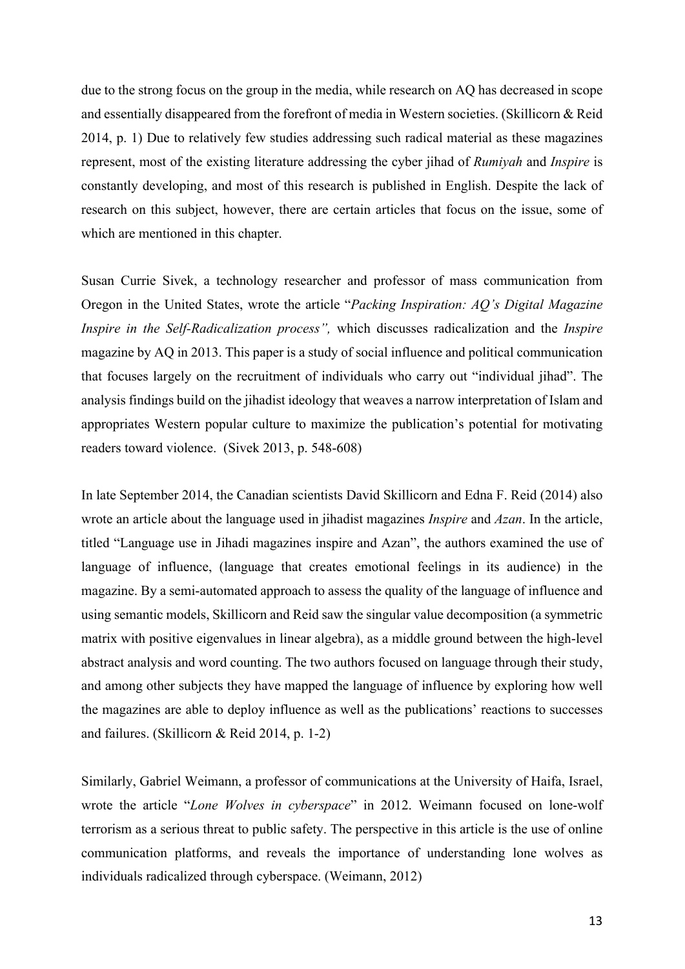due to the strong focus on the group in the media, while research on AQ has decreased in scope and essentially disappeared from the forefront of media in Western societies. (Skillicorn & Reid 2014, p. 1) Due to relatively few studies addressing such radical material as these magazines represent, most of the existing literature addressing the cyber jihad of *Rumiyah* and *Inspire* is constantly developing, and most of this research is published in English. Despite the lack of research on this subject, however, there are certain articles that focus on the issue, some of which are mentioned in this chapter.

Susan Currie Sivek, a technology researcher and professor of mass communication from Oregon in the United States, wrote the article "*Packing Inspiration: AQ's Digital Magazine Inspire in the Self-Radicalization process",* which discusses radicalization and the *Inspire* magazine by AQ in 2013. This paper is a study of social influence and political communication that focuses largely on the recruitment of individuals who carry out "individual jihad". The analysis findings build on the jihadist ideology that weaves a narrow interpretation of Islam and appropriates Western popular culture to maximize the publication's potential for motivating readers toward violence. (Sivek 2013, p. 548-608)

In late September 2014, the Canadian scientists David Skillicorn and Edna F. Reid (2014) also wrote an article about the language used in jihadist magazines *Inspire* and *Azan*. In the article, titled "Language use in Jihadi magazines inspire and Azan", the authors examined the use of language of influence, (language that creates emotional feelings in its audience) in the magazine. By a semi-automated approach to assess the quality of the language of influence and using semantic models, Skillicorn and Reid saw the singular value decomposition (a symmetric matrix with positive eigenvalues in linear algebra), as a middle ground between the high-level abstract analysis and word counting. The two authors focused on language through their study, and among other subjects they have mapped the language of influence by exploring how well the magazines are able to deploy influence as well as the publications' reactions to successes and failures. (Skillicorn & Reid 2014, p. 1-2)

Similarly, Gabriel Weimann, a professor of communications at the University of Haifa, Israel, wrote the article "*Lone Wolves in cyberspace*" in 2012. Weimann focused on lone-wolf terrorism as a serious threat to public safety. The perspective in this article is the use of online communication platforms, and reveals the importance of understanding lone wolves as individuals radicalized through cyberspace. (Weimann, 2012)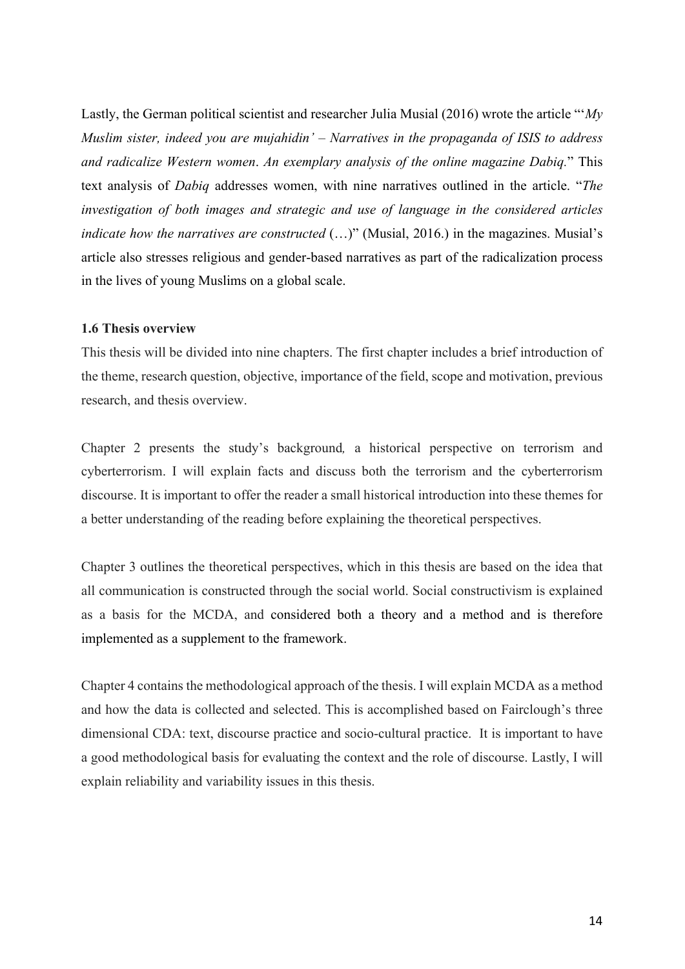Lastly, the German political scientist and researcher Julia Musial (2016) wrote the article "'*My Muslim sister, indeed you are mujahidin' – Narratives in the propaganda of ISIS to address and radicalize Western women*. *An exemplary analysis of the online magazine Dabiq.*" This text analysis of *Dabiq* addresses women, with nine narratives outlined in the article. "*The investigation of both images and strategic and use of language in the considered articles indicate how the narratives are constructed* (...)" (Musial, 2016.) in the magazines. Musial's article also stresses religious and gender-based narratives as part of the radicalization process in the lives of young Muslims on a global scale.

#### **1.6 Thesis overview**

This thesis will be divided into nine chapters. The first chapter includes a brief introduction of the theme, research question, objective, importance of the field, scope and motivation, previous research, and thesis overview.

Chapter 2 presents the study's background*,* a historical perspective on terrorism and cyberterrorism. I will explain facts and discuss both the terrorism and the cyberterrorism discourse. It is important to offer the reader a small historical introduction into these themes for a better understanding of the reading before explaining the theoretical perspectives.

Chapter 3 outlines the theoretical perspectives, which in this thesis are based on the idea that all communication is constructed through the social world. Social constructivism is explained as a basis for the MCDA, and considered both a theory and a method and is therefore implemented as a supplement to the framework.

Chapter 4 contains the methodological approach of the thesis. I will explain MCDA as a method and how the data is collected and selected. This is accomplished based on Fairclough's three dimensional CDA: text, discourse practice and socio-cultural practice. It is important to have a good methodological basis for evaluating the context and the role of discourse. Lastly, I will explain reliability and variability issues in this thesis.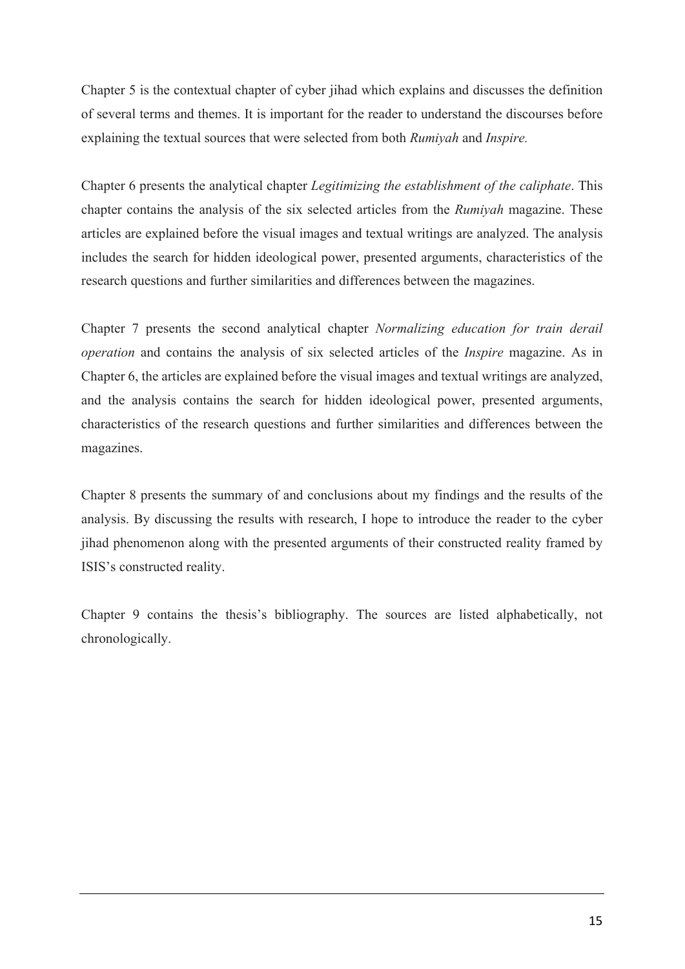Chapter 5 is the contextual chapter of cyber jihad which explains and discusses the definition of several terms and themes. It is important for the reader to understand the discourses before explaining the textual sources that were selected from both *Rumiyah* and *Inspire.*

Chapter 6 presents the analytical chapter *Legitimizing the establishment of the caliphate*. This chapter contains the analysis of the six selected articles from the *Rumiyah* magazine. These articles are explained before the visual images and textual writings are analyzed. The analysis includes the search for hidden ideological power, presented arguments, characteristics of the research questions and further similarities and differences between the magazines.

Chapter 7 presents the second analytical chapter *Normalizing education for train derail operation* and contains the analysis of six selected articles of the *Inspire* magazine. As in Chapter 6, the articles are explained before the visual images and textual writings are analyzed, and the analysis contains the search for hidden ideological power, presented arguments, characteristics of the research questions and further similarities and differences between the magazines.

Chapter 8 presents the summary of and conclusions about my findings and the results of the analysis. By discussing the results with research, I hope to introduce the reader to the cyber jihad phenomenon along with the presented arguments of their constructed reality framed by ISIS's constructed reality.

Chapter 9 contains the thesis's bibliography. The sources are listed alphabetically, not chronologically.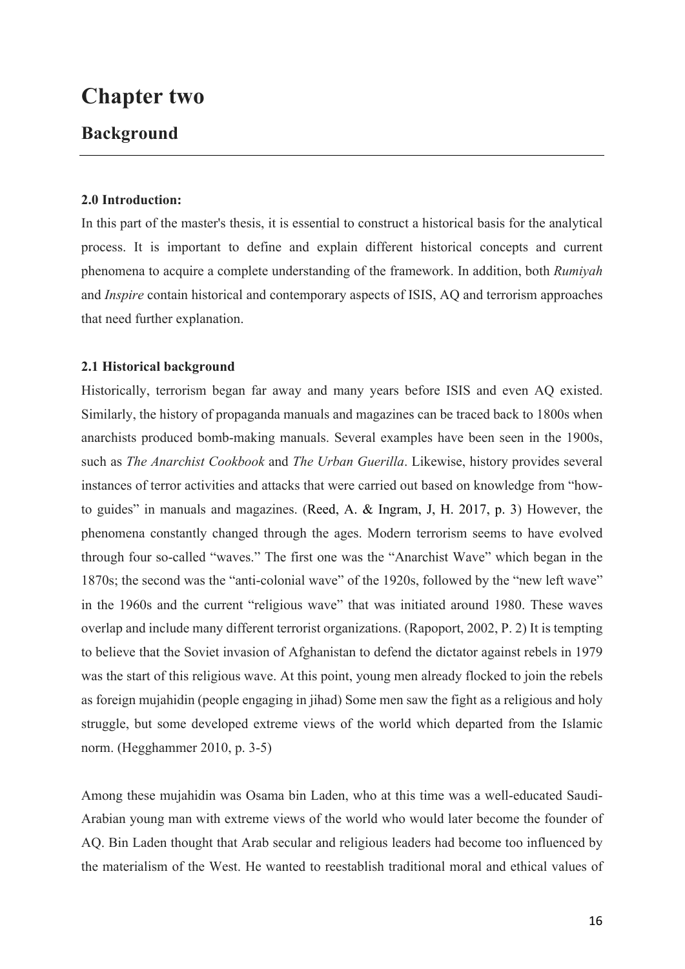# **Chapter two**

### **Background**

### **2.0 Introduction:**

In this part of the master's thesis, it is essential to construct a historical basis for the analytical process. It is important to define and explain different historical concepts and current phenomena to acquire a complete understanding of the framework. In addition, both *Rumiyah*  and *Inspire* contain historical and contemporary aspects of ISIS, AQ and terrorism approaches that need further explanation.

### **2.1 Historical background**

Historically, terrorism began far away and many years before ISIS and even AQ existed. Similarly, the history of propaganda manuals and magazines can be traced back to 1800s when anarchists produced bomb-making manuals. Several examples have been seen in the 1900s, such as *The Anarchist Cookbook* and *The Urban Guerilla*. Likewise, history provides several instances of terror activities and attacks that were carried out based on knowledge from "howto guides" in manuals and magazines. (Reed, A. & Ingram, J, H. 2017, p. 3) However, the phenomena constantly changed through the ages. Modern terrorism seems to have evolved through four so-called "waves." The first one was the "Anarchist Wave" which began in the 1870s; the second was the "anti-colonial wave" of the 1920s, followed by the "new left wave" in the 1960s and the current "religious wave" that was initiated around 1980. These waves overlap and include many different terrorist organizations. (Rapoport, 2002, P. 2) It is tempting to believe that the Soviet invasion of Afghanistan to defend the dictator against rebels in 1979 was the start of this religious wave. At this point, young men already flocked to join the rebels as foreign mujahidin (people engaging in jihad) Some men saw the fight as a religious and holy struggle, but some developed extreme views of the world which departed from the Islamic norm. (Hegghammer 2010, p. 3-5)

Among these mujahidin was Osama bin Laden, who at this time was a well-educated Saudi-Arabian young man with extreme views of the world who would later become the founder of AQ. Bin Laden thought that Arab secular and religious leaders had become too influenced by the materialism of the West. He wanted to reestablish traditional moral and ethical values of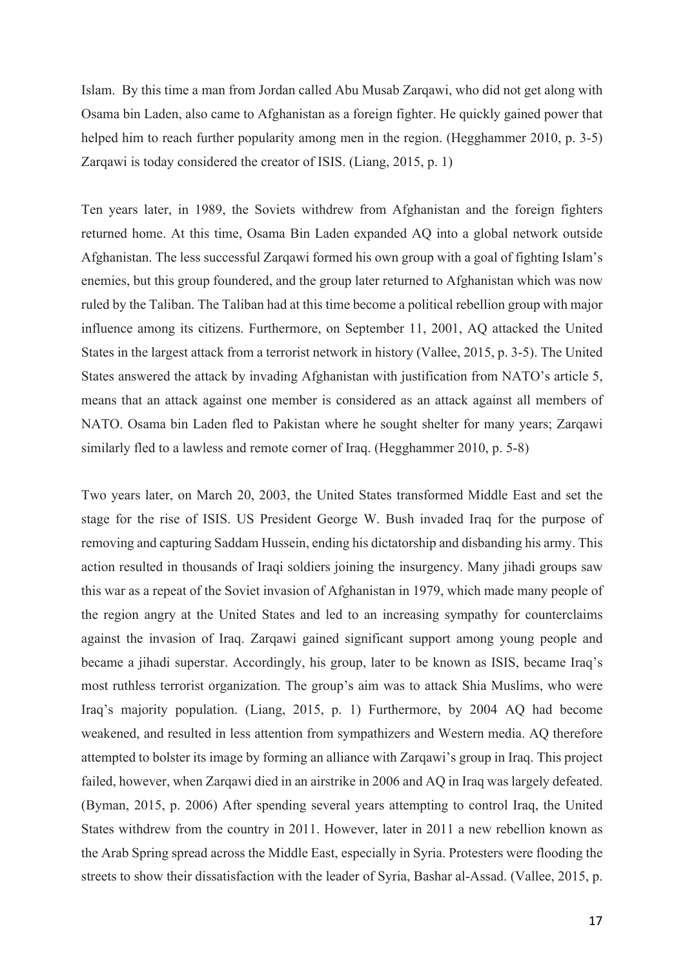Islam. By this time a man from Jordan called Abu Musab Zarqawi, who did not get along with Osama bin Laden, also came to Afghanistan as a foreign fighter. He quickly gained power that helped him to reach further popularity among men in the region. (Hegghammer 2010, p. 3-5) Zarqawi is today considered the creator of ISIS. (Liang, 2015, p. 1)

Ten years later, in 1989, the Soviets withdrew from Afghanistan and the foreign fighters returned home. At this time, Osama Bin Laden expanded AQ into a global network outside Afghanistan. The less successful Zarqawi formed his own group with a goal of fighting Islam's enemies, but this group foundered, and the group later returned to Afghanistan which was now ruled by the Taliban. The Taliban had at this time become a political rebellion group with major influence among its citizens. Furthermore, on September 11, 2001, AQ attacked the United States in the largest attack from a terrorist network in history (Vallee, 2015, p. 3-5). The United States answered the attack by invading Afghanistan with justification from NATO's article 5, means that an attack against one member is considered as an attack against all members of NATO. Osama bin Laden fled to Pakistan where he sought shelter for many years; Zarqawi similarly fled to a lawless and remote corner of Iraq. (Hegghammer 2010, p. 5-8)

Two years later, on March 20, 2003, the United States transformed Middle East and set the stage for the rise of ISIS. US President George W. Bush invaded Iraq for the purpose of removing and capturing Saddam Hussein, ending his dictatorship and disbanding his army. This action resulted in thousands of Iraqi soldiers joining the insurgency. Many jihadi groups saw this war as a repeat of the Soviet invasion of Afghanistan in 1979, which made many people of the region angry at the United States and led to an increasing sympathy for counterclaims against the invasion of Iraq. Zarqawi gained significant support among young people and became a jihadi superstar. Accordingly, his group, later to be known as ISIS, became Iraq's most ruthless terrorist organization. The group's aim was to attack Shia Muslims, who were Iraq's majority population. (Liang, 2015, p. 1) Furthermore, by 2004 AQ had become weakened, and resulted in less attention from sympathizers and Western media. AQ therefore attempted to bolster its image by forming an alliance with Zarqawi's group in Iraq. This project failed, however, when Zarqawi died in an airstrike in 2006 and AQ in Iraq was largely defeated. (Byman, 2015, p. 2006) After spending several years attempting to control Iraq, the United States withdrew from the country in 2011. However, later in 2011 a new rebellion known as the Arab Spring spread across the Middle East, especially in Syria. Protesters were flooding the streets to show their dissatisfaction with the leader of Syria, Bashar al-Assad. (Vallee, 2015, p.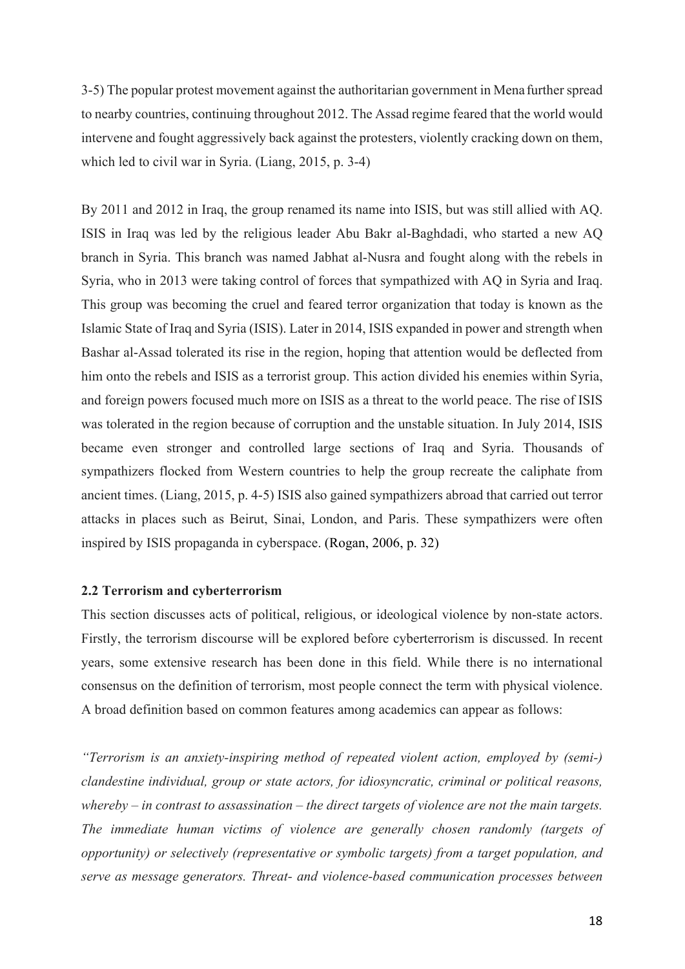3-5) The popular protest movement against the authoritarian government in Mena further spread to nearby countries, continuing throughout 2012. The Assad regime feared that the world would intervene and fought aggressively back against the protesters, violently cracking down on them, which led to civil war in Syria. (Liang, 2015, p. 3-4)

By 2011 and 2012 in Iraq, the group renamed its name into ISIS, but was still allied with AQ. ISIS in Iraq was led by the religious leader Abu Bakr al-Baghdadi, who started a new AQ branch in Syria. This branch was named Jabhat al-Nusra and fought along with the rebels in Syria, who in 2013 were taking control of forces that sympathized with AQ in Syria and Iraq. This group was becoming the cruel and feared terror organization that today is known as the Islamic State of Iraq and Syria (ISIS). Later in 2014, ISIS expanded in power and strength when Bashar al-Assad tolerated its rise in the region, hoping that attention would be deflected from him onto the rebels and ISIS as a terrorist group. This action divided his enemies within Syria, and foreign powers focused much more on ISIS as a threat to the world peace. The rise of ISIS was tolerated in the region because of corruption and the unstable situation. In July 2014, ISIS became even stronger and controlled large sections of Iraq and Syria. Thousands of sympathizers flocked from Western countries to help the group recreate the caliphate from ancient times. (Liang, 2015, p. 4-5) ISIS also gained sympathizers abroad that carried out terror attacks in places such as Beirut, Sinai, London, and Paris. These sympathizers were often inspired by ISIS propaganda in cyberspace. (Rogan, 2006, p. 32)

#### **2.2 Terrorism and cyberterrorism**

This section discusses acts of political, religious, or ideological violence by non-state actors. Firstly, the terrorism discourse will be explored before cyberterrorism is discussed. In recent years, some extensive research has been done in this field. While there is no international consensus on the definition of terrorism, most people connect the term with physical violence. A broad definition based on common features among academics can appear as follows:

*"Terrorism is an anxiety-inspiring method of repeated violent action, employed by (semi-) clandestine individual, group or state actors, for idiosyncratic, criminal or political reasons, whereby – in contrast to assassination – the direct targets of violence are not the main targets. The immediate human victims of violence are generally chosen randomly (targets of opportunity) or selectively (representative or symbolic targets) from a target population, and serve as message generators. Threat- and violence-based communication processes between*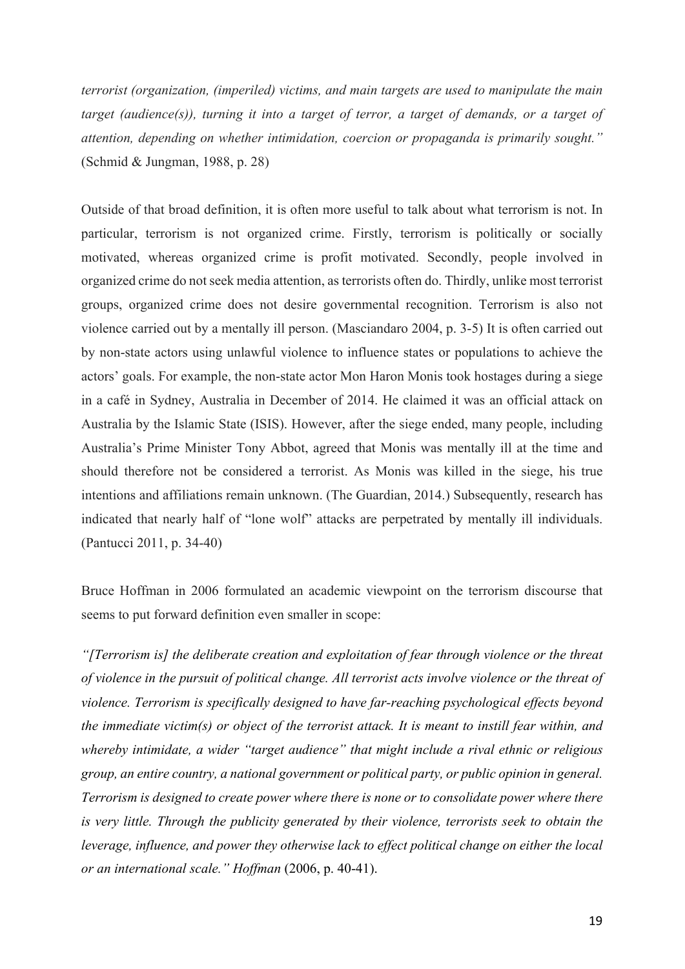*terrorist (organization, (imperiled) victims, and main targets are used to manipulate the main target (audience(s)), turning it into a target of terror, a target of demands, or a target of attention, depending on whether intimidation, coercion or propaganda is primarily sought."* (Schmid & Jungman, 1988, p. 28)

Outside of that broad definition, it is often more useful to talk about what terrorism is not. In particular, terrorism is not organized crime. Firstly, terrorism is politically or socially motivated, whereas organized crime is profit motivated. Secondly, people involved in organized crime do not seek media attention, as terrorists often do. Thirdly, unlike most terrorist groups, organized crime does not desire governmental recognition. Terrorism is also not violence carried out by a mentally ill person. (Masciandaro 2004, p. 3-5) It is often carried out by non-state actors using unlawful violence to influence states or populations to achieve the actors' goals. For example, the non-state actor Mon Haron Monis took hostages during a siege in a café in Sydney, Australia in December of 2014. He claimed it was an official attack on Australia by the Islamic State (ISIS). However, after the siege ended, many people, including Australia's Prime Minister Tony Abbot, agreed that Monis was mentally ill at the time and should therefore not be considered a terrorist. As Monis was killed in the siege, his true intentions and affiliations remain unknown. (The Guardian, 2014.) Subsequently, research has indicated that nearly half of "lone wolf" attacks are perpetrated by mentally ill individuals. (Pantucci 2011, p. 34-40)

Bruce Hoffman in 2006 formulated an academic viewpoint on the terrorism discourse that seems to put forward definition even smaller in scope:

*"[Terrorism is] the deliberate creation and exploitation of fear through violence or the threat of violence in the pursuit of political change. All terrorist acts involve violence or the threat of violence. Terrorism is specifically designed to have far-reaching psychological effects beyond the immediate victim(s) or object of the terrorist attack. It is meant to instill fear within, and whereby intimidate, a wider "target audience" that might include a rival ethnic or religious group, an entire country, a national government or political party, or public opinion in general. Terrorism is designed to create power where there is none or to consolidate power where there is very little. Through the publicity generated by their violence, terrorists seek to obtain the leverage, influence, and power they otherwise lack to effect political change on either the local or an international scale." Hoffman* (2006, p. 40-41).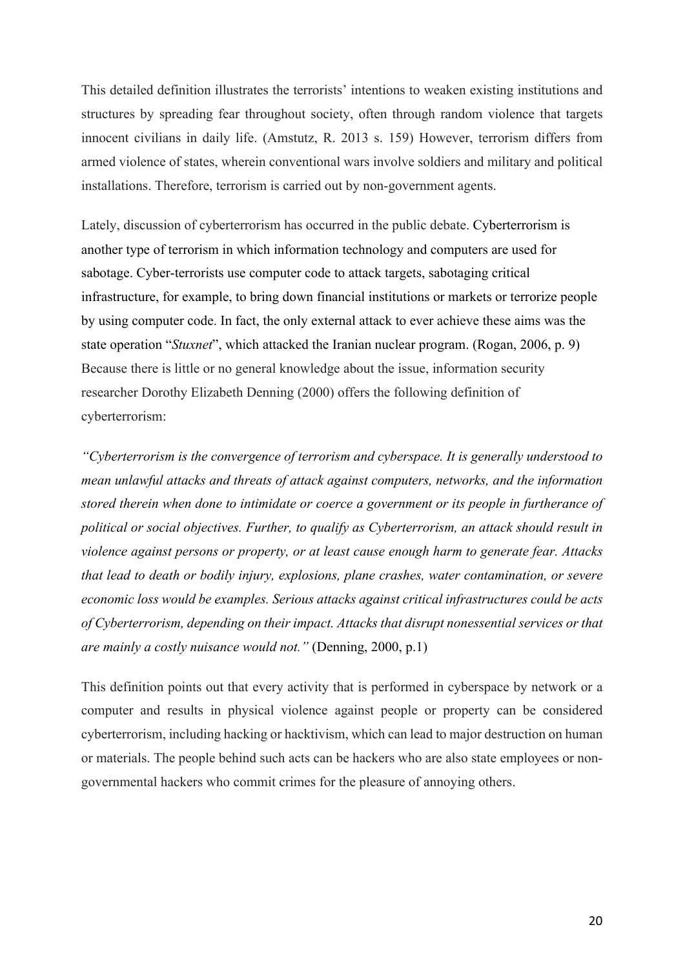This detailed definition illustrates the terrorists' intentions to weaken existing institutions and structures by spreading fear throughout society, often through random violence that targets innocent civilians in daily life. (Amstutz, R. 2013 s. 159) However, terrorism differs from armed violence of states, wherein conventional wars involve soldiers and military and political installations. Therefore, terrorism is carried out by non-government agents.

Lately, discussion of cyberterrorism has occurred in the public debate. Cyberterrorism is another type of terrorism in which information technology and computers are used for sabotage. Cyber-terrorists use computer code to attack targets, sabotaging critical infrastructure, for example, to bring down financial institutions or markets or terrorize people by using computer code. In fact, the only external attack to ever achieve these aims was the state operation "*Stuxnet*", which attacked the Iranian nuclear program. (Rogan, 2006, p. 9) Because there is little or no general knowledge about the issue, information security researcher Dorothy Elizabeth Denning (2000) offers the following definition of cyberterrorism:

*"Cyberterrorism is the convergence of terrorism and cyberspace. It is generally understood to mean unlawful attacks and threats of attack against computers, networks, and the information stored therein when done to intimidate or coerce a government or its people in furtherance of political or social objectives. Further, to qualify as Cyberterrorism, an attack should result in violence against persons or property, or at least cause enough harm to generate fear. Attacks that lead to death or bodily injury, explosions, plane crashes, water contamination, or severe economic loss would be examples. Serious attacks against critical infrastructures could be acts of Cyberterrorism, depending on their impact. Attacks that disrupt nonessential services or that are mainly a costly nuisance would not."* (Denning, 2000, p.1)

This definition points out that every activity that is performed in cyberspace by network or a computer and results in physical violence against people or property can be considered cyberterrorism, including hacking or hacktivism, which can lead to major destruction on human or materials. The people behind such acts can be hackers who are also state employees or nongovernmental hackers who commit crimes for the pleasure of annoying others.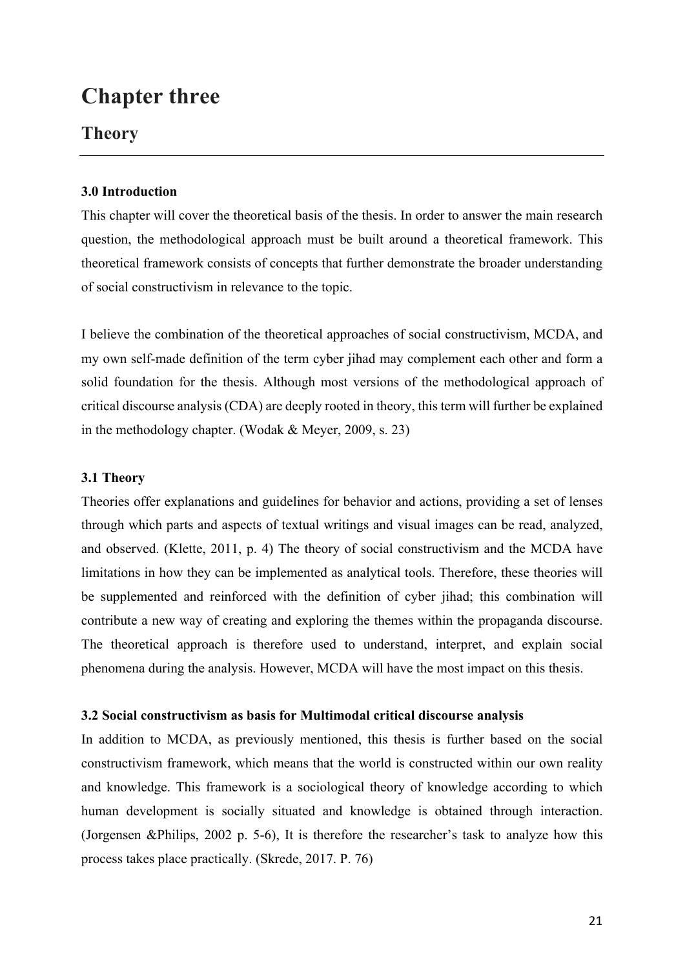# **Chapter three**

### **Theory**

### **3.0 Introduction**

This chapter will cover the theoretical basis of the thesis. In order to answer the main research question, the methodological approach must be built around a theoretical framework. This theoretical framework consists of concepts that further demonstrate the broader understanding of social constructivism in relevance to the topic.

I believe the combination of the theoretical approaches of social constructivism, MCDA, and my own self-made definition of the term cyber jihad may complement each other and form a solid foundation for the thesis. Although most versions of the methodological approach of critical discourse analysis (CDA) are deeply rooted in theory, this term will further be explained in the methodology chapter. (Wodak & Meyer, 2009, s. 23)

### **3.1 Theory**

Theories offer explanations and guidelines for behavior and actions, providing a set of lenses through which parts and aspects of textual writings and visual images can be read, analyzed, and observed. (Klette, 2011, p. 4) The theory of social constructivism and the MCDA have limitations in how they can be implemented as analytical tools. Therefore, these theories will be supplemented and reinforced with the definition of cyber jihad; this combination will contribute a new way of creating and exploring the themes within the propaganda discourse. The theoretical approach is therefore used to understand, interpret, and explain social phenomena during the analysis. However, MCDA will have the most impact on this thesis.

### **3.2 Social constructivism as basis for Multimodal critical discourse analysis**

In addition to MCDA, as previously mentioned, this thesis is further based on the social constructivism framework, which means that the world is constructed within our own reality and knowledge. This framework is a sociological theory of knowledge according to which human development is socially situated and knowledge is obtained through interaction. (Jorgensen &Philips, 2002 p. 5-6), It is therefore the researcher's task to analyze how this process takes place practically. (Skrede, 2017. P. 76)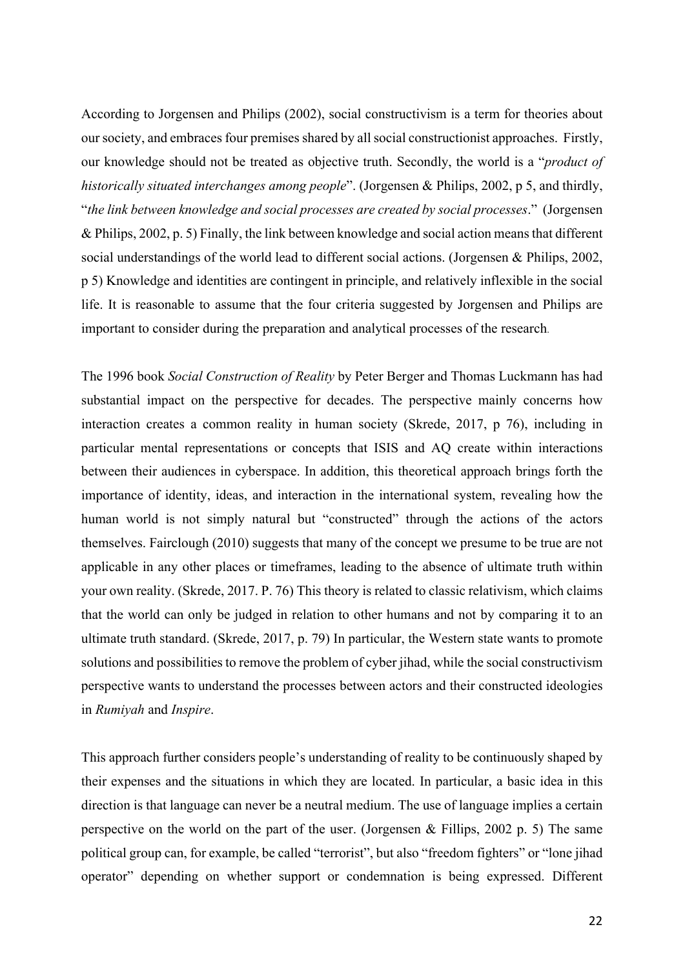According to Jorgensen and Philips (2002), social constructivism is a term for theories about our society, and embraces four premises shared by all social constructionist approaches. Firstly, our knowledge should not be treated as objective truth. Secondly, the world is a "*product of historically situated interchanges among people*". (Jorgensen & Philips, 2002, p 5, and thirdly, "*the link between knowledge and social processes are created by social processes*." (Jorgensen & Philips, 2002, p. 5) Finally, the link between knowledge and social action means that different social understandings of the world lead to different social actions. (Jorgensen & Philips, 2002, p 5) Knowledge and identities are contingent in principle, and relatively inflexible in the social life. It is reasonable to assume that the four criteria suggested by Jorgensen and Philips are important to consider during the preparation and analytical processes of the research.

The 1996 book *Social Construction of Reality* by Peter Berger and Thomas Luckmann has had substantial impact on the perspective for decades. The perspective mainly concerns how interaction creates a common reality in human society (Skrede, 2017, p 76), including in particular mental representations or concepts that ISIS and AQ create within interactions between their audiences in cyberspace. In addition, this theoretical approach brings forth the importance of identity, ideas, and interaction in the international system, revealing how the human world is not simply natural but "constructed" through the actions of the actors themselves. Fairclough (2010) suggests that many of the concept we presume to be true are not applicable in any other places or timeframes, leading to the absence of ultimate truth within your own reality. (Skrede, 2017. P. 76) This theory is related to classic relativism, which claims that the world can only be judged in relation to other humans and not by comparing it to an ultimate truth standard. (Skrede, 2017, p. 79) In particular, the Western state wants to promote solutions and possibilities to remove the problem of cyber jihad, while the social constructivism perspective wants to understand the processes between actors and their constructed ideologies in *Rumiyah* and *Inspire*.

This approach further considers people's understanding of reality to be continuously shaped by their expenses and the situations in which they are located. In particular, a basic idea in this direction is that language can never be a neutral medium. The use of language implies a certain perspective on the world on the part of the user. (Jorgensen & Fillips, 2002 p. 5) The same political group can, for example, be called "terrorist", but also "freedom fighters" or "lone jihad operator" depending on whether support or condemnation is being expressed. Different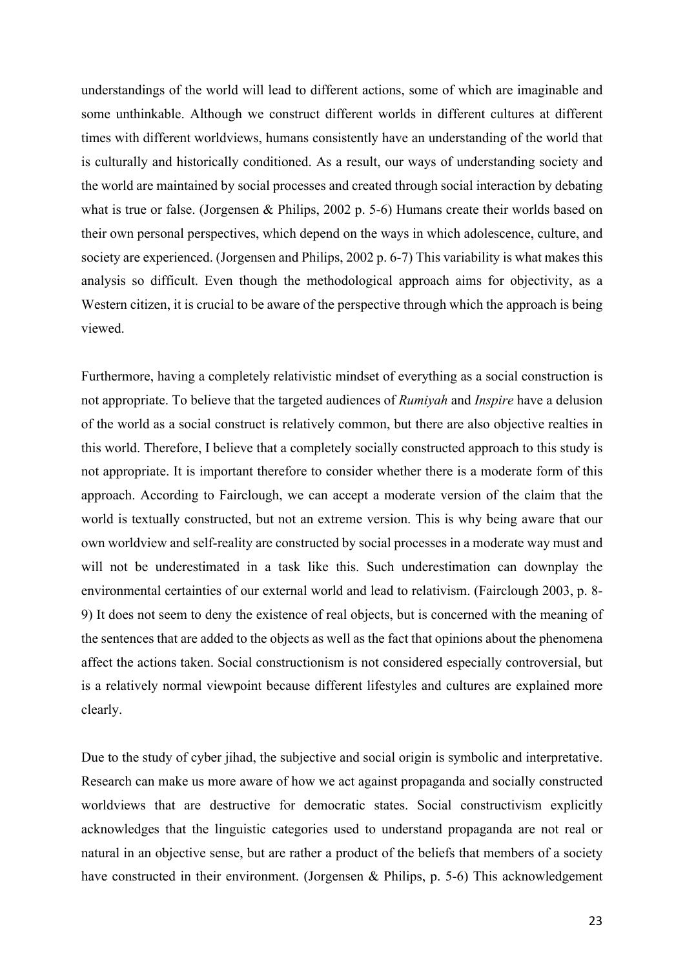understandings of the world will lead to different actions, some of which are imaginable and some unthinkable. Although we construct different worlds in different cultures at different times with different worldviews, humans consistently have an understanding of the world that is culturally and historically conditioned. As a result, our ways of understanding society and the world are maintained by social processes and created through social interaction by debating what is true or false. (Jorgensen & Philips, 2002 p. 5-6) Humans create their worlds based on their own personal perspectives, which depend on the ways in which adolescence, culture, and society are experienced. (Jorgensen and Philips, 2002 p. 6-7) This variability is what makes this analysis so difficult. Even though the methodological approach aims for objectivity, as a Western citizen, it is crucial to be aware of the perspective through which the approach is being viewed.

Furthermore, having a completely relativistic mindset of everything as a social construction is not appropriate. To believe that the targeted audiences of *Rumiyah* and *Inspire* have a delusion of the world as a social construct is relatively common, but there are also objective realties in this world. Therefore, I believe that a completely socially constructed approach to this study is not appropriate. It is important therefore to consider whether there is a moderate form of this approach. According to Fairclough, we can accept a moderate version of the claim that the world is textually constructed, but not an extreme version. This is why being aware that our own worldview and self-reality are constructed by social processes in a moderate way must and will not be underestimated in a task like this. Such underestimation can downplay the environmental certainties of our external world and lead to relativism. (Fairclough 2003, p. 8- 9) It does not seem to deny the existence of real objects, but is concerned with the meaning of the sentences that are added to the objects as well as the fact that opinions about the phenomena affect the actions taken. Social constructionism is not considered especially controversial, but is a relatively normal viewpoint because different lifestyles and cultures are explained more clearly.

Due to the study of cyber jihad, the subjective and social origin is symbolic and interpretative. Research can make us more aware of how we act against propaganda and socially constructed worldviews that are destructive for democratic states. Social constructivism explicitly acknowledges that the linguistic categories used to understand propaganda are not real or natural in an objective sense, but are rather a product of the beliefs that members of a society have constructed in their environment. (Jorgensen & Philips, p. 5-6) This acknowledgement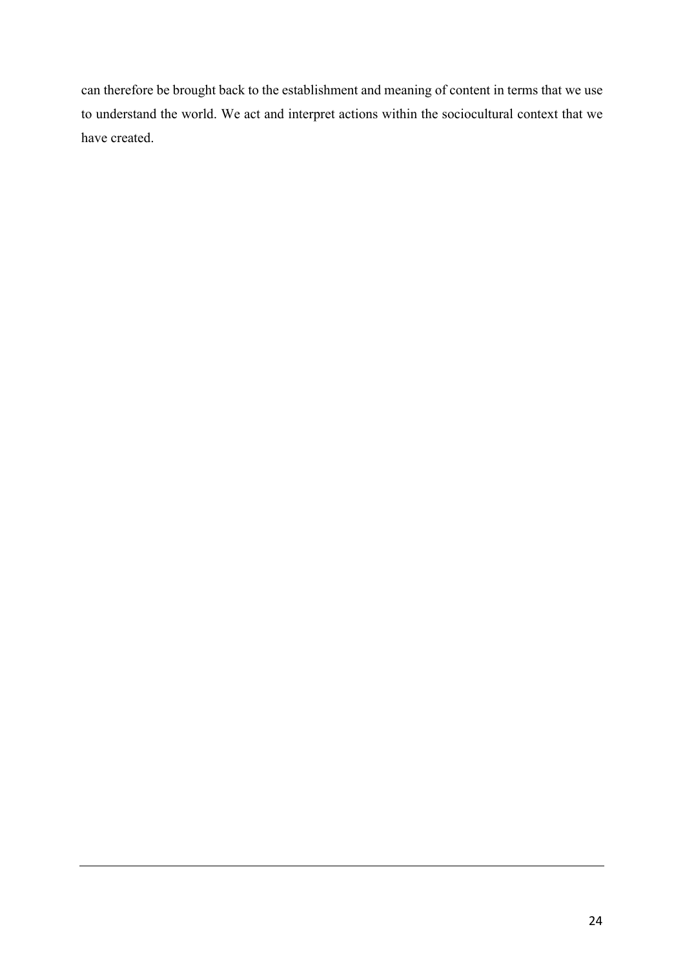can therefore be brought back to the establishment and meaning of content in terms that we use to understand the world. We act and interpret actions within the sociocultural context that we have created.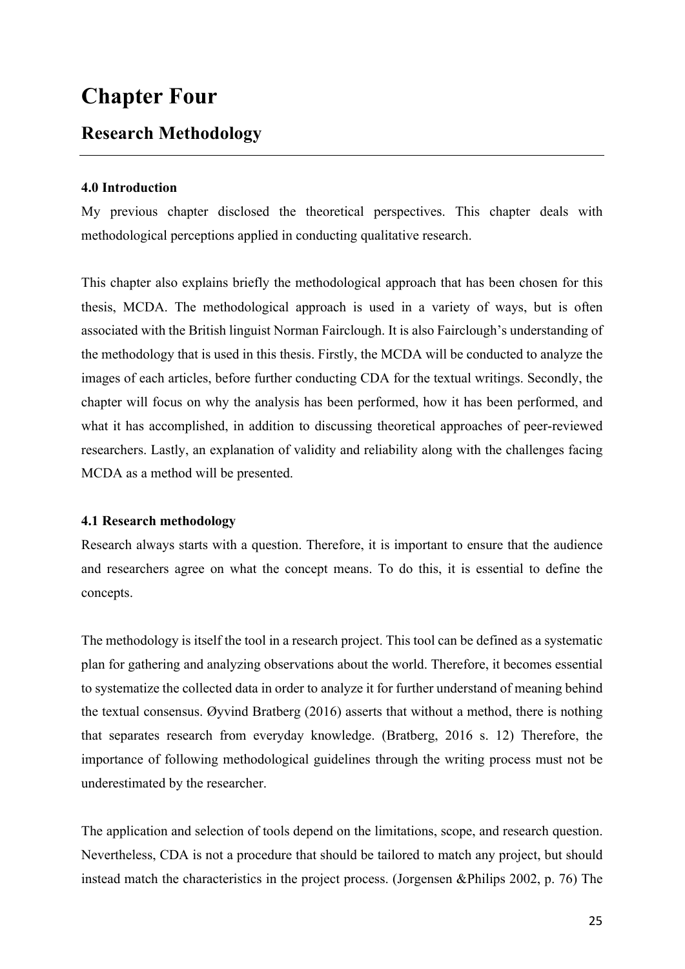# **Chapter Four**

### **Research Methodology**

### **4.0 Introduction**

My previous chapter disclosed the theoretical perspectives. This chapter deals with methodological perceptions applied in conducting qualitative research.

This chapter also explains briefly the methodological approach that has been chosen for this thesis, MCDA. The methodological approach is used in a variety of ways, but is often associated with the British linguist Norman Fairclough. It is also Fairclough's understanding of the methodology that is used in this thesis. Firstly, the MCDA will be conducted to analyze the images of each articles, before further conducting CDA for the textual writings. Secondly, the chapter will focus on why the analysis has been performed, how it has been performed, and what it has accomplished, in addition to discussing theoretical approaches of peer-reviewed researchers. Lastly, an explanation of validity and reliability along with the challenges facing MCDA as a method will be presented.

### **4.1 Research methodology**

Research always starts with a question. Therefore, it is important to ensure that the audience and researchers agree on what the concept means. To do this, it is essential to define the concepts.

The methodology is itself the tool in a research project. This tool can be defined as a systematic plan for gathering and analyzing observations about the world. Therefore, it becomes essential to systematize the collected data in order to analyze it for further understand of meaning behind the textual consensus. Øyvind Bratberg (2016) asserts that without a method, there is nothing that separates research from everyday knowledge. (Bratberg, 2016 s. 12) Therefore, the importance of following methodological guidelines through the writing process must not be underestimated by the researcher.

The application and selection of tools depend on the limitations, scope, and research question. Nevertheless, CDA is not a procedure that should be tailored to match any project, but should instead match the characteristics in the project process. (Jorgensen &Philips 2002, p. 76) The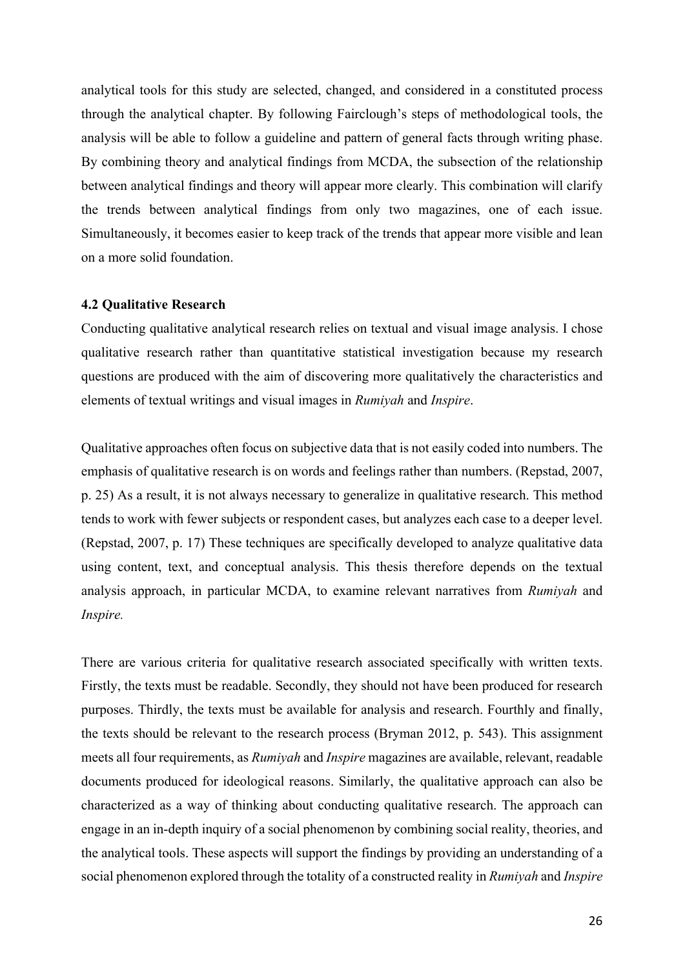analytical tools for this study are selected, changed, and considered in a constituted process through the analytical chapter. By following Fairclough's steps of methodological tools, the analysis will be able to follow a guideline and pattern of general facts through writing phase. By combining theory and analytical findings from MCDA, the subsection of the relationship between analytical findings and theory will appear more clearly. This combination will clarify the trends between analytical findings from only two magazines, one of each issue. Simultaneously, it becomes easier to keep track of the trends that appear more visible and lean on a more solid foundation.

### **4.2 Qualitative Research**

Conducting qualitative analytical research relies on textual and visual image analysis. I chose qualitative research rather than quantitative statistical investigation because my research questions are produced with the aim of discovering more qualitatively the characteristics and elements of textual writings and visual images in *Rumiyah* and *Inspire*.

Qualitative approaches often focus on subjective data that is not easily coded into numbers. The emphasis of qualitative research is on words and feelings rather than numbers. (Repstad, 2007, p. 25) As a result, it is not always necessary to generalize in qualitative research. This method tends to work with fewer subjects or respondent cases, but analyzes each case to a deeper level. (Repstad, 2007, p. 17) These techniques are specifically developed to analyze qualitative data using content, text, and conceptual analysis. This thesis therefore depends on the textual analysis approach, in particular MCDA, to examine relevant narratives from *Rumiyah* and *Inspire.*

There are various criteria for qualitative research associated specifically with written texts. Firstly, the texts must be readable. Secondly, they should not have been produced for research purposes. Thirdly, the texts must be available for analysis and research. Fourthly and finally, the texts should be relevant to the research process (Bryman 2012, p. 543). This assignment meets all four requirements, as *Rumiyah* and *Inspire* magazines are available, relevant, readable documents produced for ideological reasons. Similarly, the qualitative approach can also be characterized as a way of thinking about conducting qualitative research. The approach can engage in an in-depth inquiry of a social phenomenon by combining social reality, theories, and the analytical tools. These aspects will support the findings by providing an understanding of a social phenomenon explored through the totality of a constructed reality in *Rumiyah* and *Inspire*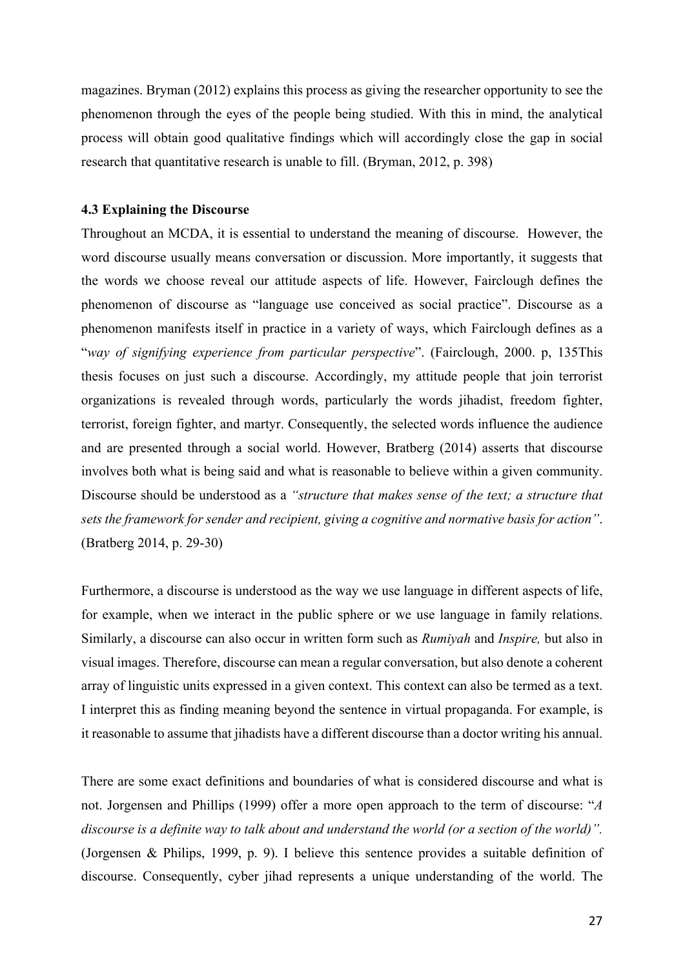magazines. Bryman (2012) explains this process as giving the researcher opportunity to see the phenomenon through the eyes of the people being studied. With this in mind, the analytical process will obtain good qualitative findings which will accordingly close the gap in social research that quantitative research is unable to fill. (Bryman, 2012, p. 398)

### **4.3 Explaining the Discourse**

Throughout an MCDA, it is essential to understand the meaning of discourse. However, the word discourse usually means conversation or discussion. More importantly, it suggests that the words we choose reveal our attitude aspects of life. However, Fairclough defines the phenomenon of discourse as "language use conceived as social practice". Discourse as a phenomenon manifests itself in practice in a variety of ways, which Fairclough defines as a "*way of signifying experience from particular perspective*". (Fairclough, 2000. p, 135This thesis focuses on just such a discourse. Accordingly, my attitude people that join terrorist organizations is revealed through words, particularly the words jihadist, freedom fighter, terrorist, foreign fighter, and martyr. Consequently, the selected words influence the audience and are presented through a social world. However, Bratberg (2014) asserts that discourse involves both what is being said and what is reasonable to believe within a given community. Discourse should be understood as a *"structure that makes sense of the text; a structure that sets the framework for sender and recipient, giving a cognitive and normative basis for action"*. (Bratberg 2014, p. 29-30)

Furthermore, a discourse is understood as the way we use language in different aspects of life, for example, when we interact in the public sphere or we use language in family relations. Similarly, a discourse can also occur in written form such as *Rumiyah* and *Inspire,* but also in visual images. Therefore, discourse can mean a regular conversation, but also denote a coherent array of linguistic units expressed in a given context. This context can also be termed as a text. I interpret this as finding meaning beyond the sentence in virtual propaganda. For example, is it reasonable to assume that jihadists have a different discourse than a doctor writing his annual.

There are some exact definitions and boundaries of what is considered discourse and what is not. Jorgensen and Phillips (1999) offer a more open approach to the term of discourse: "*A discourse is a definite way to talk about and understand the world (or a section of the world)".*  (Jorgensen & Philips, 1999, p. 9). I believe this sentence provides a suitable definition of discourse. Consequently, cyber jihad represents a unique understanding of the world. The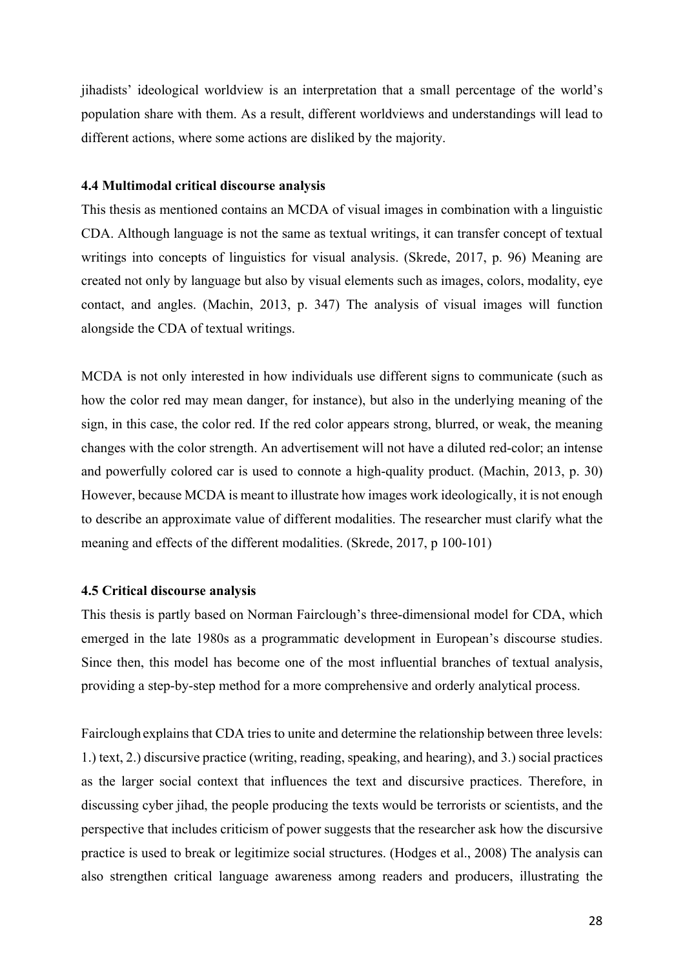jihadists' ideological worldview is an interpretation that a small percentage of the world's population share with them. As a result, different worldviews and understandings will lead to different actions, where some actions are disliked by the majority.

### **4.4 Multimodal critical discourse analysis**

This thesis as mentioned contains an MCDA of visual images in combination with a linguistic CDA. Although language is not the same as textual writings, it can transfer concept of textual writings into concepts of linguistics for visual analysis. (Skrede, 2017, p. 96) Meaning are created not only by language but also by visual elements such as images, colors, modality, eye contact, and angles. (Machin, 2013, p. 347) The analysis of visual images will function alongside the CDA of textual writings.

MCDA is not only interested in how individuals use different signs to communicate (such as how the color red may mean danger, for instance), but also in the underlying meaning of the sign, in this case, the color red. If the red color appears strong, blurred, or weak, the meaning changes with the color strength. An advertisement will not have a diluted red-color; an intense and powerfully colored car is used to connote a high-quality product. (Machin, 2013, p. 30) However, because MCDA is meant to illustrate how images work ideologically, it is not enough to describe an approximate value of different modalities. The researcher must clarify what the meaning and effects of the different modalities. (Skrede, 2017, p 100-101)

#### **4.5 Critical discourse analysis**

This thesis is partly based on Norman Fairclough's three-dimensional model for CDA, which emerged in the late 1980s as a programmatic development in European's discourse studies. Since then, this model has become one of the most influential branches of textual analysis, providing a step-by-step method for a more comprehensive and orderly analytical process.

Fairclough explains that CDA tries to unite and determine the relationship between three levels: 1.) text, 2.) discursive practice (writing, reading, speaking, and hearing), and 3.) social practices as the larger social context that influences the text and discursive practices. Therefore, in discussing cyber jihad, the people producing the texts would be terrorists or scientists, and the perspective that includes criticism of power suggests that the researcher ask how the discursive practice is used to break or legitimize social structures. (Hodges et al., 2008) The analysis can also strengthen critical language awareness among readers and producers, illustrating the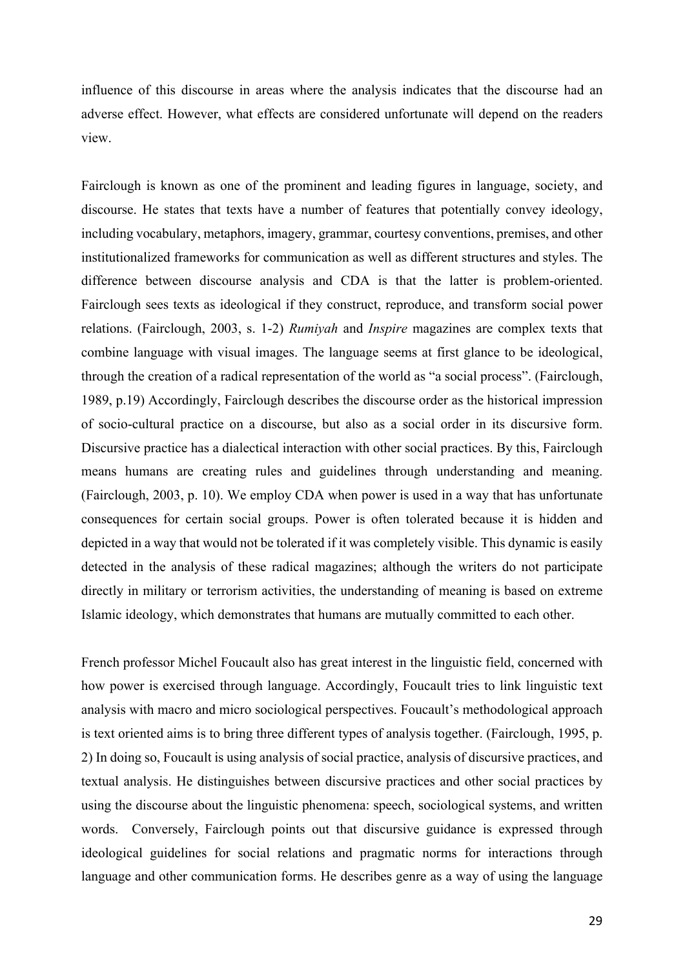influence of this discourse in areas where the analysis indicates that the discourse had an adverse effect. However, what effects are considered unfortunate will depend on the readers view.

Fairclough is known as one of the prominent and leading figures in language, society, and discourse. He states that texts have a number of features that potentially convey ideology, including vocabulary, metaphors, imagery, grammar, courtesy conventions, premises, and other institutionalized frameworks for communication as well as different structures and styles. The difference between discourse analysis and CDA is that the latter is problem-oriented. Fairclough sees texts as ideological if they construct, reproduce, and transform social power relations. (Fairclough, 2003, s. 1-2) *Rumiyah* and *Inspire* magazines are complex texts that combine language with visual images. The language seems at first glance to be ideological, through the creation of a radical representation of the world as "a social process". (Fairclough, 1989, p.19) Accordingly, Fairclough describes the discourse order as the historical impression of socio-cultural practice on a discourse, but also as a social order in its discursive form. Discursive practice has a dialectical interaction with other social practices. By this, Fairclough means humans are creating rules and guidelines through understanding and meaning. (Fairclough, 2003, p. 10). We employ CDA when power is used in a way that has unfortunate consequences for certain social groups. Power is often tolerated because it is hidden and depicted in a way that would not be tolerated if it was completely visible. This dynamic is easily detected in the analysis of these radical magazines; although the writers do not participate directly in military or terrorism activities, the understanding of meaning is based on extreme Islamic ideology, which demonstrates that humans are mutually committed to each other.

French professor Michel Foucault also has great interest in the linguistic field, concerned with how power is exercised through language. Accordingly, Foucault tries to link linguistic text analysis with macro and micro sociological perspectives. Foucault's methodological approach is text oriented aims is to bring three different types of analysis together. (Fairclough, 1995, p. 2) In doing so, Foucault is using analysis of social practice, analysis of discursive practices, and textual analysis. He distinguishes between discursive practices and other social practices by using the discourse about the linguistic phenomena: speech, sociological systems, and written words. Conversely, Fairclough points out that discursive guidance is expressed through ideological guidelines for social relations and pragmatic norms for interactions through language and other communication forms. He describes genre as a way of using the language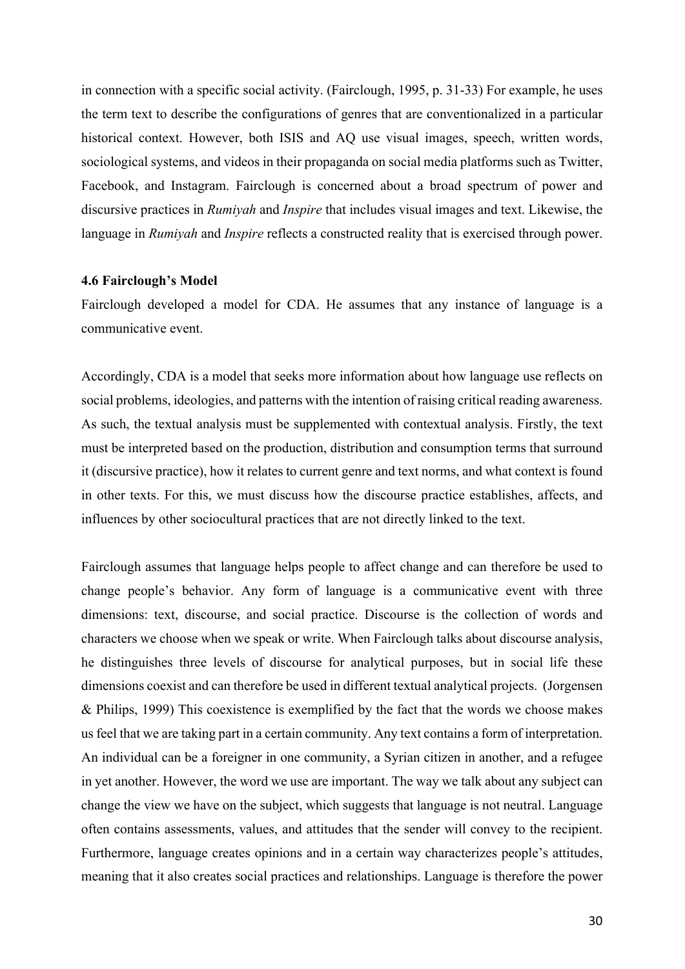in connection with a specific social activity. (Fairclough, 1995, p. 31-33) For example, he uses the term text to describe the configurations of genres that are conventionalized in a particular historical context. However, both ISIS and AQ use visual images, speech, written words, sociological systems, and videos in their propaganda on social media platforms such as Twitter, Facebook, and Instagram. Fairclough is concerned about a broad spectrum of power and discursive practices in *Rumiyah* and *Inspire* that includes visual images and text. Likewise, the language in *Rumiyah* and *Inspire* reflects a constructed reality that is exercised through power.

#### **4.6 Fairclough's Model**

Fairclough developed a model for CDA. He assumes that any instance of language is a communicative event.

Accordingly, CDA is a model that seeks more information about how language use reflects on social problems, ideologies, and patterns with the intention of raising critical reading awareness. As such, the textual analysis must be supplemented with contextual analysis. Firstly, the text must be interpreted based on the production, distribution and consumption terms that surround it (discursive practice), how it relates to current genre and text norms, and what context is found in other texts. For this, we must discuss how the discourse practice establishes, affects, and influences by other sociocultural practices that are not directly linked to the text.

Fairclough assumes that language helps people to affect change and can therefore be used to change people's behavior. Any form of language is a communicative event with three dimensions: text, discourse, and social practice. Discourse is the collection of words and characters we choose when we speak or write. When Fairclough talks about discourse analysis, he distinguishes three levels of discourse for analytical purposes, but in social life these dimensions coexist and can therefore be used in different textual analytical projects. (Jorgensen & Philips, 1999) This coexistence is exemplified by the fact that the words we choose makes us feel that we are taking part in a certain community. Any text contains a form of interpretation. An individual can be a foreigner in one community, a Syrian citizen in another, and a refugee in yet another. However, the word we use are important. The way we talk about any subject can change the view we have on the subject, which suggests that language is not neutral. Language often contains assessments, values, and attitudes that the sender will convey to the recipient. Furthermore, language creates opinions and in a certain way characterizes people's attitudes, meaning that it also creates social practices and relationships. Language is therefore the power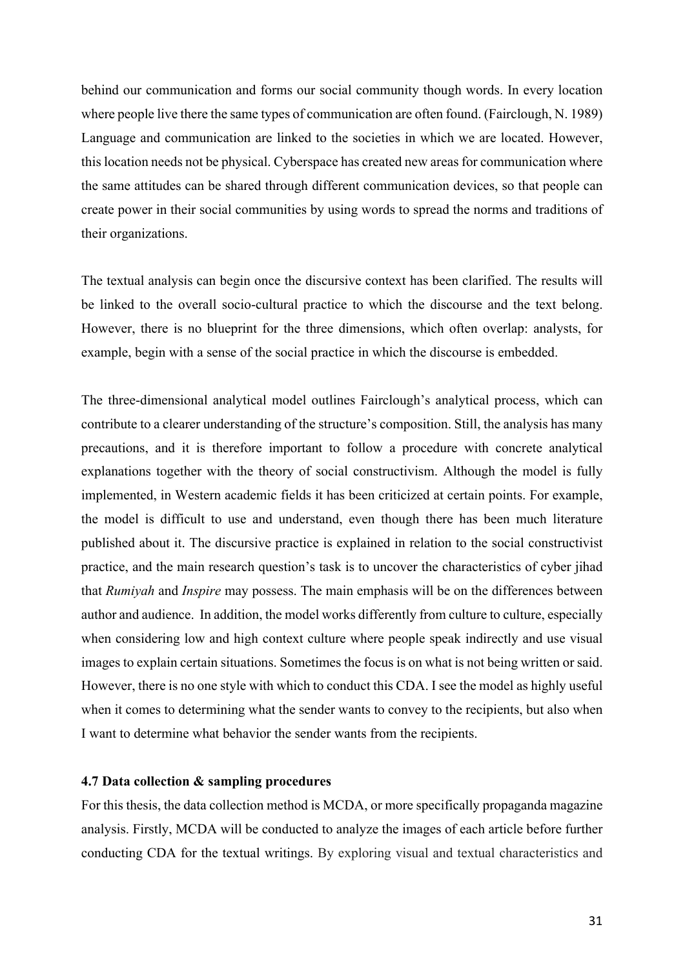behind our communication and forms our social community though words. In every location where people live there the same types of communication are often found. (Fairclough, N. 1989) Language and communication are linked to the societies in which we are located. However, this location needs not be physical. Cyberspace has created new areas for communication where the same attitudes can be shared through different communication devices, so that people can create power in their social communities by using words to spread the norms and traditions of their organizations.

The textual analysis can begin once the discursive context has been clarified. The results will be linked to the overall socio-cultural practice to which the discourse and the text belong. However, there is no blueprint for the three dimensions, which often overlap: analysts, for example, begin with a sense of the social practice in which the discourse is embedded.

The three-dimensional analytical model outlines Fairclough's analytical process, which can contribute to a clearer understanding of the structure's composition. Still, the analysis has many precautions, and it is therefore important to follow a procedure with concrete analytical explanations together with the theory of social constructivism. Although the model is fully implemented, in Western academic fields it has been criticized at certain points. For example, the model is difficult to use and understand, even though there has been much literature published about it. The discursive practice is explained in relation to the social constructivist practice, and the main research question's task is to uncover the characteristics of cyber jihad that *Rumiyah* and *Inspire* may possess. The main emphasis will be on the differences between author and audience. In addition, the model works differently from culture to culture, especially when considering low and high context culture where people speak indirectly and use visual images to explain certain situations. Sometimes the focus is on what is not being written or said. However, there is no one style with which to conduct this CDA. I see the model as highly useful when it comes to determining what the sender wants to convey to the recipients, but also when I want to determine what behavior the sender wants from the recipients.

### **4.7 Data collection & sampling procedures**

For this thesis, the data collection method is MCDA, or more specifically propaganda magazine analysis. Firstly, MCDA will be conducted to analyze the images of each article before further conducting CDA for the textual writings. By exploring visual and textual characteristics and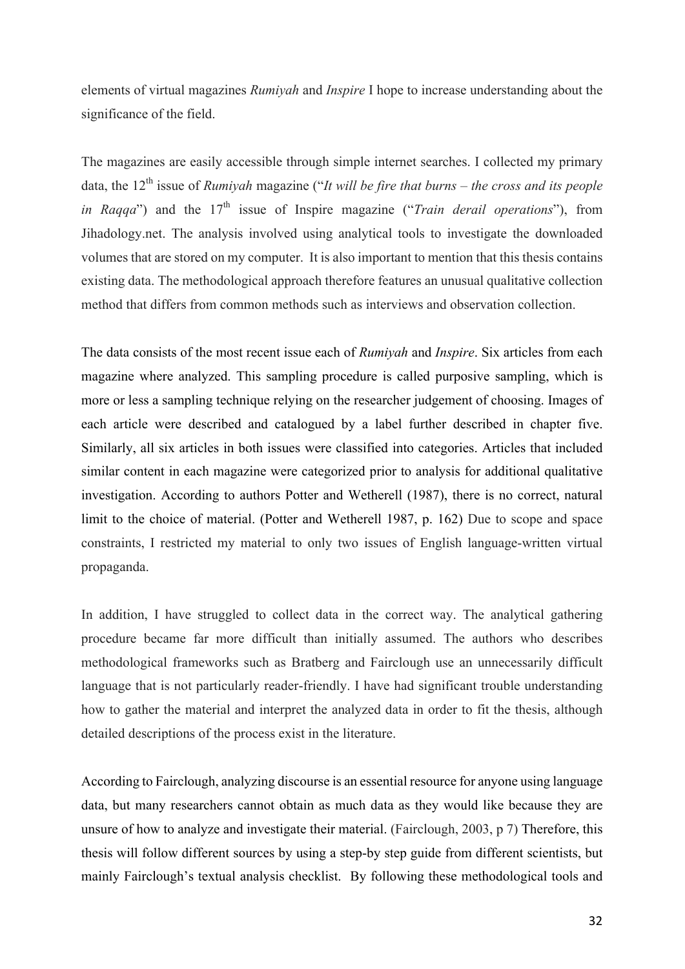elements of virtual magazines *Rumiyah* and *Inspire* I hope to increase understanding about the significance of the field.

The magazines are easily accessible through simple internet searches. I collected my primary data, the 12th issue of *Rumiyah* magazine ("*It will be fire that burns – the cross and its people in Ragga*") and the 17<sup>th</sup> issue of Inspire magazine ("*Train derail operations*"), from Jihadology.net. The analysis involved using analytical tools to investigate the downloaded volumes that are stored on my computer. It is also important to mention that this thesis contains existing data. The methodological approach therefore features an unusual qualitative collection method that differs from common methods such as interviews and observation collection.

The data consists of the most recent issue each of *Rumiyah* and *Inspire*. Six articles from each magazine where analyzed. This sampling procedure is called purposive sampling, which is more or less a sampling technique relying on the researcher judgement of choosing. Images of each article were described and catalogued by a label further described in chapter five. Similarly, all six articles in both issues were classified into categories. Articles that included similar content in each magazine were categorized prior to analysis for additional qualitative investigation. According to authors Potter and Wetherell (1987), there is no correct, natural limit to the choice of material. (Potter and Wetherell 1987, p. 162) Due to scope and space constraints, I restricted my material to only two issues of English language-written virtual propaganda.

In addition, I have struggled to collect data in the correct way. The analytical gathering procedure became far more difficult than initially assumed. The authors who describes methodological frameworks such as Bratberg and Fairclough use an unnecessarily difficult language that is not particularly reader-friendly. I have had significant trouble understanding how to gather the material and interpret the analyzed data in order to fit the thesis, although detailed descriptions of the process exist in the literature.

According to Fairclough, analyzing discourse is an essential resource for anyone using language data, but many researchers cannot obtain as much data as they would like because they are unsure of how to analyze and investigate their material. (Fairclough, 2003, p 7) Therefore, this thesis will follow different sources by using a step-by step guide from different scientists, but mainly Fairclough's textual analysis checklist. By following these methodological tools and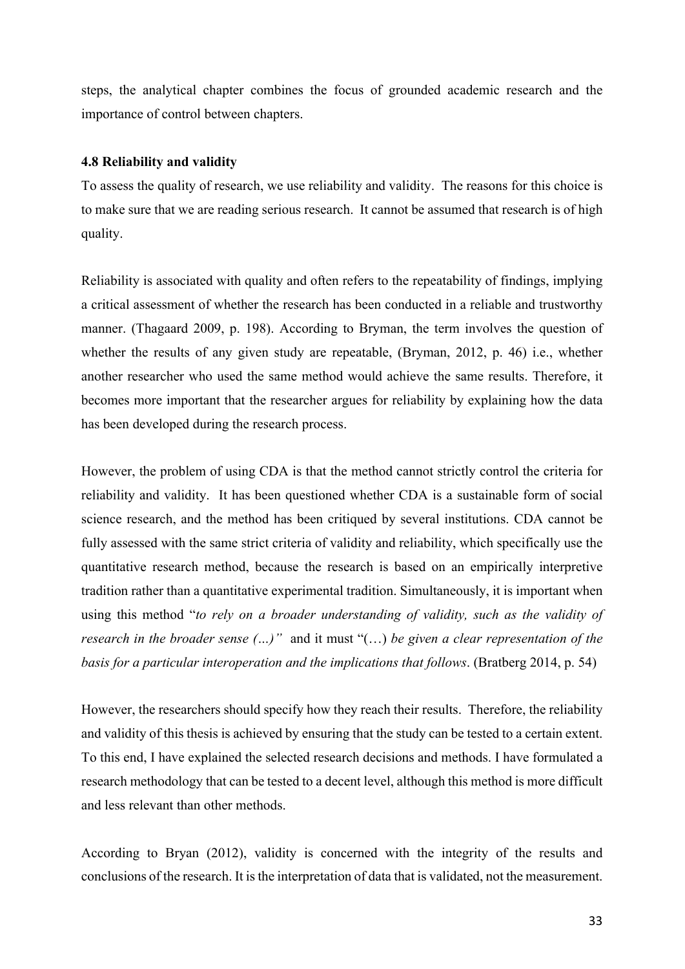steps, the analytical chapter combines the focus of grounded academic research and the importance of control between chapters.

#### **4.8 Reliability and validity**

To assess the quality of research, we use reliability and validity. The reasons for this choice is to make sure that we are reading serious research. It cannot be assumed that research is of high quality.

Reliability is associated with quality and often refers to the repeatability of findings, implying a critical assessment of whether the research has been conducted in a reliable and trustworthy manner. (Thagaard 2009, p. 198). According to Bryman, the term involves the question of whether the results of any given study are repeatable, (Bryman, 2012, p. 46) i.e., whether another researcher who used the same method would achieve the same results. Therefore, it becomes more important that the researcher argues for reliability by explaining how the data has been developed during the research process.

However, the problem of using CDA is that the method cannot strictly control the criteria for reliability and validity. It has been questioned whether CDA is a sustainable form of social science research, and the method has been critiqued by several institutions. CDA cannot be fully assessed with the same strict criteria of validity and reliability, which specifically use the quantitative research method, because the research is based on an empirically interpretive tradition rather than a quantitative experimental tradition. Simultaneously, it is important when using this method "*to rely on a broader understanding of validity, such as the validity of research in the broader sense (…)"* and it must "(…) *be given a clear representation of the basis for a particular interoperation and the implications that follows*. (Bratberg 2014, p. 54)

However, the researchers should specify how they reach their results. Therefore, the reliability and validity of this thesis is achieved by ensuring that the study can be tested to a certain extent. To this end, I have explained the selected research decisions and methods. I have formulated a research methodology that can be tested to a decent level, although this method is more difficult and less relevant than other methods.

According to Bryan (2012), validity is concerned with the integrity of the results and conclusions of the research. It is the interpretation of data that is validated, not the measurement.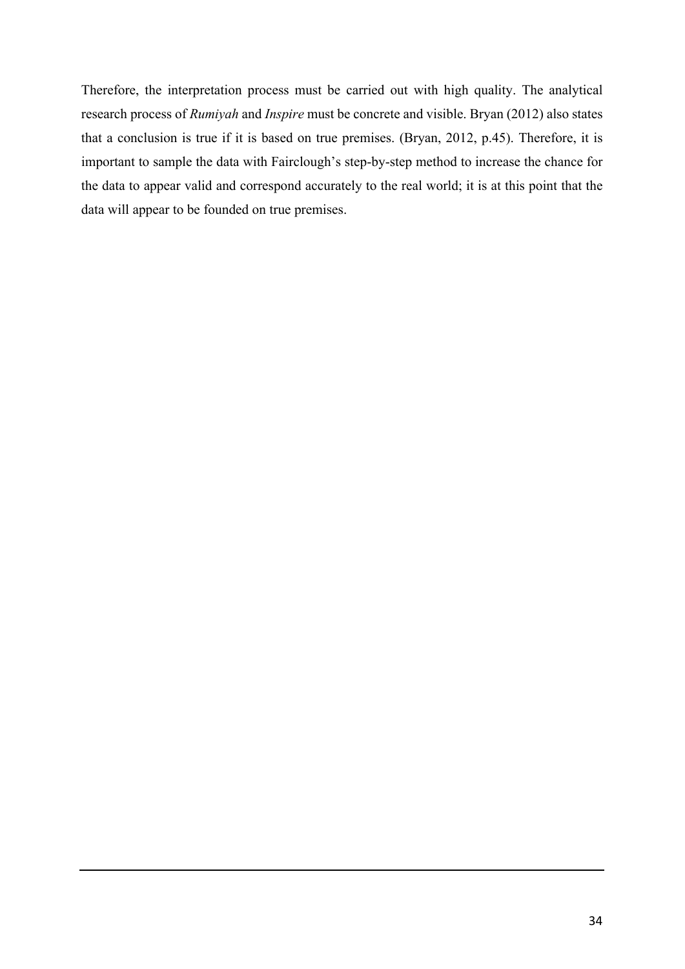Therefore, the interpretation process must be carried out with high quality. The analytical research process of *Rumiyah* and *Inspire* must be concrete and visible. Bryan (2012) also states that a conclusion is true if it is based on true premises. (Bryan, 2012, p.45). Therefore, it is important to sample the data with Fairclough's step-by-step method to increase the chance for the data to appear valid and correspond accurately to the real world; it is at this point that the data will appear to be founded on true premises.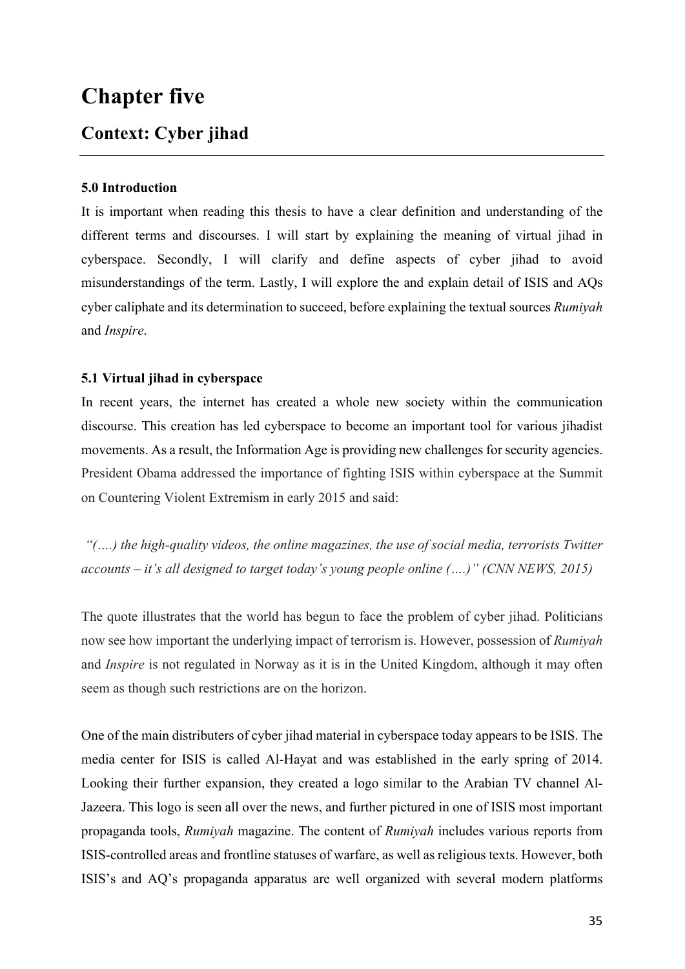# **Chapter five**

### **Context: Cyber jihad**

### **5.0 Introduction**

It is important when reading this thesis to have a clear definition and understanding of the different terms and discourses. I will start by explaining the meaning of virtual jihad in cyberspace. Secondly, I will clarify and define aspects of cyber jihad to avoid misunderstandings of the term. Lastly, I will explore the and explain detail of ISIS and AQs cyber caliphate and its determination to succeed, before explaining the textual sources *Rumiyah* and *Inspire*.

### **5.1 Virtual jihad in cyberspace**

In recent years, the internet has created a whole new society within the communication discourse. This creation has led cyberspace to become an important tool for various jihadist movements. As a result, the Information Age is providing new challenges for security agencies. President Obama addressed the importance of fighting ISIS within cyberspace at the Summit on Countering Violent Extremism in early 2015 and said:

*"(….) the high-quality videos, the online magazines, the use of social media, terrorists Twitter accounts – it's all designed to target today's young people online (….)" (CNN NEWS, 2015)*

The quote illustrates that the world has begun to face the problem of cyber jihad. Politicians now see how important the underlying impact of terrorism is. However, possession of *Rumiyah* and *Inspire* is not regulated in Norway as it is in the United Kingdom, although it may often seem as though such restrictions are on the horizon.

One of the main distributers of cyber jihad material in cyberspace today appears to be ISIS. The media center for ISIS is called Al-Hayat and was established in the early spring of 2014. Looking their further expansion, they created a logo similar to the Arabian TV channel Al-Jazeera. This logo is seen all over the news, and further pictured in one of ISIS most important propaganda tools, *Rumiyah* magazine. The content of *Rumiyah* includes various reports from ISIS-controlled areas and frontline statuses of warfare, as well as religious texts. However, both ISIS's and AQ's propaganda apparatus are well organized with several modern platforms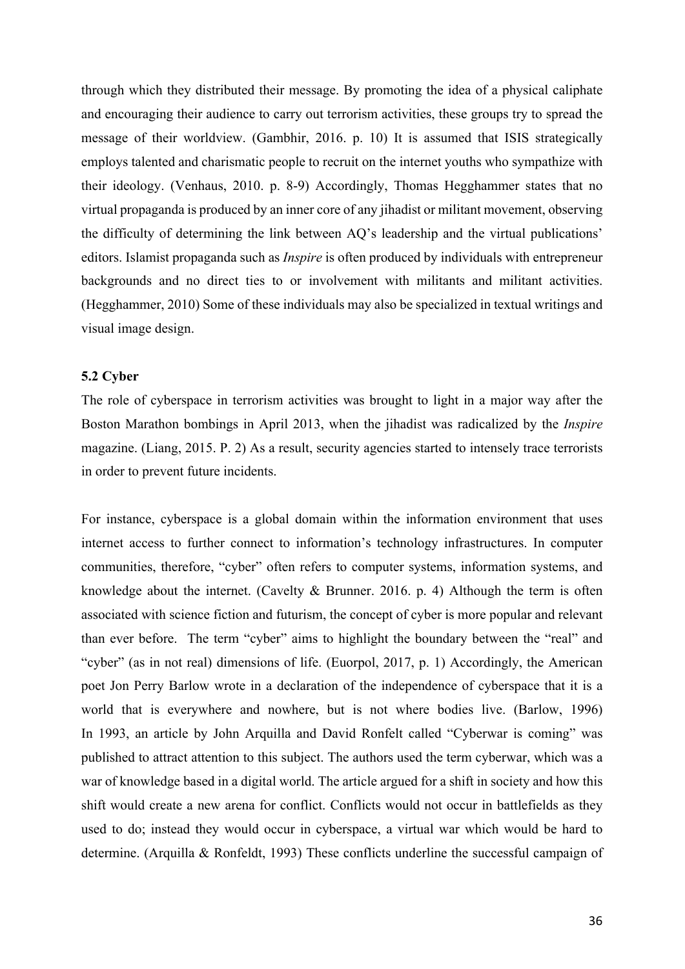through which they distributed their message. By promoting the idea of a physical caliphate and encouraging their audience to carry out terrorism activities, these groups try to spread the message of their worldview. (Gambhir, 2016. p. 10) It is assumed that ISIS strategically employs talented and charismatic people to recruit on the internet youths who sympathize with their ideology. (Venhaus, 2010. p. 8-9) Accordingly, Thomas Hegghammer states that no virtual propaganda is produced by an inner core of any jihadist or militant movement, observing the difficulty of determining the link between AQ's leadership and the virtual publications' editors. Islamist propaganda such as *Inspire* is often produced by individuals with entrepreneur backgrounds and no direct ties to or involvement with militants and militant activities. (Hegghammer, 2010) Some of these individuals may also be specialized in textual writings and visual image design.

### **5.2 Cyber**

The role of cyberspace in terrorism activities was brought to light in a major way after the Boston Marathon bombings in April 2013, when the jihadist was radicalized by the *Inspire* magazine. (Liang, 2015. P. 2) As a result, security agencies started to intensely trace terrorists in order to prevent future incidents.

For instance, cyberspace is a global domain within the information environment that uses internet access to further connect to information's technology infrastructures. In computer communities, therefore, "cyber" often refers to computer systems, information systems, and knowledge about the internet. (Cavelty & Brunner. 2016. p. 4) Although the term is often associated with science fiction and futurism, the concept of cyber is more popular and relevant than ever before. The term "cyber" aims to highlight the boundary between the "real" and "cyber" (as in not real) dimensions of life. (Euorpol, 2017, p. 1) Accordingly, the American poet Jon Perry Barlow wrote in a declaration of the independence of cyberspace that it is a world that is everywhere and nowhere, but is not where bodies live. (Barlow, 1996) In 1993, an article by John Arquilla and David Ronfelt called "Cyberwar is coming" was published to attract attention to this subject. The authors used the term cyberwar, which was a war of knowledge based in a digital world. The article argued for a shift in society and how this shift would create a new arena for conflict. Conflicts would not occur in battlefields as they used to do; instead they would occur in cyberspace, a virtual war which would be hard to determine. (Arquilla & Ronfeldt, 1993) These conflicts underline the successful campaign of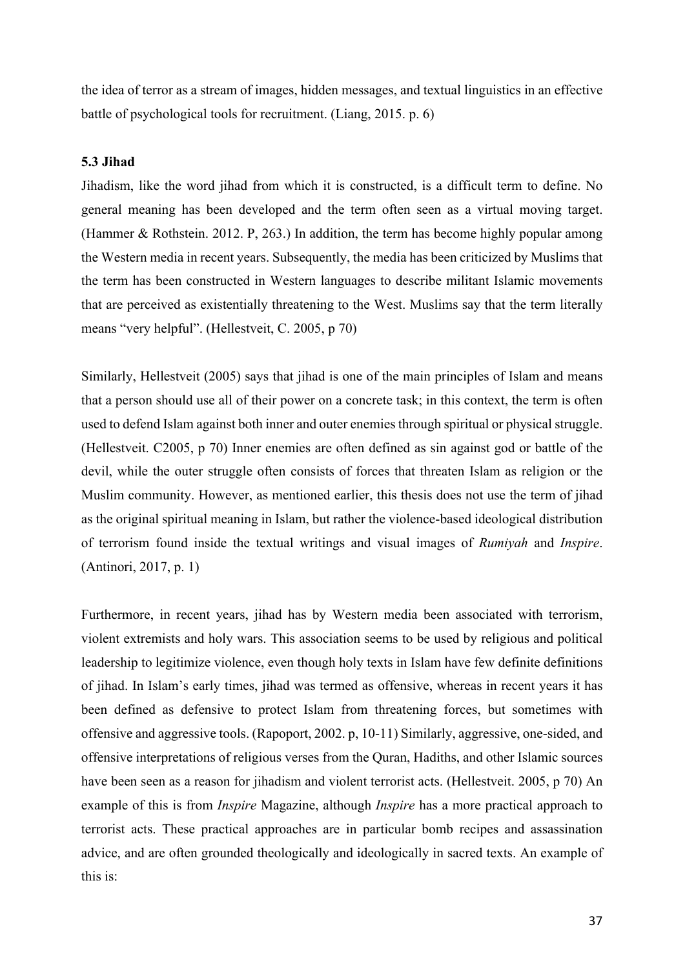the idea of terror as a stream of images, hidden messages, and textual linguistics in an effective battle of psychological tools for recruitment. (Liang, 2015. p. 6)

#### **5.3 Jihad**

Jihadism, like the word jihad from which it is constructed, is a difficult term to define. No general meaning has been developed and the term often seen as a virtual moving target. (Hammer & Rothstein. 2012. P, 263.) In addition, the term has become highly popular among the Western media in recent years. Subsequently, the media has been criticized by Muslims that the term has been constructed in Western languages to describe militant Islamic movements that are perceived as existentially threatening to the West. Muslims say that the term literally means "very helpful". (Hellestveit, C. 2005, p 70)

Similarly, Hellestveit (2005) says that jihad is one of the main principles of Islam and means that a person should use all of their power on a concrete task; in this context, the term is often used to defend Islam against both inner and outer enemies through spiritual or physical struggle. (Hellestveit. C2005, p 70) Inner enemies are often defined as sin against god or battle of the devil, while the outer struggle often consists of forces that threaten Islam as religion or the Muslim community. However, as mentioned earlier, this thesis does not use the term of jihad as the original spiritual meaning in Islam, but rather the violence-based ideological distribution of terrorism found inside the textual writings and visual images of *Rumiyah* and *Inspire*. (Antinori, 2017, p. 1)

Furthermore, in recent years, jihad has by Western media been associated with terrorism, violent extremists and holy wars. This association seems to be used by religious and political leadership to legitimize violence, even though holy texts in Islam have few definite definitions of jihad. In Islam's early times, jihad was termed as offensive, whereas in recent years it has been defined as defensive to protect Islam from threatening forces, but sometimes with offensive and aggressive tools. (Rapoport, 2002. p, 10-11) Similarly, aggressive, one-sided, and offensive interpretations of religious verses from the Quran, Hadiths, and other Islamic sources have been seen as a reason for jihadism and violent terrorist acts. (Hellestveit. 2005, p 70) An example of this is from *Inspire* Magazine, although *Inspire* has a more practical approach to terrorist acts. These practical approaches are in particular bomb recipes and assassination advice, and are often grounded theologically and ideologically in sacred texts. An example of this is: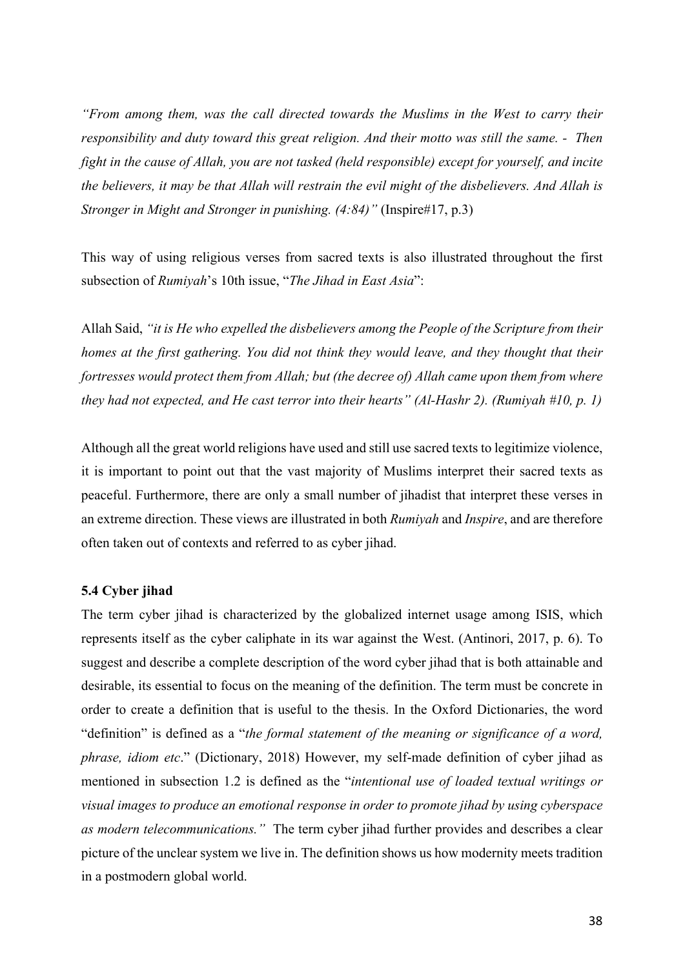*"From among them, was the call directed towards the Muslims in the West to carry their responsibility and duty toward this great religion. And their motto was still the same. - Then fight in the cause of Allah, you are not tasked (held responsible) except for yourself, and incite the believers, it may be that Allah will restrain the evil might of the disbelievers. And Allah is Stronger in Might and Stronger in punishing. (4:84)"* (Inspire#17, p.3)

This way of using religious verses from sacred texts is also illustrated throughout the first subsection of *Rumiyah*'s 10th issue, "*The Jihad in East Asia*":

Allah Said, *"it is He who expelled the disbelievers among the People of the Scripture from their homes at the first gathering. You did not think they would leave, and they thought that their fortresses would protect them from Allah; but (the decree of) Allah came upon them from where they had not expected, and He cast terror into their hearts" (Al-Hashr 2). (Rumiyah #10, p. 1)* 

Although all the great world religions have used and still use sacred texts to legitimize violence, it is important to point out that the vast majority of Muslims interpret their sacred texts as peaceful. Furthermore, there are only a small number of jihadist that interpret these verses in an extreme direction. These views are illustrated in both *Rumiyah* and *Inspire*, and are therefore often taken out of contexts and referred to as cyber jihad.

## **5.4 Cyber jihad**

The term cyber jihad is characterized by the globalized internet usage among ISIS, which represents itself as the cyber caliphate in its war against the West. (Antinori, 2017, p. 6). To suggest and describe a complete description of the word cyber jihad that is both attainable and desirable, its essential to focus on the meaning of the definition. The term must be concrete in order to create a definition that is useful to the thesis. In the Oxford Dictionaries, the word "definition" is defined as a "*the formal statement of the meaning or significance of a word, phrase, idiom etc*." (Dictionary, 2018) However, my self-made definition of cyber jihad as mentioned in subsection 1.2 is defined as the "*intentional use of loaded textual writings or visual images to produce an emotional response in order to promote jihad by using cyberspace as modern telecommunications."* The term cyber jihad further provides and describes a clear picture of the unclear system we live in. The definition shows us how modernity meets tradition in a postmodern global world.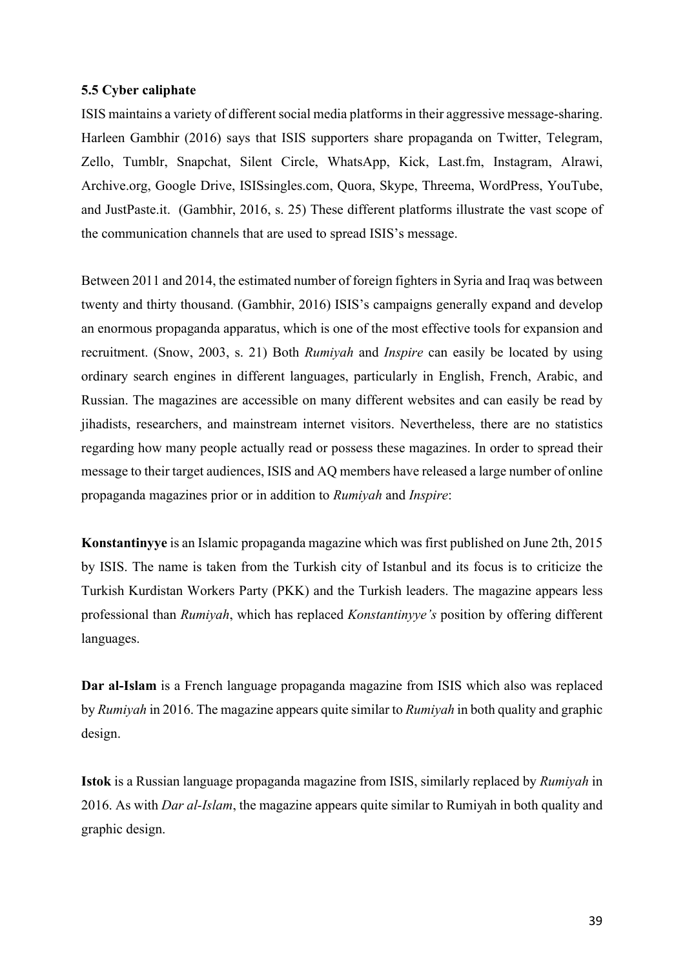## **5.5 Cyber caliphate**

ISIS maintains a variety of different social media platforms in their aggressive message-sharing. Harleen Gambhir (2016) says that ISIS supporters share propaganda on Twitter, Telegram, Zello, Tumblr, Snapchat, Silent Circle, WhatsApp, Kick, Last.fm, Instagram, Alrawi, Archive.org, Google Drive, ISISsingles.com, Quora, Skype, Threema, WordPress, YouTube, and JustPaste.it. (Gambhir, 2016, s. 25) These different platforms illustrate the vast scope of the communication channels that are used to spread ISIS's message.

Between 2011 and 2014, the estimated number of foreign fighters in Syria and Iraq was between twenty and thirty thousand. (Gambhir, 2016) ISIS's campaigns generally expand and develop an enormous propaganda apparatus, which is one of the most effective tools for expansion and recruitment. (Snow, 2003, s. 21) Both *Rumiyah* and *Inspire* can easily be located by using ordinary search engines in different languages, particularly in English, French, Arabic, and Russian. The magazines are accessible on many different websites and can easily be read by jihadists, researchers, and mainstream internet visitors. Nevertheless, there are no statistics regarding how many people actually read or possess these magazines. In order to spread their message to their target audiences, ISIS and AQ members have released a large number of online propaganda magazines prior or in addition to *Rumiyah* and *Inspire*:

**Konstantinyye** is an Islamic propaganda magazine which was first published on June 2th, 2015 by ISIS. The name is taken from the Turkish city of Istanbul and its focus is to criticize the Turkish Kurdistan Workers Party (PKK) and the Turkish leaders. The magazine appears less professional than *Rumiyah*, which has replaced *Konstantinyye's* position by offering different languages.

**Dar al-Islam** is a French language propaganda magazine from ISIS which also was replaced by *Rumiyah* in 2016. The magazine appears quite similar to *Rumiyah* in both quality and graphic design.

**Istok** is a Russian language propaganda magazine from ISIS, similarly replaced by *Rumiyah* in 2016. As with *Dar al-Islam*, the magazine appears quite similar to Rumiyah in both quality and graphic design.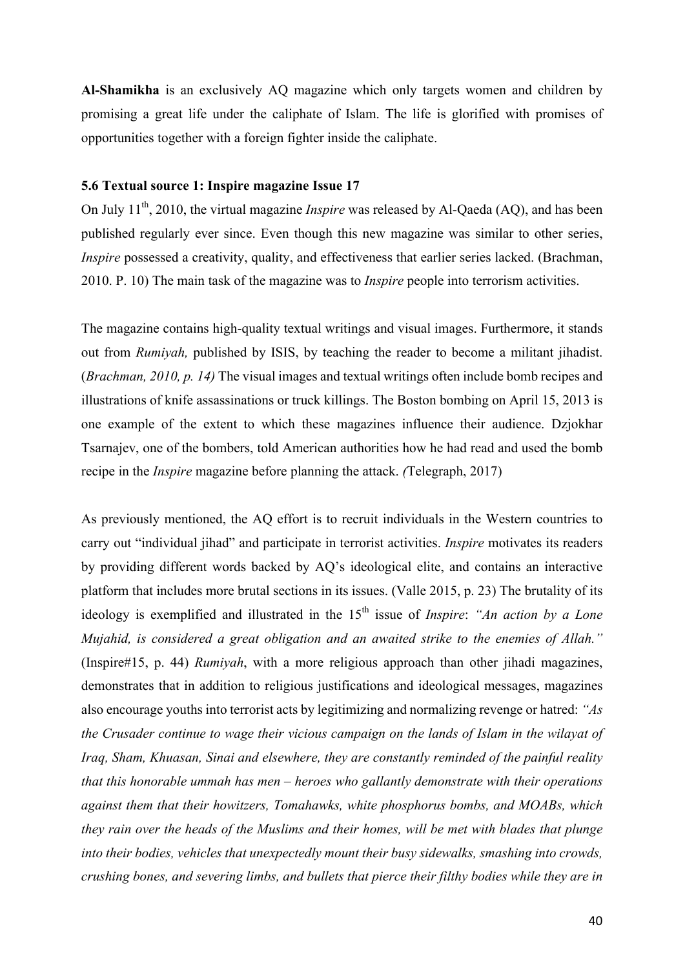**Al-Shamikha** is an exclusively AQ magazine which only targets women and children by promising a great life under the caliphate of Islam. The life is glorified with promises of opportunities together with a foreign fighter inside the caliphate.

#### **5.6 Textual source 1: Inspire magazine Issue 17**

On July 11<sup>th</sup>, 2010, the virtual magazine *Inspire* was released by Al-Qaeda (AQ), and has been published regularly ever since. Even though this new magazine was similar to other series, *Inspire* possessed a creativity, quality, and effectiveness that earlier series lacked. (Brachman, 2010. P. 10) The main task of the magazine was to *Inspire* people into terrorism activities.

The magazine contains high-quality textual writings and visual images. Furthermore, it stands out from *Rumiyah,* published by ISIS, by teaching the reader to become a militant jihadist. (*Brachman, 2010, p. 14)* The visual images and textual writings often include bomb recipes and illustrations of knife assassinations or truck killings. The Boston bombing on April 15, 2013 is one example of the extent to which these magazines influence their audience. Dzjokhar Tsarnajev, one of the bombers, told American authorities how he had read and used the bomb recipe in the *Inspire* magazine before planning the attack. *(*Telegraph, 2017)

As previously mentioned, the AQ effort is to recruit individuals in the Western countries to carry out "individual jihad" and participate in terrorist activities. *Inspire* motivates its readers by providing different words backed by AQ's ideological elite, and contains an interactive platform that includes more brutal sections in its issues. (Valle 2015, p. 23) The brutality of its ideology is exemplified and illustrated in the 15<sup>th</sup> issue of *Inspire*: *"An action by a Lone Mujahid, is considered a great obligation and an awaited strike to the enemies of Allah."* (Inspire#15, p. 44) *Rumiyah*, with a more religious approach than other jihadi magazines, demonstrates that in addition to religious justifications and ideological messages, magazines also encourage youths into terrorist acts by legitimizing and normalizing revenge or hatred: *"As the Crusader continue to wage their vicious campaign on the lands of Islam in the wilayat of Iraq, Sham, Khuasan, Sinai and elsewhere, they are constantly reminded of the painful reality that this honorable ummah has men – heroes who gallantly demonstrate with their operations against them that their howitzers, Tomahawks, white phosphorus bombs, and MOABs, which they rain over the heads of the Muslims and their homes, will be met with blades that plunge into their bodies, vehicles that unexpectedly mount their busy sidewalks, smashing into crowds, crushing bones, and severing limbs, and bullets that pierce their filthy bodies while they are in*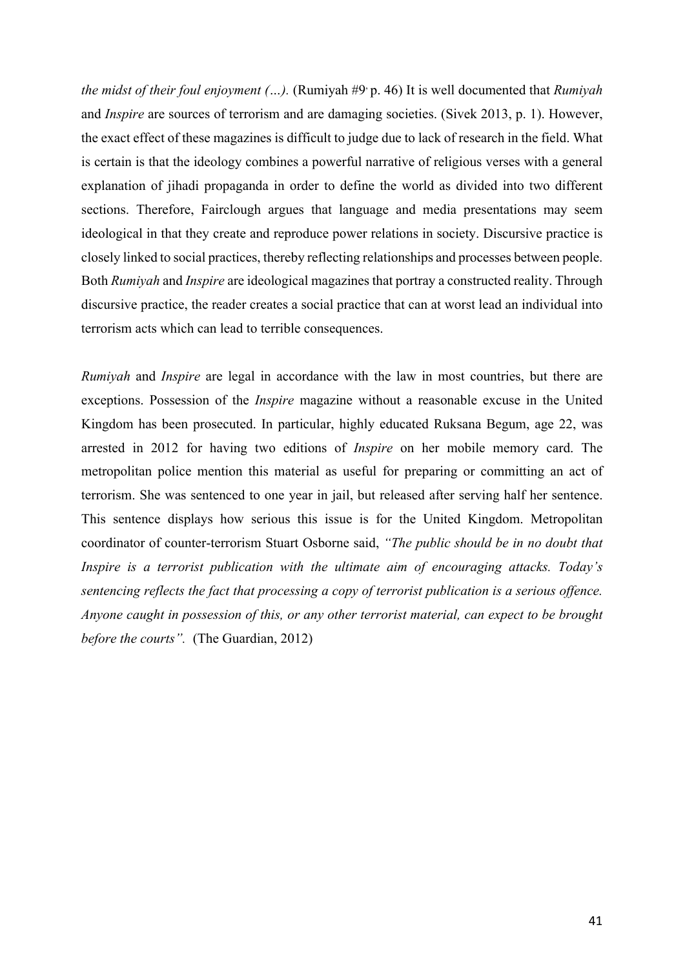*the midst of their foul enjoyment (…).* (Rumiyah #9, p. 46) It is well documented that *Rumiyah* and *Inspire* are sources of terrorism and are damaging societies. (Sivek 2013, p. 1). However, the exact effect of these magazines is difficult to judge due to lack of research in the field. What is certain is that the ideology combines a powerful narrative of religious verses with a general explanation of jihadi propaganda in order to define the world as divided into two different sections. Therefore, Fairclough argues that language and media presentations may seem ideological in that they create and reproduce power relations in society. Discursive practice is closely linked to social practices, thereby reflecting relationships and processes between people. Both *Rumiyah* and *Inspire* are ideological magazines that portray a constructed reality. Through discursive practice, the reader creates a social practice that can at worst lead an individual into terrorism acts which can lead to terrible consequences.

*Rumiyah* and *Inspire* are legal in accordance with the law in most countries, but there are exceptions. Possession of the *Inspire* magazine without a reasonable excuse in the United Kingdom has been prosecuted. In particular, highly educated Ruksana Begum, age 22, was arrested in 2012 for having two editions of *Inspire* on her mobile memory card. The metropolitan police mention this material as useful for preparing or committing an act of terrorism. She was sentenced to one year in jail, but released after serving half her sentence. This sentence displays how serious this issue is for the United Kingdom. Metropolitan coordinator of counter-terrorism Stuart Osborne said, *"The public should be in no doubt that Inspire is a terrorist publication with the ultimate aim of encouraging attacks. Today's sentencing reflects the fact that processing a copy of terrorist publication is a serious offence. Anyone caught in possession of this, or any other terrorist material, can expect to be brought before the courts".* (The Guardian, 2012)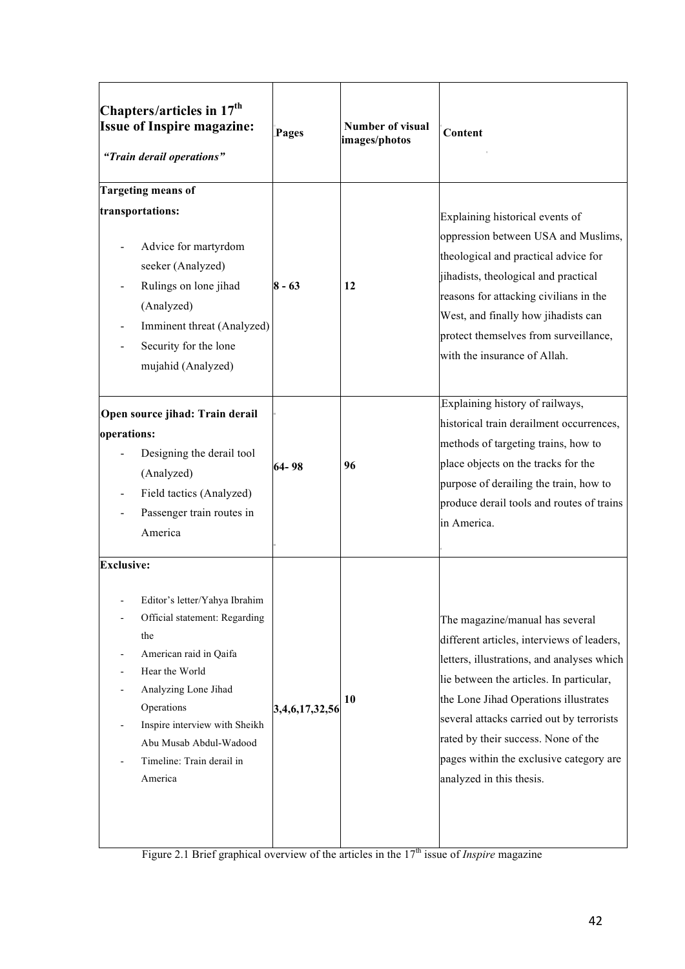| Chapters/articles in $17th$<br><b>Issue of Inspire magazine:</b><br>"Train derail operations"                                                                                                                                                                                   | <b>Pages</b>   | Number of visual<br>images/photos | Content                                                                                                                                                                                                                                                                                                                                                                     |
|---------------------------------------------------------------------------------------------------------------------------------------------------------------------------------------------------------------------------------------------------------------------------------|----------------|-----------------------------------|-----------------------------------------------------------------------------------------------------------------------------------------------------------------------------------------------------------------------------------------------------------------------------------------------------------------------------------------------------------------------------|
| <b>Targeting means of</b><br>transportations:<br>Advice for martyrdom<br>seeker (Analyzed)<br>Rulings on lone jihad<br>(Analyzed)<br>Imminent threat (Analyzed)<br>Security for the lone<br>mujahid (Analyzed)                                                                  | $8 - 63$       | 12                                | Explaining historical events of<br>oppression between USA and Muslims,<br>theological and practical advice for<br>jihadists, theological and practical<br>reasons for attacking civilians in the<br>West, and finally how jihadists can<br>protect themselves from surveillance,<br>with the insurance of Allah.                                                            |
| Open source jihad: Train derail<br>operations:<br>Designing the derail tool<br>(Analyzed)<br>Field tactics (Analyzed)<br>Passenger train routes in<br>America                                                                                                                   | 64-98          | 96                                | Explaining history of railways,<br>historical train derailment occurrences,<br>methods of targeting trains, how to<br>place objects on the tracks for the<br>purpose of derailing the train, how to<br>produce derail tools and routes of trains<br>in America.                                                                                                             |
| <b>Exclusive:</b><br>Editor's letter/Yahya Ibrahim<br>Official statement: Regarding<br>the<br>American raid in Qaifa<br>Hear the World<br>Analyzing Lone Jihad<br>Operations<br>Inspire interview with Sheikh<br>Abu Musab Abdul-Wadood<br>Timeline: Train derail in<br>America | 3,4,6,17,32,56 | 10                                | The magazine/manual has several<br>different articles, interviews of leaders,<br>letters, illustrations, and analyses which<br>lie between the articles. In particular,<br>the Lone Jihad Operations illustrates<br>several attacks carried out by terrorists<br>rated by their success. None of the<br>pages within the exclusive category are<br>analyzed in this thesis. |

Figure 2.1 Brief graphical overview of the articles in the 17<sup>th</sup> issue of *Inspire* magazine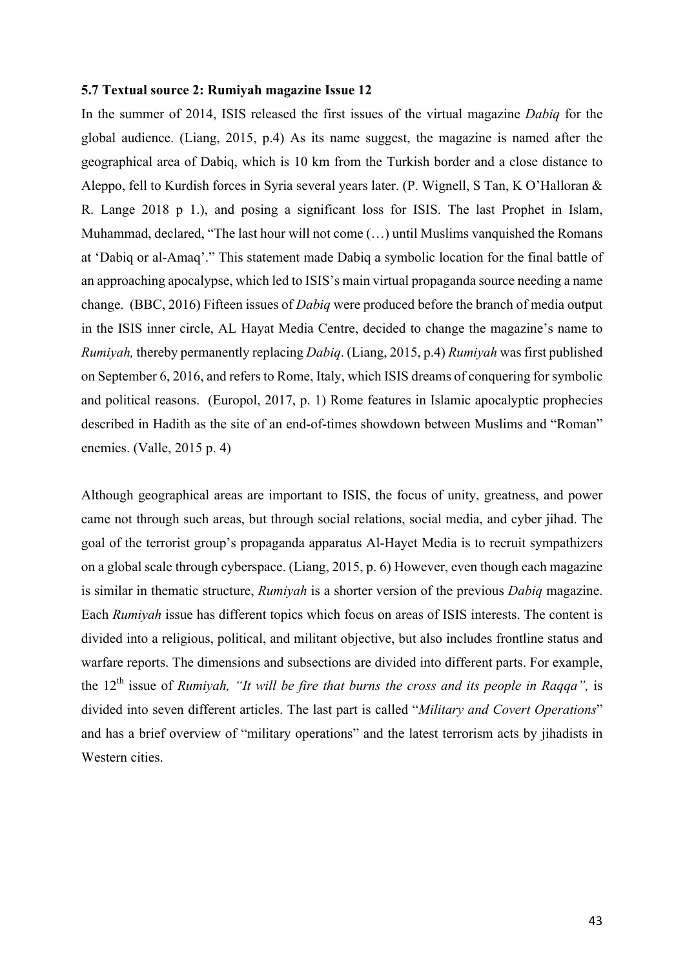#### **5.7 Textual source 2: Rumiyah magazine Issue 12**

In the summer of 2014, ISIS released the first issues of the virtual magazine *Dabiq* for the global audience. (Liang, 2015, p.4) As its name suggest, the magazine is named after the geographical area of Dabiq, which is 10 km from the Turkish border and a close distance to Aleppo, fell to Kurdish forces in Syria several years later. (P. Wignell, S Tan, K O'Halloran & R. Lange 2018 p 1.), and posing a significant loss for ISIS. The last Prophet in Islam, Muhammad, declared, "The last hour will not come (…) until Muslims vanquished the Romans at 'Dabiq or al-Amaq'." This statement made Dabiq a symbolic location for the final battle of an approaching apocalypse, which led to ISIS's main virtual propaganda source needing a name change. (BBC, 2016) Fifteen issues of *Dabiq* were produced before the branch of media output in the ISIS inner circle, AL Hayat Media Centre, decided to change the magazine's name to *Rumiyah,* thereby permanently replacing *Dabiq*. (Liang, 2015, p.4) *Rumiyah* was first published on September 6, 2016, and refers to Rome, Italy, which ISIS dreams of conquering for symbolic and political reasons. (Europol, 2017, p. 1) Rome features in Islamic apocalyptic prophecies described in Hadith as the site of an end-of-times showdown between Muslims and "Roman" enemies. (Valle, 2015 p. 4)

Although geographical areas are important to ISIS, the focus of unity, greatness, and power came not through such areas, but through social relations, social media, and cyber jihad. The goal of the terrorist group's propaganda apparatus Al-Hayet Media is to recruit sympathizers on a global scale through cyberspace. (Liang, 2015, p. 6) However, even though each magazine is similar in thematic structure, *Rumiyah* is a shorter version of the previous *Dabiq* magazine. Each *Rumiyah* issue has different topics which focus on areas of ISIS interests. The content is divided into a religious, political, and militant objective, but also includes frontline status and warfare reports. The dimensions and subsections are divided into different parts. For example, the 12th issue of *Rumiyah, "It will be fire that burns the cross and its people in Raqqa",* is divided into seven different articles. The last part is called "*Military and Covert Operations*" and has a brief overview of "military operations" and the latest terrorism acts by jihadists in Western cities.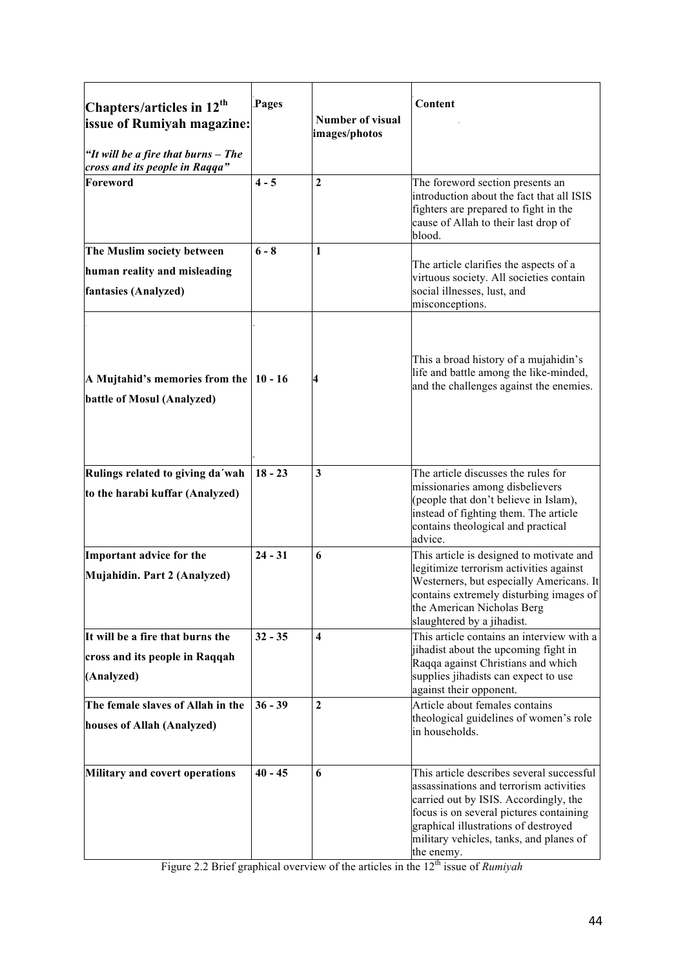| Chapters/articles in 12 <sup>th</sup><br><b>issue of Rumiyah magazine:</b><br>"It will be a fire that burns - The<br>cross and its people in Raqqa" | Pages     | <b>Number of visual</b><br>images/photos | Content                                                                                                                                                                                                                                                                   |
|-----------------------------------------------------------------------------------------------------------------------------------------------------|-----------|------------------------------------------|---------------------------------------------------------------------------------------------------------------------------------------------------------------------------------------------------------------------------------------------------------------------------|
| Foreword                                                                                                                                            | $4 - 5$   | $\mathbf{2}$                             | The foreword section presents an<br>introduction about the fact that all ISIS<br>fighters are prepared to fight in the<br>cause of Allah to their last drop of<br>blood.                                                                                                  |
| The Muslim society between<br>human reality and misleading<br>fantasies (Analyzed)                                                                  | $6 - 8$   | $\mathbf{1}$                             | The article clarifies the aspects of a<br>virtuous society. All societies contain<br>social illnesses, lust, and<br>misconceptions.                                                                                                                                       |
| A Mujtahid's memories from the $ 10 - 16$<br>battle of Mosul (Analyzed)                                                                             |           | 4                                        | This a broad history of a mujahidin's<br>life and battle among the like-minded,<br>and the challenges against the enemies.                                                                                                                                                |
| Rulings related to giving da'wah<br>to the harabi kuffar (Analyzed)                                                                                 | $18 - 23$ | $\mathbf{3}$                             | The article discusses the rules for<br>missionaries among disbelievers<br>(people that don't believe in Islam),<br>instead of fighting them. The article<br>contains theological and practical<br>advice.                                                                 |
| Important advice for the<br>Mujahidin. Part 2 (Analyzed)                                                                                            | $24 - 31$ | 6                                        | This article is designed to motivate and<br>legitimize terrorism activities against<br>Westerners, but especially Americans. It<br>contains extremely disturbing images of<br>the American Nicholas Berg<br>slaughtered by a jihadist.                                    |
| It will be a fire that burns the<br>cross and its people in Raqqah<br>(Analyzed)                                                                    | $32 - 35$ | $\overline{\mathbf{4}}$                  | This article contains an interview with a<br>jihadist about the upcoming fight in<br>Raqqa against Christians and which<br>supplies jihadists can expect to use<br>against their opponent.                                                                                |
| The female slaves of Allah in the<br>houses of Allah (Analyzed)                                                                                     | $36 - 39$ | $\boldsymbol{2}$                         | Article about females contains<br>theological guidelines of women's role<br>in households.                                                                                                                                                                                |
| <b>Military and covert operations</b>                                                                                                               | $40 - 45$ | 6                                        | This article describes several successful<br>assassinations and terrorism activities<br>carried out by ISIS. Accordingly, the<br>focus is on several pictures containing<br>graphical illustrations of destroyed<br>military vehicles, tanks, and planes of<br>the enemy. |

Figure 2.2 Brief graphical overview of the articles in the 12<sup>th</sup> issue of *Rumiyah*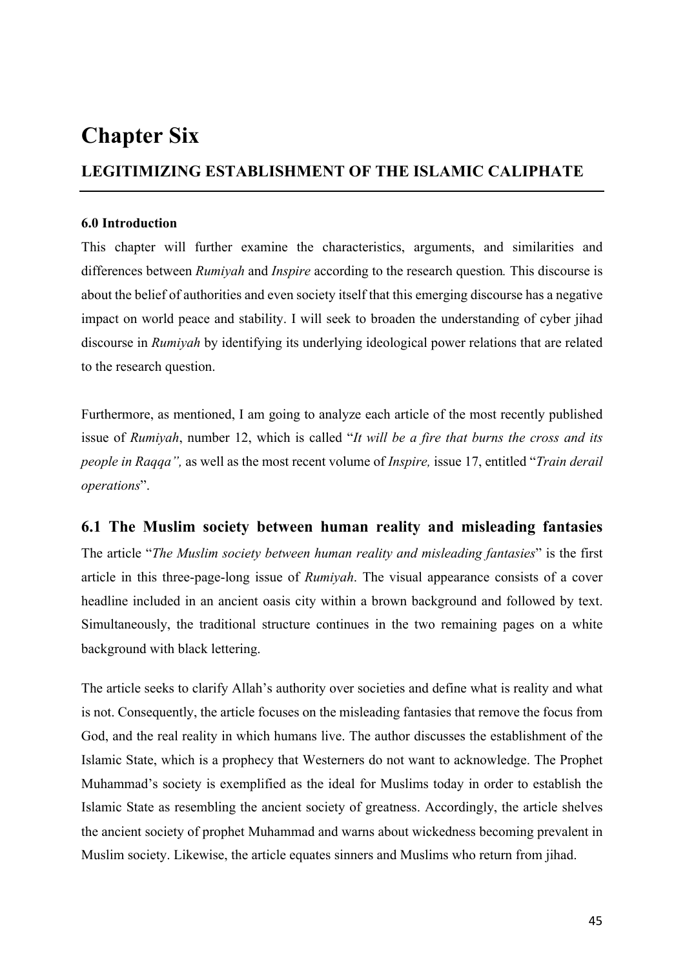# **Chapter Six**

# **LEGITIMIZING ESTABLISHMENT OF THE ISLAMIC CALIPHATE**

## **6.0 Introduction**

This chapter will further examine the characteristics, arguments, and similarities and differences between *Rumiyah* and *Inspire* according to the research question*.* This discourse is about the belief of authorities and even society itself that this emerging discourse has a negative impact on world peace and stability. I will seek to broaden the understanding of cyber jihad discourse in *Rumiyah* by identifying its underlying ideological power relations that are related to the research question.

Furthermore, as mentioned, I am going to analyze each article of the most recently published issue of *Rumiyah*, number 12, which is called "*It will be a fire that burns the cross and its people in Raqqa",* as well as the most recent volume of *Inspire,* issue 17, entitled "*Train derail operations*".

# **6.1 The Muslim society between human reality and misleading fantasies**

The article "*The Muslim society between human reality and misleading fantasies*" is the first article in this three-page-long issue of *Rumiyah*. The visual appearance consists of a cover headline included in an ancient oasis city within a brown background and followed by text. Simultaneously, the traditional structure continues in the two remaining pages on a white background with black lettering.

The article seeks to clarify Allah's authority over societies and define what is reality and what is not. Consequently, the article focuses on the misleading fantasies that remove the focus from God, and the real reality in which humans live. The author discusses the establishment of the Islamic State, which is a prophecy that Westerners do not want to acknowledge. The Prophet Muhammad's society is exemplified as the ideal for Muslims today in order to establish the Islamic State as resembling the ancient society of greatness. Accordingly, the article shelves the ancient society of prophet Muhammad and warns about wickedness becoming prevalent in Muslim society. Likewise, the article equates sinners and Muslims who return from jihad.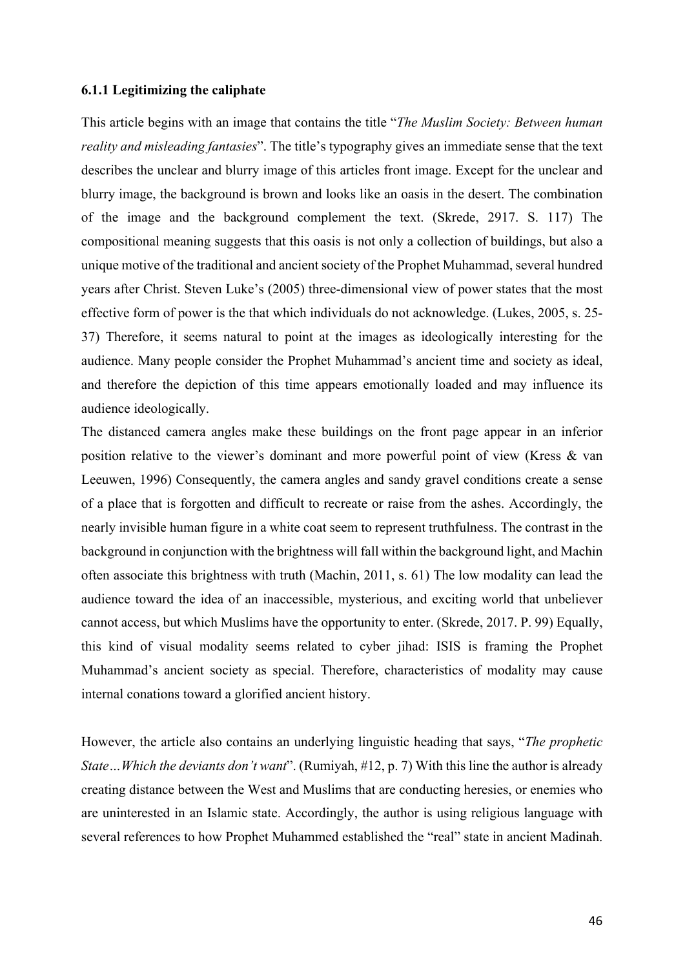#### **6.1.1 Legitimizing the caliphate**

This article begins with an image that contains the title "*The Muslim Society: Between human reality and misleading fantasies*". The title's typography gives an immediate sense that the text describes the unclear and blurry image of this articles front image. Except for the unclear and blurry image, the background is brown and looks like an oasis in the desert. The combination of the image and the background complement the text. (Skrede, 2917. S. 117) The compositional meaning suggests that this oasis is not only a collection of buildings, but also a unique motive of the traditional and ancient society of the Prophet Muhammad, several hundred years after Christ. Steven Luke's (2005) three-dimensional view of power states that the most effective form of power is the that which individuals do not acknowledge. (Lukes, 2005, s. 25- 37) Therefore, it seems natural to point at the images as ideologically interesting for the audience. Many people consider the Prophet Muhammad's ancient time and society as ideal, and therefore the depiction of this time appears emotionally loaded and may influence its audience ideologically.

The distanced camera angles make these buildings on the front page appear in an inferior position relative to the viewer's dominant and more powerful point of view (Kress & van Leeuwen, 1996) Consequently, the camera angles and sandy gravel conditions create a sense of a place that is forgotten and difficult to recreate or raise from the ashes. Accordingly, the nearly invisible human figure in a white coat seem to represent truthfulness. The contrast in the background in conjunction with the brightness will fall within the background light, and Machin often associate this brightness with truth (Machin, 2011, s. 61) The low modality can lead the audience toward the idea of an inaccessible, mysterious, and exciting world that unbeliever cannot access, but which Muslims have the opportunity to enter. (Skrede, 2017. P. 99) Equally, this kind of visual modality seems related to cyber jihad: ISIS is framing the Prophet Muhammad's ancient society as special. Therefore, characteristics of modality may cause internal conations toward a glorified ancient history.

However, the article also contains an underlying linguistic heading that says, "*The prophetic State…Which the deviants don't want*". (Rumiyah, #12, p. 7) With this line the author is already creating distance between the West and Muslims that are conducting heresies, or enemies who are uninterested in an Islamic state. Accordingly, the author is using religious language with several references to how Prophet Muhammed established the "real" state in ancient Madinah.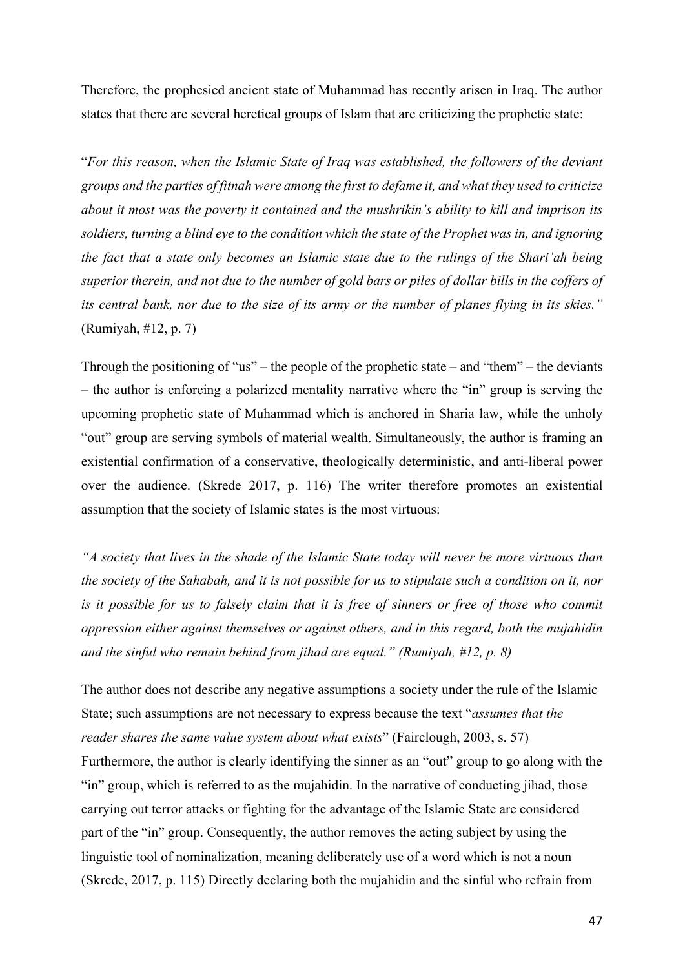Therefore, the prophesied ancient state of Muhammad has recently arisen in Iraq. The author states that there are several heretical groups of Islam that are criticizing the prophetic state:

"*For this reason, when the Islamic State of Iraq was established, the followers of the deviant groups and the parties of fitnah were among the first to defame it, and what they used to criticize about it most was the poverty it contained and the mushrikin's ability to kill and imprison its soldiers, turning a blind eye to the condition which the state of the Prophet was in, and ignoring the fact that a state only becomes an Islamic state due to the rulings of the Shari'ah being superior therein, and not due to the number of gold bars or piles of dollar bills in the coffers of its central bank, nor due to the size of its army or the number of planes flying in its skies."* (Rumiyah, #12, p. 7)

Through the positioning of "us" – the people of the prophetic state – and "them" – the deviants – the author is enforcing a polarized mentality narrative where the "in" group is serving the upcoming prophetic state of Muhammad which is anchored in Sharia law, while the unholy "out" group are serving symbols of material wealth. Simultaneously, the author is framing an existential confirmation of a conservative, theologically deterministic, and anti-liberal power over the audience. (Skrede 2017, p. 116) The writer therefore promotes an existential assumption that the society of Islamic states is the most virtuous:

*"A society that lives in the shade of the Islamic State today will never be more virtuous than the society of the Sahabah, and it is not possible for us to stipulate such a condition on it, nor is it possible for us to falsely claim that it is free of sinners or free of those who commit oppression either against themselves or against others, and in this regard, both the mujahidin and the sinful who remain behind from jihad are equal." (Rumiyah, #12, p. 8)*

The author does not describe any negative assumptions a society under the rule of the Islamic State; such assumptions are not necessary to express because the text "*assumes that the reader shares the same value system about what exists*" (Fairclough, 2003, s. 57) Furthermore, the author is clearly identifying the sinner as an "out" group to go along with the "in" group, which is referred to as the mujahidin. In the narrative of conducting jihad, those carrying out terror attacks or fighting for the advantage of the Islamic State are considered part of the "in" group. Consequently, the author removes the acting subject by using the linguistic tool of nominalization, meaning deliberately use of a word which is not a noun (Skrede, 2017, p. 115) Directly declaring both the mujahidin and the sinful who refrain from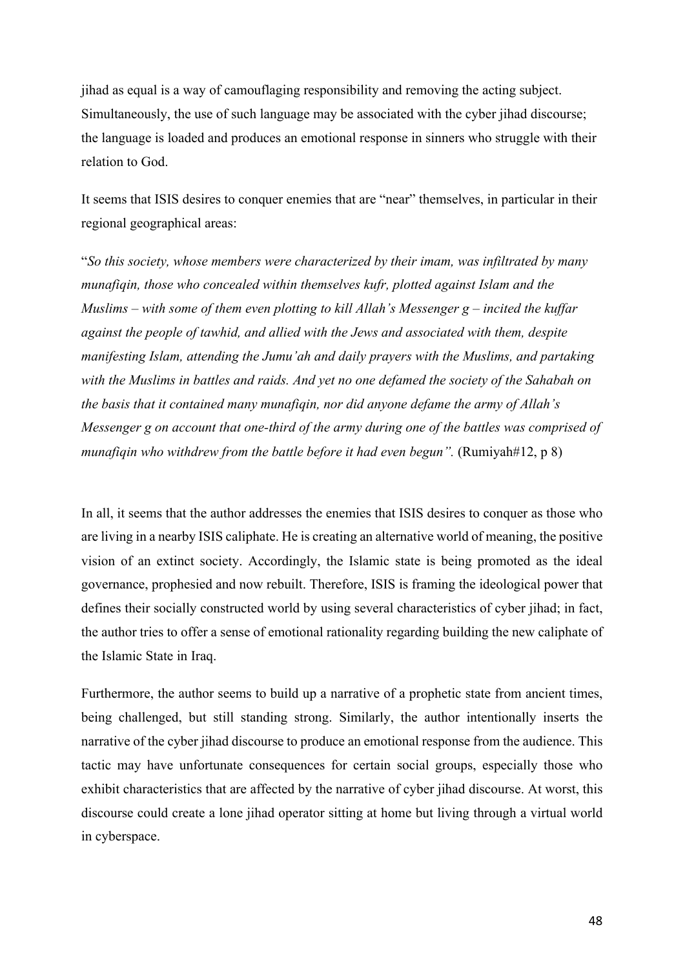jihad as equal is a way of camouflaging responsibility and removing the acting subject. Simultaneously, the use of such language may be associated with the cyber jihad discourse; the language is loaded and produces an emotional response in sinners who struggle with their relation to God.

It seems that ISIS desires to conquer enemies that are "near" themselves, in particular in their regional geographical areas:

"*So this society, whose members were characterized by their imam, was infiltrated by many munafiqin, those who concealed within themselves kufr, plotted against Islam and the Muslims – with some of them even plotting to kill Allah's Messenger g – incited the kuffar against the people of tawhid, and allied with the Jews and associated with them, despite manifesting Islam, attending the Jumu'ah and daily prayers with the Muslims, and partaking with the Muslims in battles and raids. And yet no one defamed the society of the Sahabah on the basis that it contained many munafiqin, nor did anyone defame the army of Allah's Messenger g on account that one-third of the army during one of the battles was comprised of munafiqin who withdrew from the battle before it had even begun".* (Rumiyah#12, p 8)

In all, it seems that the author addresses the enemies that ISIS desires to conquer as those who are living in a nearby ISIS caliphate. He is creating an alternative world of meaning, the positive vision of an extinct society. Accordingly, the Islamic state is being promoted as the ideal governance, prophesied and now rebuilt. Therefore, ISIS is framing the ideological power that defines their socially constructed world by using several characteristics of cyber jihad; in fact, the author tries to offer a sense of emotional rationality regarding building the new caliphate of the Islamic State in Iraq.

Furthermore, the author seems to build up a narrative of a prophetic state from ancient times, being challenged, but still standing strong. Similarly, the author intentionally inserts the narrative of the cyber jihad discourse to produce an emotional response from the audience. This tactic may have unfortunate consequences for certain social groups, especially those who exhibit characteristics that are affected by the narrative of cyber jihad discourse. At worst, this discourse could create a lone jihad operator sitting at home but living through a virtual world in cyberspace.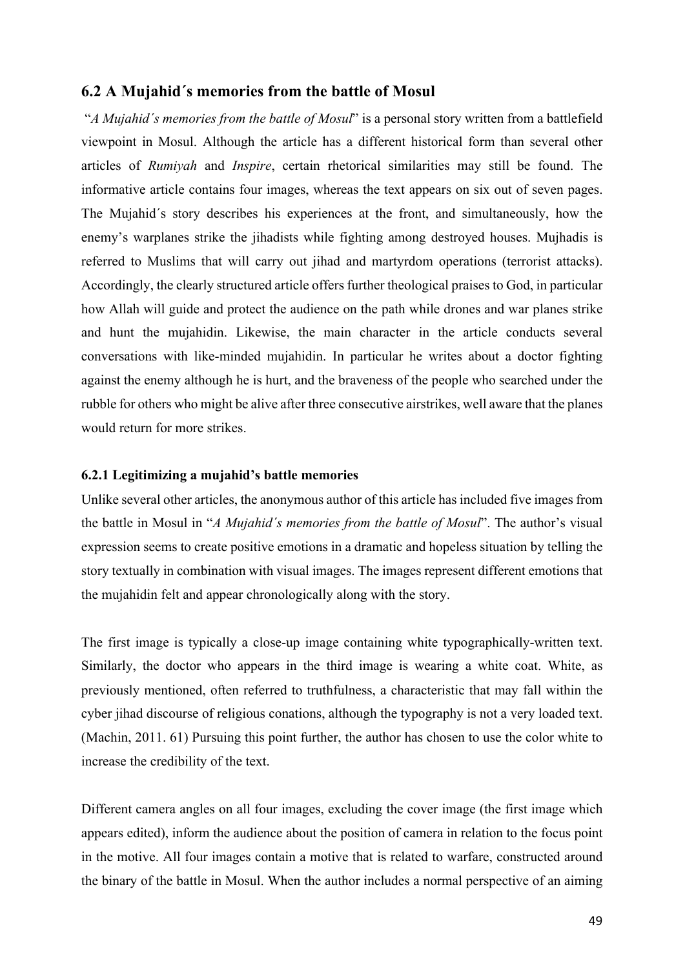## **6.2 A Mujahid´s memories from the battle of Mosul**

"*A Mujahid´s memories from the battle of Mosul*" is a personal story written from a battlefield viewpoint in Mosul. Although the article has a different historical form than several other articles of *Rumiyah* and *Inspire*, certain rhetorical similarities may still be found. The informative article contains four images, whereas the text appears on six out of seven pages. The Mujahid´s story describes his experiences at the front, and simultaneously, how the enemy's warplanes strike the jihadists while fighting among destroyed houses. Mujhadis is referred to Muslims that will carry out jihad and martyrdom operations (terrorist attacks). Accordingly, the clearly structured article offers further theological praises to God, in particular how Allah will guide and protect the audience on the path while drones and war planes strike and hunt the mujahidin. Likewise, the main character in the article conducts several conversations with like-minded mujahidin. In particular he writes about a doctor fighting against the enemy although he is hurt, and the braveness of the people who searched under the rubble for others who might be alive after three consecutive airstrikes, well aware that the planes would return for more strikes.

#### **6.2.1 Legitimizing a mujahid's battle memories**

Unlike several other articles, the anonymous author of this article has included five images from the battle in Mosul in "*A Mujahid´s memories from the battle of Mosul*". The author's visual expression seems to create positive emotions in a dramatic and hopeless situation by telling the story textually in combination with visual images. The images represent different emotions that the mujahidin felt and appear chronologically along with the story.

The first image is typically a close-up image containing white typographically-written text. Similarly, the doctor who appears in the third image is wearing a white coat. White, as previously mentioned, often referred to truthfulness, a characteristic that may fall within the cyber jihad discourse of religious conations, although the typography is not a very loaded text. (Machin, 2011. 61) Pursuing this point further, the author has chosen to use the color white to increase the credibility of the text.

Different camera angles on all four images, excluding the cover image (the first image which appears edited), inform the audience about the position of camera in relation to the focus point in the motive. All four images contain a motive that is related to warfare, constructed around the binary of the battle in Mosul. When the author includes a normal perspective of an aiming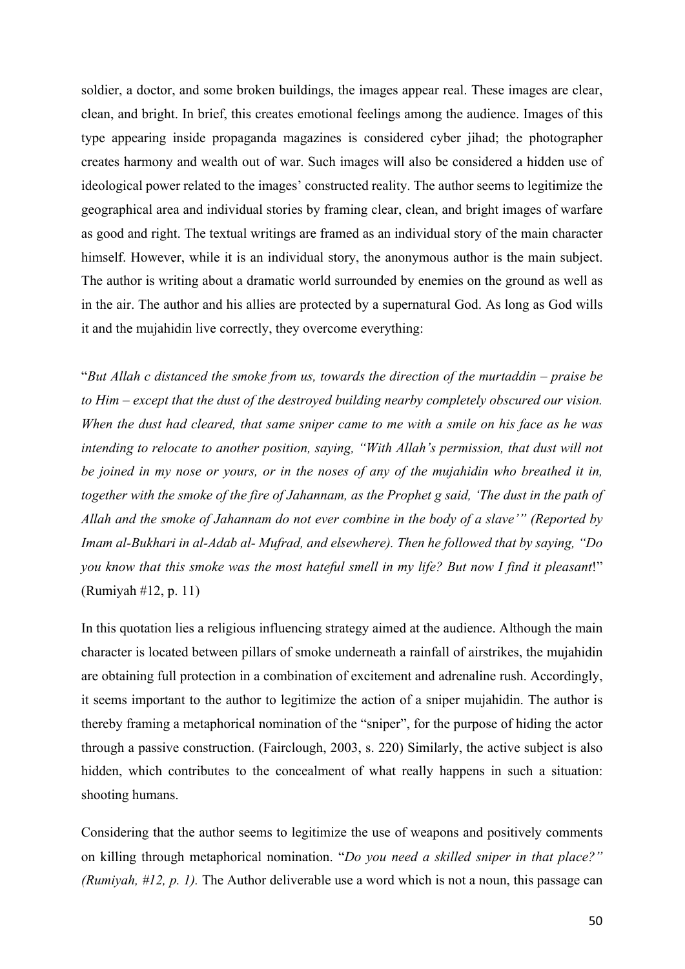soldier, a doctor, and some broken buildings, the images appear real. These images are clear, clean, and bright. In brief, this creates emotional feelings among the audience. Images of this type appearing inside propaganda magazines is considered cyber jihad; the photographer creates harmony and wealth out of war. Such images will also be considered a hidden use of ideological power related to the images' constructed reality. The author seems to legitimize the geographical area and individual stories by framing clear, clean, and bright images of warfare as good and right. The textual writings are framed as an individual story of the main character himself. However, while it is an individual story, the anonymous author is the main subject. The author is writing about a dramatic world surrounded by enemies on the ground as well as in the air. The author and his allies are protected by a supernatural God. As long as God wills it and the mujahidin live correctly, they overcome everything:

"*But Allah c distanced the smoke from us, towards the direction of the murtaddin – praise be to Him – except that the dust of the destroyed building nearby completely obscured our vision. When the dust had cleared, that same sniper came to me with a smile on his face as he was intending to relocate to another position, saying, "With Allah's permission, that dust will not be joined in my nose or yours, or in the noses of any of the mujahidin who breathed it in, together with the smoke of the fire of Jahannam, as the Prophet g said, 'The dust in the path of Allah and the smoke of Jahannam do not ever combine in the body of a slave'" (Reported by Imam al-Bukhari in al-Adab al- Mufrad, and elsewhere). Then he followed that by saying, "Do you know that this smoke was the most hateful smell in my life? But now I find it pleasant*!" (Rumiyah #12, p. 11)

In this quotation lies a religious influencing strategy aimed at the audience. Although the main character is located between pillars of smoke underneath a rainfall of airstrikes, the mujahidin are obtaining full protection in a combination of excitement and adrenaline rush. Accordingly, it seems important to the author to legitimize the action of a sniper mujahidin. The author is thereby framing a metaphorical nomination of the "sniper", for the purpose of hiding the actor through a passive construction. (Fairclough, 2003, s. 220) Similarly, the active subject is also hidden, which contributes to the concealment of what really happens in such a situation: shooting humans.

Considering that the author seems to legitimize the use of weapons and positively comments on killing through metaphorical nomination. "*Do you need a skilled sniper in that place?" (Rumiyah, #12, p. 1).* The Author deliverable use a word which is not a noun, this passage can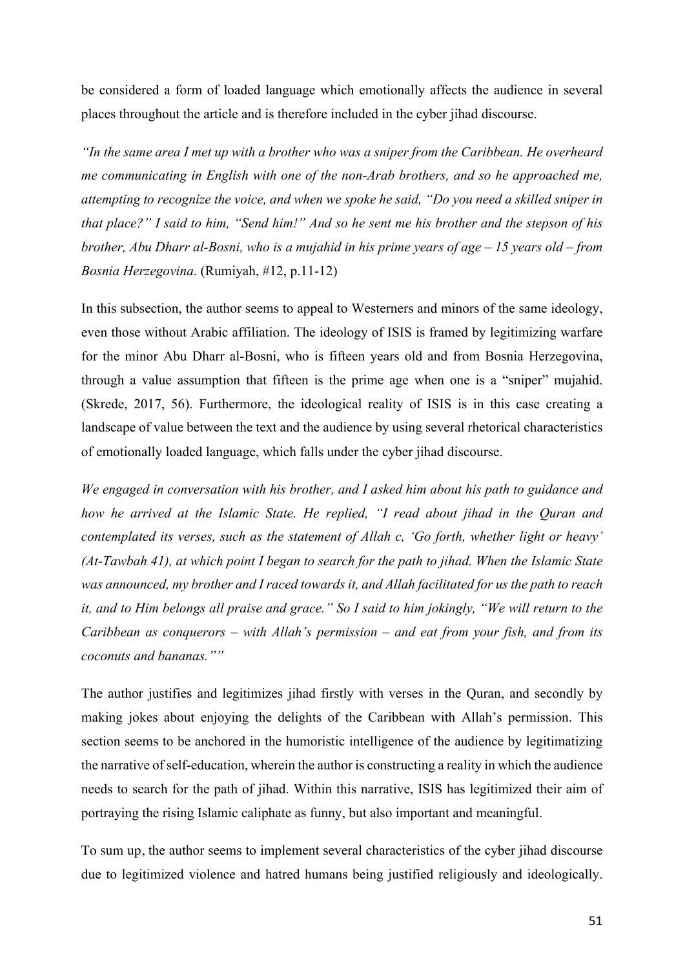be considered a form of loaded language which emotionally affects the audience in several places throughout the article and is therefore included in the cyber jihad discourse.

*"In the same area I met up with a brother who was a sniper from the Caribbean. He overheard me communicating in English with one of the non-Arab brothers, and so he approached me, attempting to recognize the voice, and when we spoke he said, "Do you need a skilled sniper in that place?" I said to him, "Send him!" And so he sent me his brother and the stepson of his brother, Abu Dharr al-Bosni, who is a mujahid in his prime years of age – 15 years old – from Bosnia Herzegovina*. (Rumiyah, #12, p.11-12)

In this subsection, the author seems to appeal to Westerners and minors of the same ideology, even those without Arabic affiliation. The ideology of ISIS is framed by legitimizing warfare for the minor Abu Dharr al-Bosni, who is fifteen years old and from Bosnia Herzegovina, through a value assumption that fifteen is the prime age when one is a "sniper" mujahid. (Skrede, 2017, 56). Furthermore, the ideological reality of ISIS is in this case creating a landscape of value between the text and the audience by using several rhetorical characteristics of emotionally loaded language, which falls under the cyber jihad discourse.

*We engaged in conversation with his brother, and I asked him about his path to guidance and how he arrived at the Islamic State. He replied, "I read about jihad in the Quran and contemplated its verses, such as the statement of Allah c, 'Go forth, whether light or heavy' (At-Tawbah 41), at which point I began to search for the path to jihad. When the Islamic State was announced, my brother and I raced towards it, and Allah facilitated for us the path to reach it, and to Him belongs all praise and grace." So I said to him jokingly, "We will return to the Caribbean as conquerors – with Allah's permission – and eat from your fish, and from its coconuts and bananas.""*

The author justifies and legitimizes jihad firstly with verses in the Quran, and secondly by making jokes about enjoying the delights of the Caribbean with Allah's permission. This section seems to be anchored in the humoristic intelligence of the audience by legitimatizing the narrative of self-education, wherein the author is constructing a reality in which the audience needs to search for the path of jihad. Within this narrative, ISIS has legitimized their aim of portraying the rising Islamic caliphate as funny, but also important and meaningful.

To sum up, the author seems to implement several characteristics of the cyber jihad discourse due to legitimized violence and hatred humans being justified religiously and ideologically.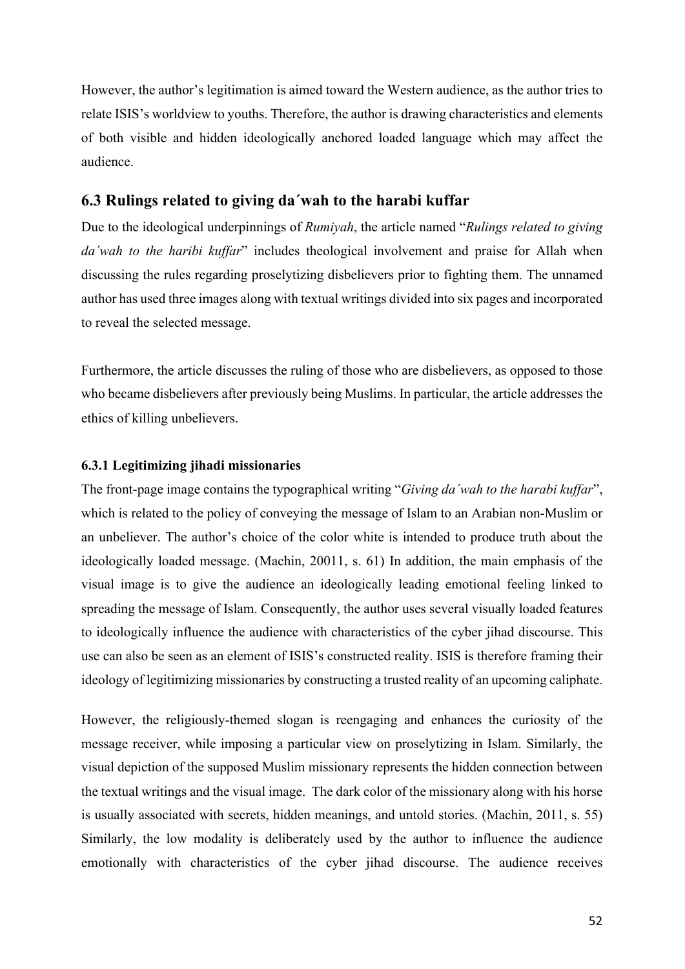However, the author's legitimation is aimed toward the Western audience, as the author tries to relate ISIS's worldview to youths. Therefore, the author is drawing characteristics and elements of both visible and hidden ideologically anchored loaded language which may affect the audience.

# **6.3 Rulings related to giving da´wah to the harabi kuffar**

Due to the ideological underpinnings of *Rumiyah*, the article named "*Rulings related to giving da´wah to the haribi kuffar*" includes theological involvement and praise for Allah when discussing the rules regarding proselytizing disbelievers prior to fighting them. The unnamed author has used three images along with textual writings divided into six pages and incorporated to reveal the selected message.

Furthermore, the article discusses the ruling of those who are disbelievers, as opposed to those who became disbelievers after previously being Muslims. In particular, the article addresses the ethics of killing unbelievers.

# **6.3.1 Legitimizing jihadi missionaries**

The front-page image contains the typographical writing "*Giving da´wah to the harabi kuffar*", which is related to the policy of conveying the message of Islam to an Arabian non-Muslim or an unbeliever. The author's choice of the color white is intended to produce truth about the ideologically loaded message. (Machin, 20011, s. 61) In addition, the main emphasis of the visual image is to give the audience an ideologically leading emotional feeling linked to spreading the message of Islam. Consequently, the author uses several visually loaded features to ideologically influence the audience with characteristics of the cyber jihad discourse. This use can also be seen as an element of ISIS's constructed reality. ISIS is therefore framing their ideology of legitimizing missionaries by constructing a trusted reality of an upcoming caliphate.

However, the religiously-themed slogan is reengaging and enhances the curiosity of the message receiver, while imposing a particular view on proselytizing in Islam. Similarly, the visual depiction of the supposed Muslim missionary represents the hidden connection between the textual writings and the visual image. The dark color of the missionary along with his horse is usually associated with secrets, hidden meanings, and untold stories. (Machin, 2011, s. 55) Similarly, the low modality is deliberately used by the author to influence the audience emotionally with characteristics of the cyber jihad discourse. The audience receives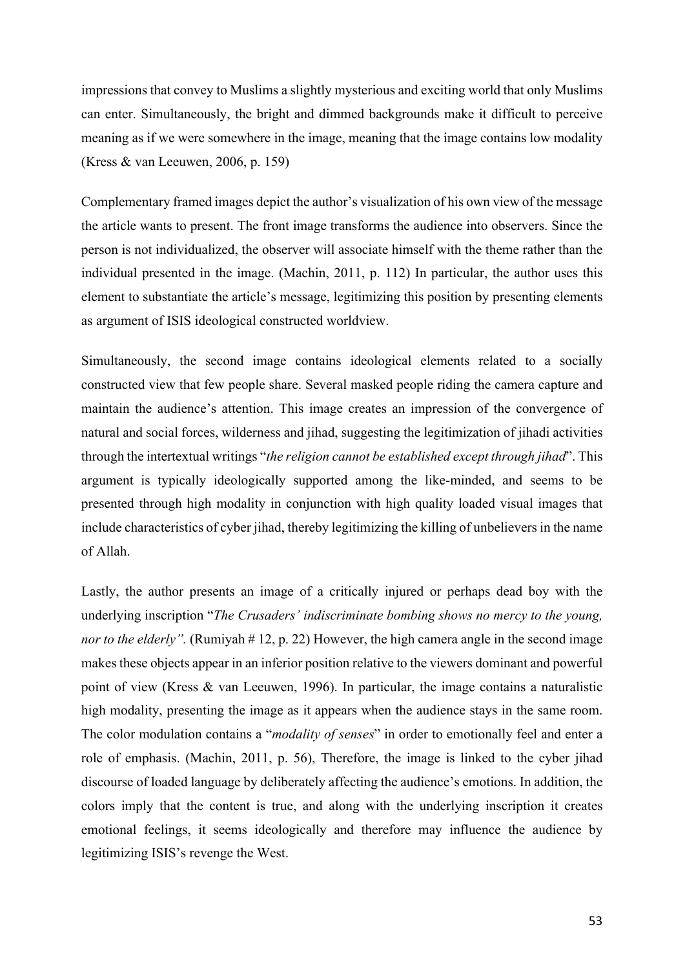impressions that convey to Muslims a slightly mysterious and exciting world that only Muslims can enter. Simultaneously, the bright and dimmed backgrounds make it difficult to perceive meaning as if we were somewhere in the image, meaning that the image contains low modality (Kress & van Leeuwen, 2006, p. 159)

Complementary framed images depict the author's visualization of his own view of the message the article wants to present. The front image transforms the audience into observers. Since the person is not individualized, the observer will associate himself with the theme rather than the individual presented in the image. (Machin, 2011, p. 112) In particular, the author uses this element to substantiate the article's message, legitimizing this position by presenting elements as argument of ISIS ideological constructed worldview.

Simultaneously, the second image contains ideological elements related to a socially constructed view that few people share. Several masked people riding the camera capture and maintain the audience's attention. This image creates an impression of the convergence of natural and social forces, wilderness and jihad, suggesting the legitimization of jihadi activities through the intertextual writings "*the religion cannot be established except through jihad*". This argument is typically ideologically supported among the like-minded, and seems to be presented through high modality in conjunction with high quality loaded visual images that include characteristics of cyber jihad, thereby legitimizing the killing of unbelievers in the name of Allah.

Lastly, the author presents an image of a critically injured or perhaps dead boy with the underlying inscription "*The Crusaders' indiscriminate bombing shows no mercy to the young, nor to the elderly".* (Rumiyah # 12, p. 22) However, the high camera angle in the second image makes these objects appear in an inferior position relative to the viewers dominant and powerful point of view (Kress & van Leeuwen, 1996). In particular, the image contains a naturalistic high modality, presenting the image as it appears when the audience stays in the same room. The color modulation contains a "*modality of senses*" in order to emotionally feel and enter a role of emphasis. (Machin, 2011, p. 56), Therefore, the image is linked to the cyber jihad discourse of loaded language by deliberately affecting the audience's emotions. In addition, the colors imply that the content is true, and along with the underlying inscription it creates emotional feelings, it seems ideologically and therefore may influence the audience by legitimizing ISIS's revenge the West.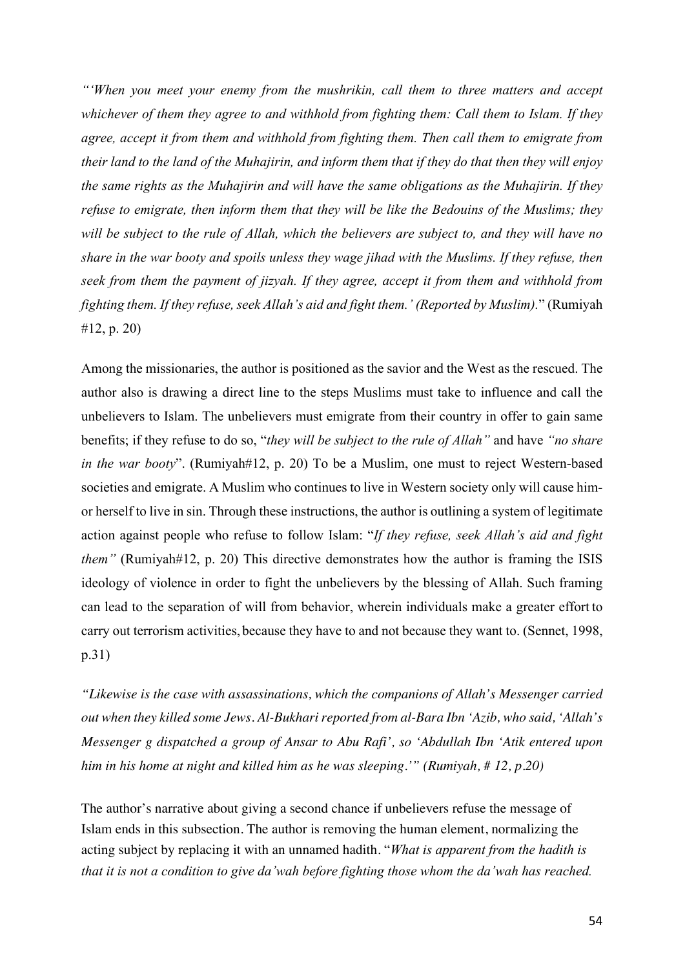*"'When you meet your enemy from the mushrikin, call them to three matters and accept whichever of them they agree to and withhold from fighting them: Call them to Islam. If they agree, accept it from them and withhold from fighting them. Then call them to emigrate from their land to the land of the Muhajirin, and inform them that if they do that then they will enjoy the same rights as the Muhajirin and will have the same obligations as the Muhajirin. If they refuse to emigrate, then inform them that they will be like the Bedouins of the Muslims; they will be subject to the rule of Allah, which the believers are subject to, and they will have no share in the war booty and spoils unless they wage jihad with the Muslims. If they refuse, then seek from them the payment of jizyah. If they agree, accept it from them and withhold from fighting them. If they refuse, seek Allah's aid and fight them.' (Reported by Muslim).*" (Rumiyah #12, p. 20)

Among the missionaries, the author is positioned as the savior and the West as the rescued. The author also is drawing a direct line to the steps Muslims must take to influence and call the unbelievers to Islam. The unbelievers must emigrate from their country in offer to gain same benefits; if they refuse to do so, "*they will be subject to the rule of Allah"* and have *"no share in the war booty*". (Rumiyah#12, p. 20) To be a Muslim, one must to reject Western-based societies and emigrate. A Muslim who continues to live in Western society only will cause himor herself to live in sin. Through these instructions, the author is outlining a system of legitimate action against people who refuse to follow Islam: "*If they refuse, seek Allah's aid and fight them"* (Rumiyah#12, p. 20) This directive demonstrates how the author is framing the ISIS ideology of violence in order to fight the unbelievers by the blessing of Allah. Such framing can lead to the separation of will from behavior, wherein individuals make a greater effort to carry out terrorism activities, because they have to and not because they want to. (Sennet, 1998, p.31)

*"Likewise is the case with assassinations, which the companions of Allah's Messenger carried out when they killed some Jews. Al-Bukhari reported from al-Bara Ibn 'Azib, who said, 'Allah's Messenger g dispatched a group of Ansar to Abu Rafi', so 'Abdullah Ibn 'Atik entered upon him in his home at night and killed him as he was sleeping.'" (Rumiyah, # 12, p.20)* 

The author's narrative about giving a second chance if unbelievers refuse the message of Islam ends in this subsection. The author is removing the human element, normalizing the acting subject by replacing it with an unnamed hadith. "*What is apparent from the hadith is that it is not a condition to give da'wah before fighting those whom the da'wah has reached.*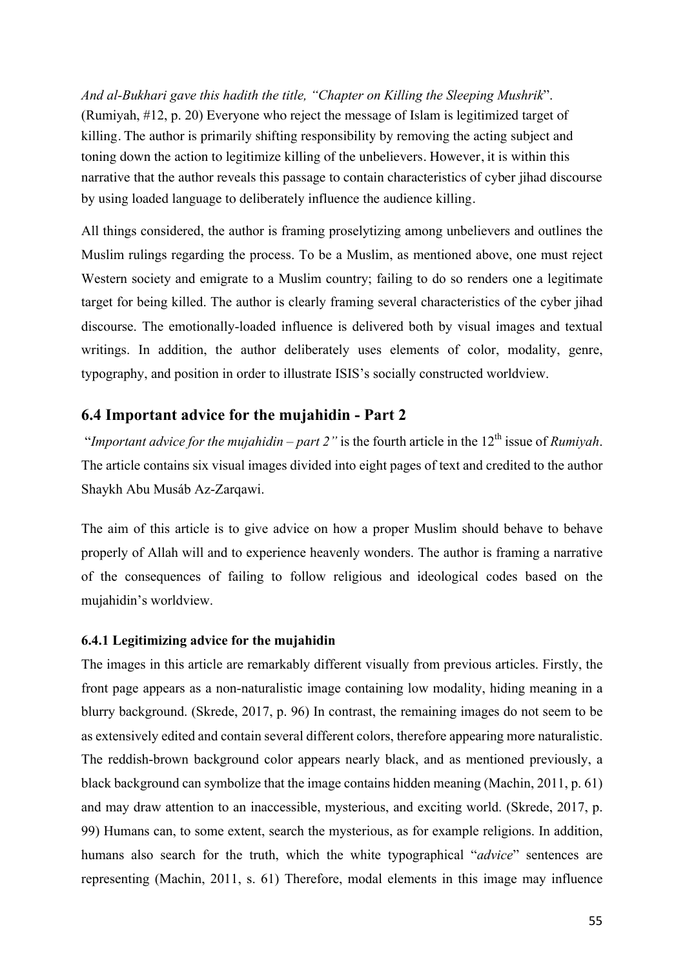*And al-Bukhari gave this hadith the title, "Chapter on Killing the Sleeping Mushrik*". (Rumiyah, #12, p. 20) Everyone who reject the message of Islam is legitimized target of killing. The author is primarily shifting responsibility by removing the acting subject and toning down the action to legitimize killing of the unbelievers. However, it is within this narrative that the author reveals this passage to contain characteristics of cyber jihad discourse by using loaded language to deliberately influence the audience killing.

All things considered, the author is framing proselytizing among unbelievers and outlines the Muslim rulings regarding the process. To be a Muslim, as mentioned above, one must reject Western society and emigrate to a Muslim country; failing to do so renders one a legitimate target for being killed. The author is clearly framing several characteristics of the cyber jihad discourse. The emotionally-loaded influence is delivered both by visual images and textual writings. In addition, the author deliberately uses elements of color, modality, genre, typography, and position in order to illustrate ISIS's socially constructed worldview.

# **6.4 Important advice for the mujahidin - Part 2**

"*Important advice for the mujahidin – part 2*" is the fourth article in the  $12<sup>th</sup>$  issue of *Rumivah*. The article contains six visual images divided into eight pages of text and credited to the author Shaykh Abu Musáb Az-Zarqawi.

The aim of this article is to give advice on how a proper Muslim should behave to behave properly of Allah will and to experience heavenly wonders. The author is framing a narrative of the consequences of failing to follow religious and ideological codes based on the mujahidin's worldview.

## **6.4.1 Legitimizing advice for the mujahidin**

The images in this article are remarkably different visually from previous articles. Firstly, the front page appears as a non-naturalistic image containing low modality, hiding meaning in a blurry background. (Skrede, 2017, p. 96) In contrast, the remaining images do not seem to be as extensively edited and contain several different colors, therefore appearing more naturalistic. The reddish-brown background color appears nearly black, and as mentioned previously, a black background can symbolize that the image contains hidden meaning (Machin, 2011, p. 61) and may draw attention to an inaccessible, mysterious, and exciting world. (Skrede, 2017, p. 99) Humans can, to some extent, search the mysterious, as for example religions. In addition, humans also search for the truth, which the white typographical "*advice*" sentences are representing (Machin, 2011, s. 61) Therefore, modal elements in this image may influence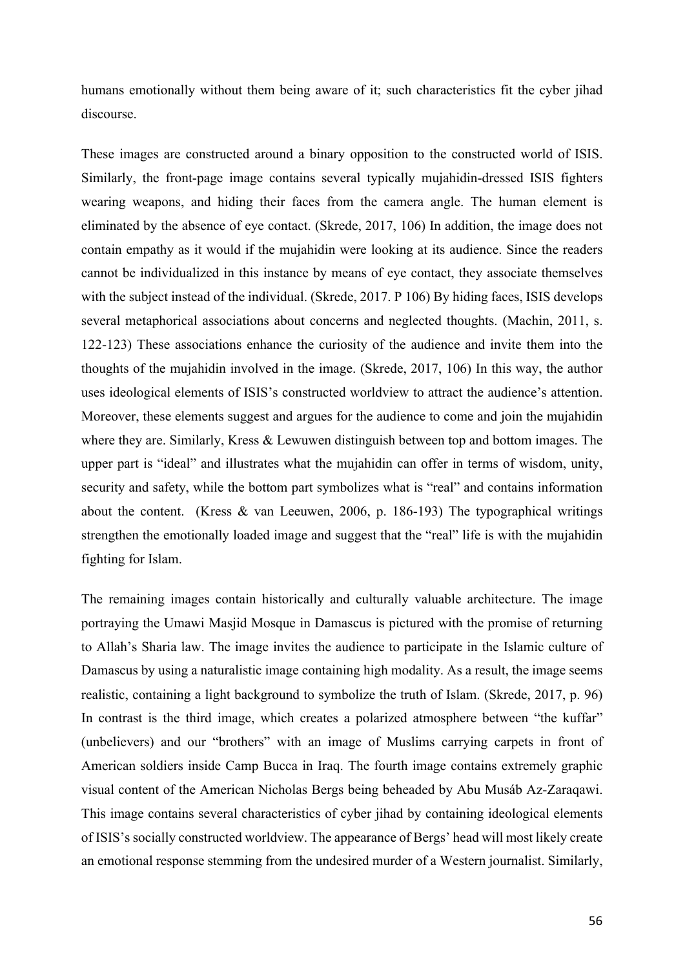humans emotionally without them being aware of it; such characteristics fit the cyber jihad discourse.

These images are constructed around a binary opposition to the constructed world of ISIS. Similarly, the front-page image contains several typically mujahidin-dressed ISIS fighters wearing weapons, and hiding their faces from the camera angle. The human element is eliminated by the absence of eye contact. (Skrede, 2017, 106) In addition, the image does not contain empathy as it would if the mujahidin were looking at its audience. Since the readers cannot be individualized in this instance by means of eye contact, they associate themselves with the subject instead of the individual. (Skrede, 2017. P 106) By hiding faces, ISIS develops several metaphorical associations about concerns and neglected thoughts. (Machin, 2011, s. 122-123) These associations enhance the curiosity of the audience and invite them into the thoughts of the mujahidin involved in the image. (Skrede, 2017, 106) In this way, the author uses ideological elements of ISIS's constructed worldview to attract the audience's attention. Moreover, these elements suggest and argues for the audience to come and join the mujahidin where they are. Similarly, Kress & Lewuwen distinguish between top and bottom images. The upper part is "ideal" and illustrates what the mujahidin can offer in terms of wisdom, unity, security and safety, while the bottom part symbolizes what is "real" and contains information about the content. (Kress & van Leeuwen, 2006, p. 186-193) The typographical writings strengthen the emotionally loaded image and suggest that the "real" life is with the mujahidin fighting for Islam.

The remaining images contain historically and culturally valuable architecture. The image portraying the Umawi Masjid Mosque in Damascus is pictured with the promise of returning to Allah's Sharia law. The image invites the audience to participate in the Islamic culture of Damascus by using a naturalistic image containing high modality. As a result, the image seems realistic, containing a light background to symbolize the truth of Islam. (Skrede, 2017, p. 96) In contrast is the third image, which creates a polarized atmosphere between "the kuffar" (unbelievers) and our "brothers" with an image of Muslims carrying carpets in front of American soldiers inside Camp Bucca in Iraq. The fourth image contains extremely graphic visual content of the American Nicholas Bergs being beheaded by Abu Musáb Az-Zaraqawi. This image contains several characteristics of cyber jihad by containing ideological elements of ISIS's socially constructed worldview. The appearance of Bergs' head will most likely create an emotional response stemming from the undesired murder of a Western journalist. Similarly,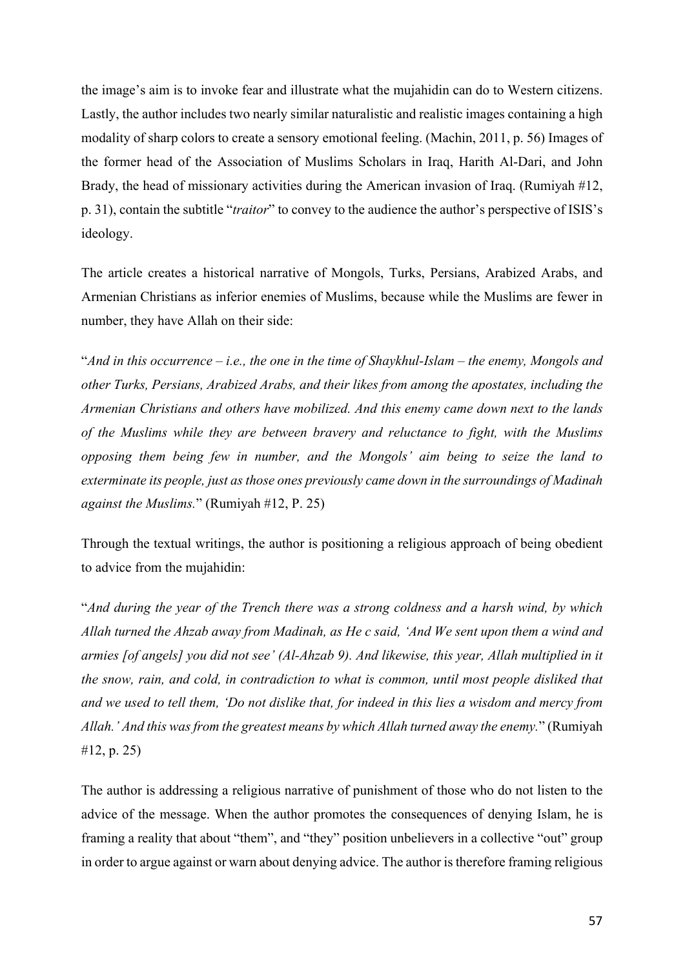the image's aim is to invoke fear and illustrate what the mujahidin can do to Western citizens. Lastly, the author includes two nearly similar naturalistic and realistic images containing a high modality of sharp colors to create a sensory emotional feeling. (Machin, 2011, p. 56) Images of the former head of the Association of Muslims Scholars in Iraq, Harith Al-Dari, and John Brady, the head of missionary activities during the American invasion of Iraq. (Rumiyah #12, p. 31), contain the subtitle "*traitor*" to convey to the audience the author's perspective of ISIS's ideology.

The article creates a historical narrative of Mongols, Turks, Persians, Arabized Arabs, and Armenian Christians as inferior enemies of Muslims, because while the Muslims are fewer in number, they have Allah on their side:

"*And in this occurrence – i.e., the one in the time of Shaykhul-Islam – the enemy, Mongols and other Turks, Persians, Arabized Arabs, and their likes from among the apostates, including the Armenian Christians and others have mobilized. And this enemy came down next to the lands of the Muslims while they are between bravery and reluctance to fight, with the Muslims opposing them being few in number, and the Mongols' aim being to seize the land to exterminate its people, just as those ones previously came down in the surroundings of Madinah against the Muslims.*" (Rumiyah #12, P. 25)

Through the textual writings, the author is positioning a religious approach of being obedient to advice from the mujahidin:

"*And during the year of the Trench there was a strong coldness and a harsh wind, by which Allah turned the Ahzab away from Madinah, as He c said, 'And We sent upon them a wind and armies [of angels] you did not see' (Al-Ahzab 9). And likewise, this year, Allah multiplied in it the snow, rain, and cold, in contradiction to what is common, until most people disliked that and we used to tell them, 'Do not dislike that, for indeed in this lies a wisdom and mercy from Allah.' And this was from the greatest means by which Allah turned away the enemy.*" (Rumiyah #12, p. 25)

The author is addressing a religious narrative of punishment of those who do not listen to the advice of the message. When the author promotes the consequences of denying Islam, he is framing a reality that about "them", and "they" position unbelievers in a collective "out" group in order to argue against or warn about denying advice. The author is therefore framing religious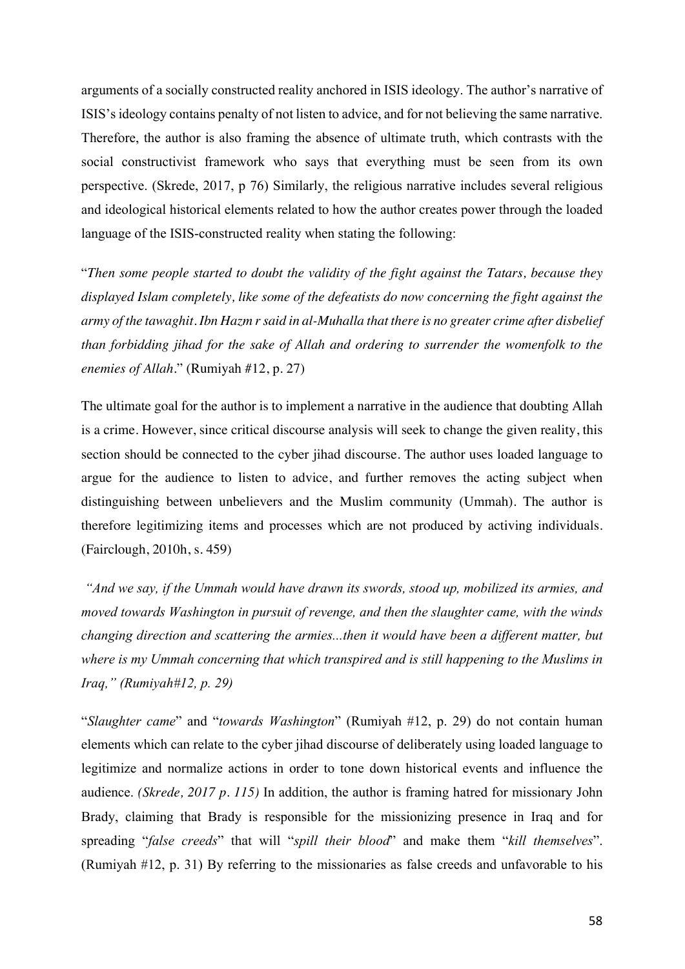arguments of a socially constructed reality anchored in ISIS ideology. The author's narrative of ISIS'sideology contains penalty of not listen to advice, and for not believing the same narrative. Therefore, the author is also framing the absence of ultimate truth, which contrasts with the social constructivist framework who says that everything must be seen from its own perspective. (Skrede, 2017, p 76) Similarly, the religious narrative includes several religious and ideological historical elements related to how the author creates power through the loaded language of the ISIS-constructed reality when stating the following:

"*Then some people started to doubt the validity of the fight against the Tatars, because they displayed Islam completely, like some of the defeatists do now concerning the fight against the army of the tawaghit. Ibn Hazm r said in al-Muhalla that there is no greater crime after disbelief than forbidding jihad for the sake of Allah and ordering to surrender the womenfolk to the enemies of Allah.*" (Rumiyah #12, p. 27)

The ultimate goal for the author is to implement a narrative in the audience that doubting Allah is a crime. However, since critical discourse analysis will seek to change the given reality, this section should be connected to the cyber jihad discourse. The author uses loaded language to argue for the audience to listen to advice, and further removes the acting subject when distinguishing between unbelievers and the Muslim community (Ummah). The author is therefore legitimizing items and processes which are not produced by activing individuals. (Fairclough, 2010h, s. 459)

*"And we say, if the Ummah would have drawn its swords, stood up, mobilized its armies, and moved towards Washington in pursuit of revenge, and then the slaughter came, with the winds changing direction and scattering the armies...then it would have been a different matter, but where is my Ummah concerning that which transpired and is still happening to the Muslims in Iraq," (Rumiyah#12, p. 29)*

"*Slaughter came*" and "*towards Washington*" (Rumiyah #12, p. 29) do not contain human elements which can relate to the cyber jihad discourse of deliberately using loaded language to legitimize and normalize actions in order to tone down historical events and influence the audience. *(Skrede, 2017 p. 115)* In addition, the author is framing hatred for missionary John Brady, claiming that Brady is responsible for the missionizing presence in Iraq and for spreading "*false creeds*" that will "*spill their blood*" and make them "*kill themselves*". (Rumiyah #12, p. 31) By referring to the missionaries as false creeds and unfavorable to his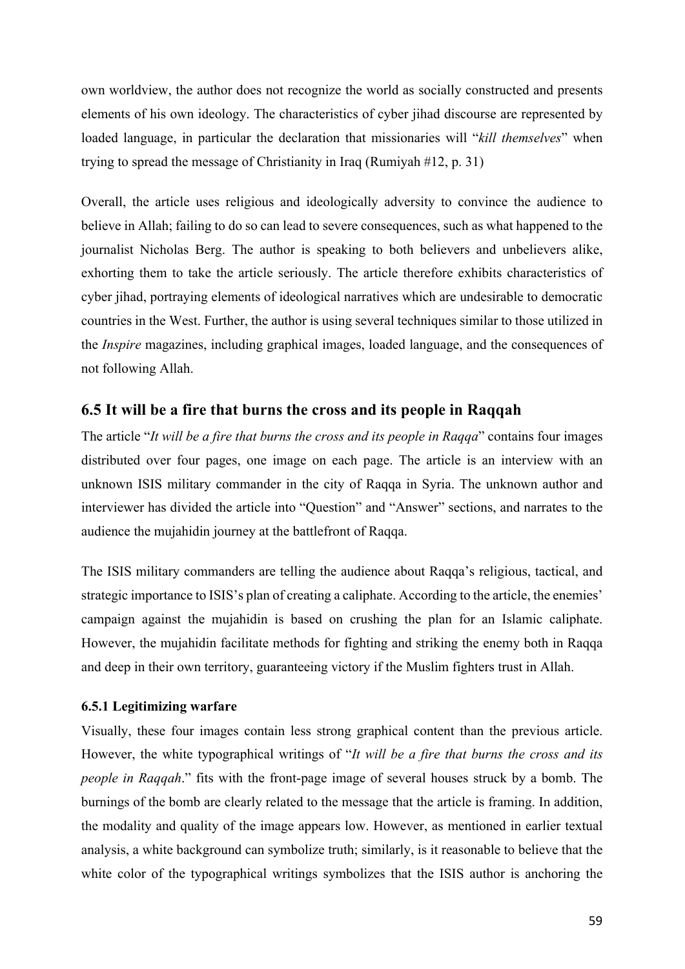own worldview, the author does not recognize the world as socially constructed and presents elements of his own ideology. The characteristics of cyber jihad discourse are represented by loaded language, in particular the declaration that missionaries will "*kill themselves*" when trying to spread the message of Christianity in Iraq (Rumiyah #12, p. 31)

Overall, the article uses religious and ideologically adversity to convince the audience to believe in Allah; failing to do so can lead to severe consequences, such as what happened to the journalist Nicholas Berg. The author is speaking to both believers and unbelievers alike, exhorting them to take the article seriously. The article therefore exhibits characteristics of cyber jihad, portraying elements of ideological narratives which are undesirable to democratic countries in the West. Further, the author is using several techniques similar to those utilized in the *Inspire* magazines, including graphical images, loaded language, and the consequences of not following Allah.

# **6.5 It will be a fire that burns the cross and its people in Raqqah**

The article "*It will be a fire that burns the cross and its people in Raqqa*" contains four images distributed over four pages, one image on each page. The article is an interview with an unknown ISIS military commander in the city of Raqqa in Syria. The unknown author and interviewer has divided the article into "Question" and "Answer" sections, and narrates to the audience the mujahidin journey at the battlefront of Raqqa.

The ISIS military commanders are telling the audience about Raqqa's religious, tactical, and strategic importance to ISIS's plan of creating a caliphate. According to the article, the enemies' campaign against the mujahidin is based on crushing the plan for an Islamic caliphate. However, the mujahidin facilitate methods for fighting and striking the enemy both in Raqqa and deep in their own territory, guaranteeing victory if the Muslim fighters trust in Allah.

## **6.5.1 Legitimizing warfare**

Visually, these four images contain less strong graphical content than the previous article. However, the white typographical writings of "*It will be a fire that burns the cross and its people in Raqqah*." fits with the front-page image of several houses struck by a bomb. The burnings of the bomb are clearly related to the message that the article is framing. In addition, the modality and quality of the image appears low. However, as mentioned in earlier textual analysis, a white background can symbolize truth; similarly, is it reasonable to believe that the white color of the typographical writings symbolizes that the ISIS author is anchoring the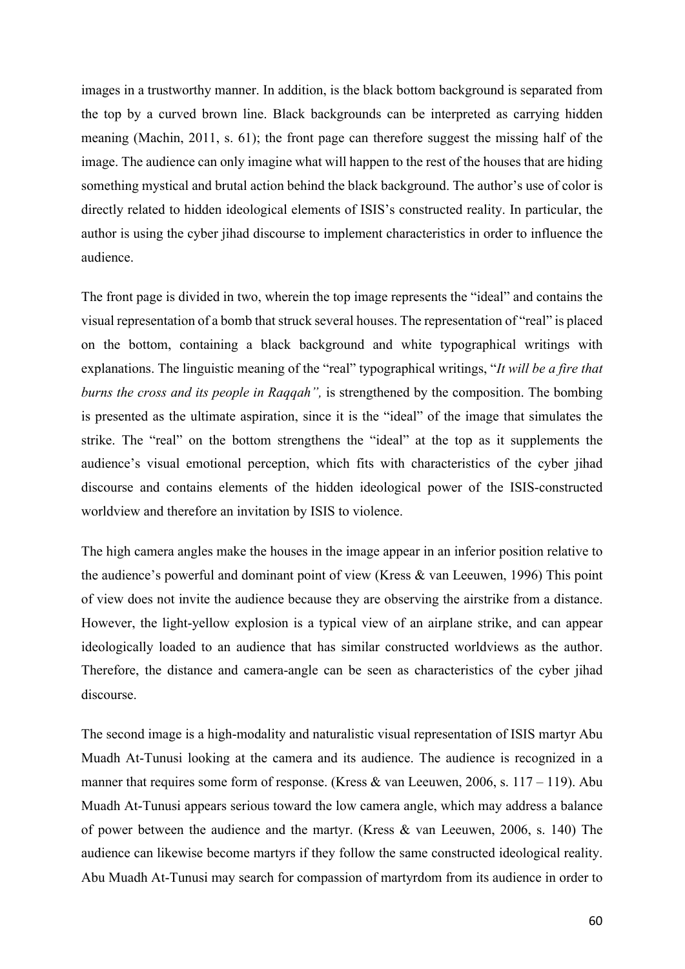images in a trustworthy manner. In addition, is the black bottom background is separated from the top by a curved brown line. Black backgrounds can be interpreted as carrying hidden meaning (Machin, 2011, s. 61); the front page can therefore suggest the missing half of the image. The audience can only imagine what will happen to the rest of the houses that are hiding something mystical and brutal action behind the black background. The author's use of color is directly related to hidden ideological elements of ISIS's constructed reality. In particular, the author is using the cyber jihad discourse to implement characteristics in order to influence the audience.

The front page is divided in two, wherein the top image represents the "ideal" and contains the visual representation of a bomb that struck several houses. The representation of "real" is placed on the bottom, containing a black background and white typographical writings with explanations. The linguistic meaning of the "real" typographical writings, "*It will be a fire that burns the cross and its people in Raqqah",* is strengthened by the composition. The bombing is presented as the ultimate aspiration, since it is the "ideal" of the image that simulates the strike. The "real" on the bottom strengthens the "ideal" at the top as it supplements the audience's visual emotional perception, which fits with characteristics of the cyber jihad discourse and contains elements of the hidden ideological power of the ISIS-constructed worldview and therefore an invitation by ISIS to violence.

The high camera angles make the houses in the image appear in an inferior position relative to the audience's powerful and dominant point of view (Kress & van Leeuwen, 1996) This point of view does not invite the audience because they are observing the airstrike from a distance. However, the light-yellow explosion is a typical view of an airplane strike, and can appear ideologically loaded to an audience that has similar constructed worldviews as the author. Therefore, the distance and camera-angle can be seen as characteristics of the cyber jihad discourse.

The second image is a high-modality and naturalistic visual representation of ISIS martyr Abu Muadh At-Tunusi looking at the camera and its audience. The audience is recognized in a manner that requires some form of response. (Kress  $\&$  van Leeuwen, 2006, s. 117 – 119). Abu Muadh At-Tunusi appears serious toward the low camera angle, which may address a balance of power between the audience and the martyr. (Kress & van Leeuwen, 2006, s. 140) The audience can likewise become martyrs if they follow the same constructed ideological reality. Abu Muadh At-Tunusi may search for compassion of martyrdom from its audience in order to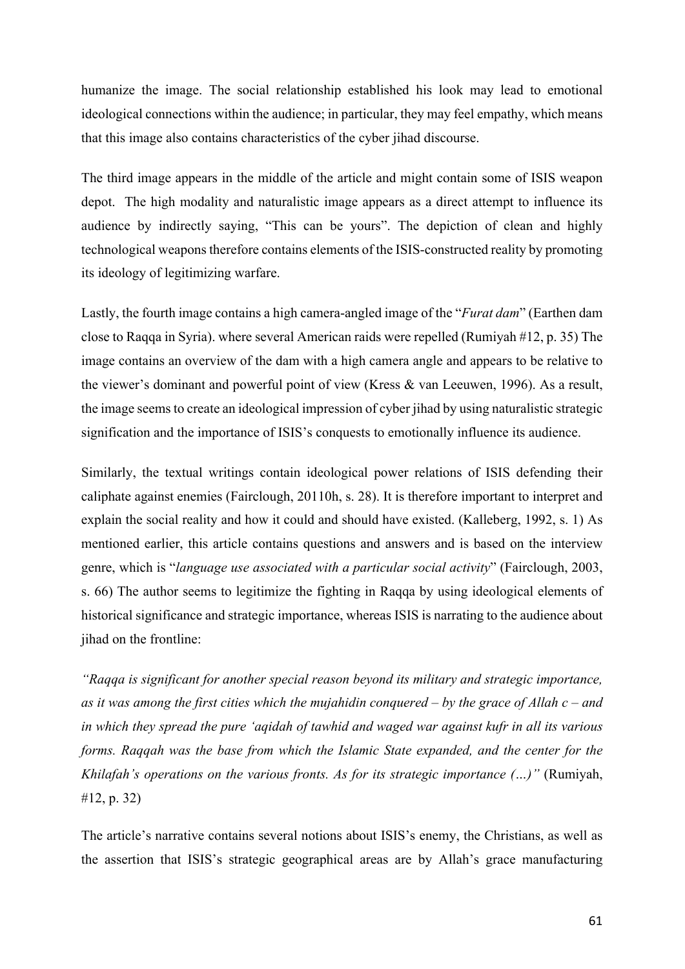humanize the image. The social relationship established his look may lead to emotional ideological connections within the audience; in particular, they may feel empathy, which means that this image also contains characteristics of the cyber jihad discourse.

The third image appears in the middle of the article and might contain some of ISIS weapon depot. The high modality and naturalistic image appears as a direct attempt to influence its audience by indirectly saying, "This can be yours". The depiction of clean and highly technological weapons therefore contains elements of the ISIS-constructed reality by promoting its ideology of legitimizing warfare.

Lastly, the fourth image contains a high camera-angled image of the "*Furat dam*" (Earthen dam close to Raqqa in Syria). where several American raids were repelled (Rumiyah #12, p. 35) The image contains an overview of the dam with a high camera angle and appears to be relative to the viewer's dominant and powerful point of view (Kress & van Leeuwen, 1996). As a result, the image seems to create an ideological impression of cyber jihad by using naturalistic strategic signification and the importance of ISIS's conquests to emotionally influence its audience.

Similarly, the textual writings contain ideological power relations of ISIS defending their caliphate against enemies (Fairclough, 20110h, s. 28). It is therefore important to interpret and explain the social reality and how it could and should have existed. (Kalleberg, 1992, s. 1) As mentioned earlier, this article contains questions and answers and is based on the interview genre, which is "*language use associated with a particular social activity*" (Fairclough, 2003, s. 66) The author seems to legitimize the fighting in Raqqa by using ideological elements of historical significance and strategic importance, whereas ISIS is narrating to the audience about jihad on the frontline:

*"Raqqa is significant for another special reason beyond its military and strategic importance, as it was among the first cities which the mujahidin conquered – by the grace of Allah c – and in which they spread the pure 'aqidah of tawhid and waged war against kufr in all its various forms. Raqqah was the base from which the Islamic State expanded, and the center for the Khilafah's operations on the various fronts. As for its strategic importance (…)"* (Rumiyah, #12, p. 32)

The article's narrative contains several notions about ISIS's enemy, the Christians, as well as the assertion that ISIS's strategic geographical areas are by Allah's grace manufacturing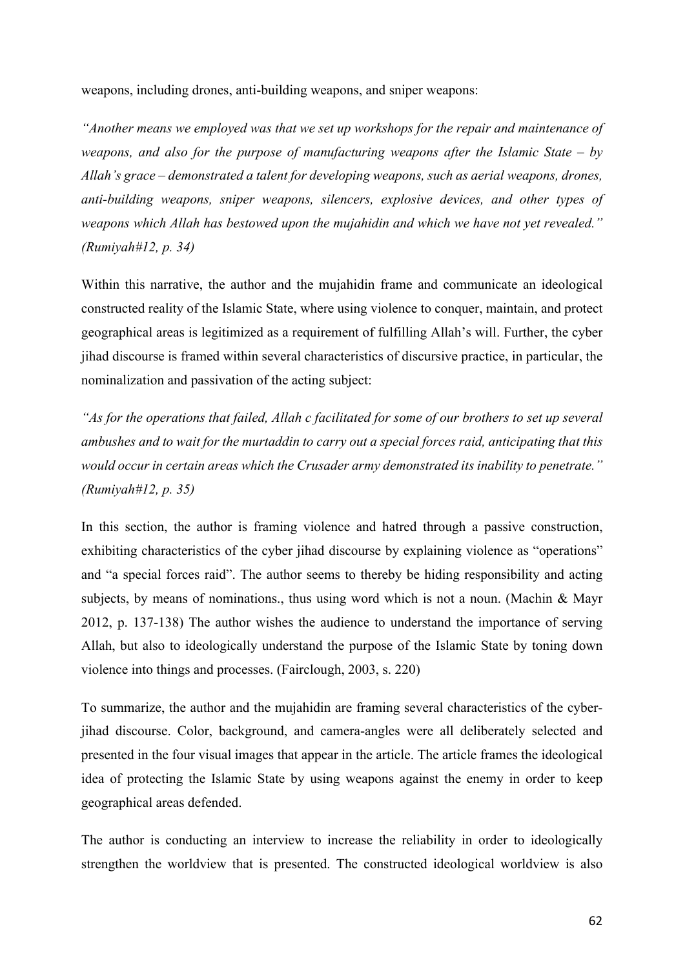weapons, including drones, anti-building weapons, and sniper weapons:

*"Another means we employed was that we set up workshops for the repair and maintenance of weapons, and also for the purpose of manufacturing weapons after the Islamic State – by Allah's grace – demonstrated a talent for developing weapons, such as aerial weapons, drones, anti-building weapons, sniper weapons, silencers, explosive devices, and other types of weapons which Allah has bestowed upon the mujahidin and which we have not yet revealed." (Rumiyah#12, p. 34)* 

Within this narrative, the author and the mujahidin frame and communicate an ideological constructed reality of the Islamic State, where using violence to conquer, maintain, and protect geographical areas is legitimized as a requirement of fulfilling Allah's will. Further, the cyber jihad discourse is framed within several characteristics of discursive practice, in particular, the nominalization and passivation of the acting subject:

*"As for the operations that failed, Allah c facilitated for some of our brothers to set up several ambushes and to wait for the murtaddin to carry out a special forces raid, anticipating that this would occur in certain areas which the Crusader army demonstrated its inability to penetrate." (Rumiyah#12, p. 35)* 

In this section, the author is framing violence and hatred through a passive construction, exhibiting characteristics of the cyber jihad discourse by explaining violence as "operations" and "a special forces raid". The author seems to thereby be hiding responsibility and acting subjects, by means of nominations., thus using word which is not a noun. (Machin & Mayr 2012, p. 137-138) The author wishes the audience to understand the importance of serving Allah, but also to ideologically understand the purpose of the Islamic State by toning down violence into things and processes. (Fairclough, 2003, s. 220)

To summarize, the author and the mujahidin are framing several characteristics of the cyberjihad discourse. Color, background, and camera-angles were all deliberately selected and presented in the four visual images that appear in the article. The article frames the ideological idea of protecting the Islamic State by using weapons against the enemy in order to keep geographical areas defended.

The author is conducting an interview to increase the reliability in order to ideologically strengthen the worldview that is presented. The constructed ideological worldview is also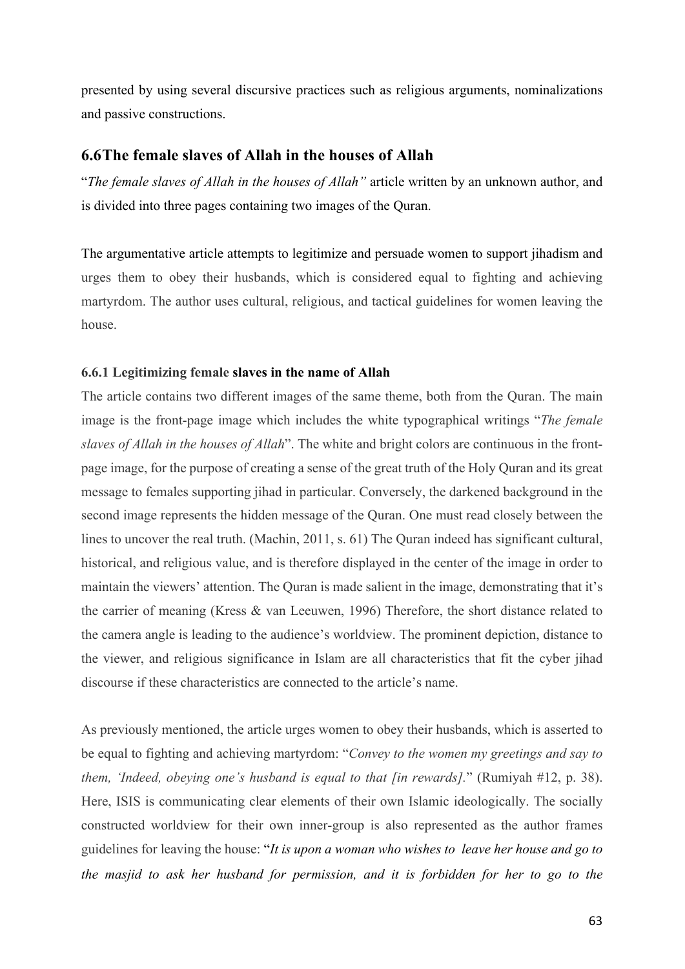presented by using several discursive practices such as religious arguments, nominalizations and passive constructions.

## **6.6The female slaves of Allah in the houses of Allah**

"*The female slaves of Allah in the houses of Allah"* article written by an unknown author, and is divided into three pages containing two images of the Quran.

The argumentative article attempts to legitimize and persuade women to support jihadism and urges them to obey their husbands, which is considered equal to fighting and achieving martyrdom. The author uses cultural, religious, and tactical guidelines for women leaving the house.

#### **6.6.1 Legitimizing female slaves in the name of Allah**

The article contains two different images of the same theme, both from the Quran. The main image is the front-page image which includes the white typographical writings "*The female slaves of Allah in the houses of Allah*". The white and bright colors are continuous in the frontpage image, for the purpose of creating a sense of the great truth of the Holy Quran and its great message to females supporting jihad in particular. Conversely, the darkened background in the second image represents the hidden message of the Quran. One must read closely between the lines to uncover the real truth. (Machin, 2011, s. 61) The Quran indeed has significant cultural, historical, and religious value, and is therefore displayed in the center of the image in order to maintain the viewers' attention. The Quran is made salient in the image, demonstrating that it's the carrier of meaning (Kress & van Leeuwen, 1996) Therefore, the short distance related to the camera angle is leading to the audience's worldview. The prominent depiction, distance to the viewer, and religious significance in Islam are all characteristics that fit the cyber jihad discourse if these characteristics are connected to the article's name.

As previously mentioned, the article urges women to obey their husbands, which is asserted to be equal to fighting and achieving martyrdom: "*Convey to the women my greetings and say to them, 'Indeed, obeying one's husband is equal to that [in rewards].*" (Rumiyah #12, p. 38). Here, ISIS is communicating clear elements of their own Islamic ideologically. The socially constructed worldview for their own inner-group is also represented as the author frames guidelines for leaving the house: "*It is upon a woman who wishes to leave her house and go to the masjid to ask her husband for permission, and it is forbidden for her to go to the*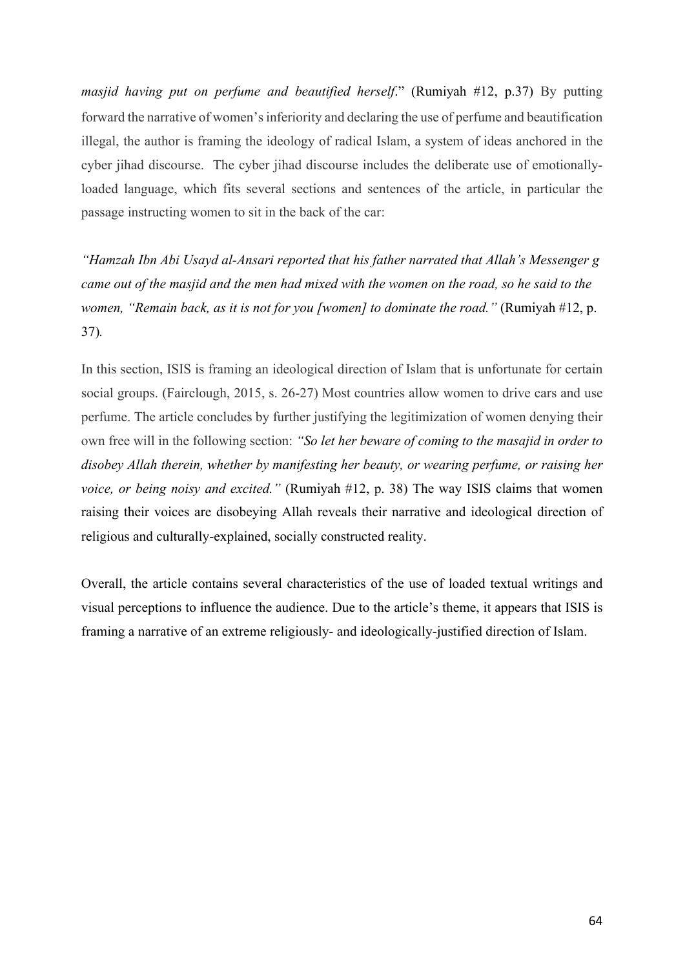*masjid having put on perfume and beautified herself*." (Rumiyah #12, p.37) By putting forward the narrative of women's inferiority and declaring the use of perfume and beautification illegal, the author is framing the ideology of radical Islam, a system of ideas anchored in the cyber jihad discourse. The cyber jihad discourse includes the deliberate use of emotionallyloaded language, which fits several sections and sentences of the article, in particular the passage instructing women to sit in the back of the car:

*"Hamzah Ibn Abi Usayd al-Ansari reported that his father narrated that Allah's Messenger g came out of the masjid and the men had mixed with the women on the road, so he said to the women, "Remain back, as it is not for you [women] to dominate the road."* (Rumiyah #12, p. 37)*.*

In this section, ISIS is framing an ideological direction of Islam that is unfortunate for certain social groups. (Fairclough, 2015, s. 26-27) Most countries allow women to drive cars and use perfume. The article concludes by further justifying the legitimization of women denying their own free will in the following section: *"So let her beware of coming to the masajid in order to disobey Allah therein, whether by manifesting her beauty, or wearing perfume, or raising her voice, or being noisy and excited.*" (Rumiyah #12, p. 38) The way ISIS claims that women raising their voices are disobeying Allah reveals their narrative and ideological direction of religious and culturally-explained, socially constructed reality.

Overall, the article contains several characteristics of the use of loaded textual writings and visual perceptions to influence the audience. Due to the article's theme, it appears that ISIS is framing a narrative of an extreme religiously- and ideologically-justified direction of Islam.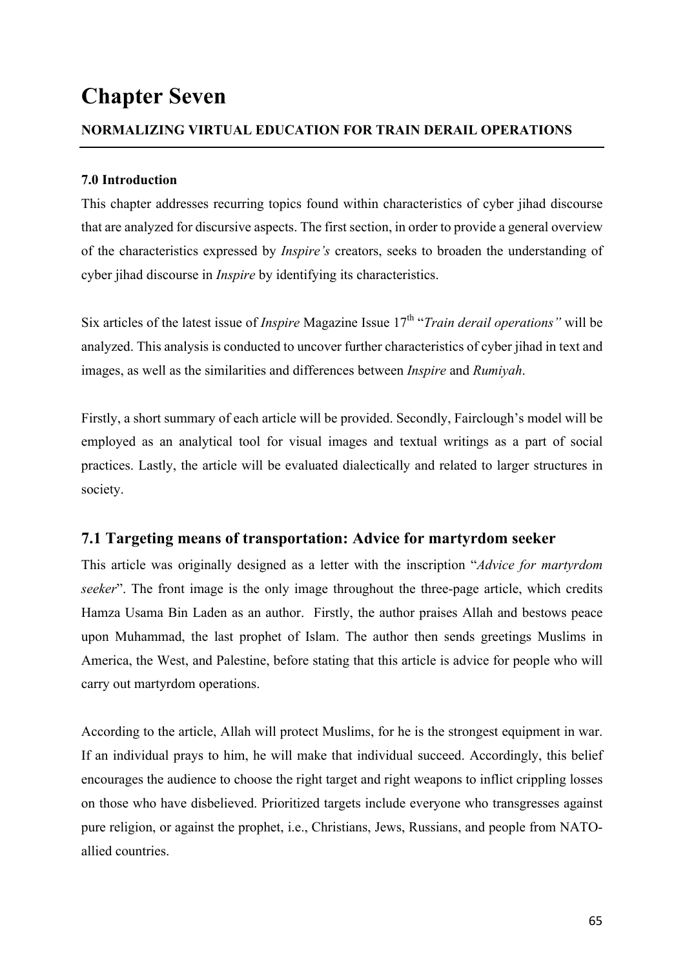# **Chapter Seven**

## **NORMALIZING VIRTUAL EDUCATION FOR TRAIN DERAIL OPERATIONS**

## **7.0 Introduction**

This chapter addresses recurring topics found within characteristics of cyber jihad discourse that are analyzed for discursive aspects. The first section, in order to provide a general overview of the characteristics expressed by *Inspire's* creators, seeks to broaden the understanding of cyber jihad discourse in *Inspire* by identifying its characteristics.

Six articles of the latest issue of *Inspire* Magazine Issue 17<sup>th</sup> "*Train derail operations*" will be analyzed. This analysis is conducted to uncover further characteristics of cyber jihad in text and images, as well as the similarities and differences between *Inspire* and *Rumiyah*.

Firstly, a short summary of each article will be provided. Secondly, Fairclough's model will be employed as an analytical tool for visual images and textual writings as a part of social practices. Lastly, the article will be evaluated dialectically and related to larger structures in society.

# **7.1 Targeting means of transportation: Advice for martyrdom seeker**

This article was originally designed as a letter with the inscription "*Advice for martyrdom seeker*". The front image is the only image throughout the three-page article, which credits Hamza Usama Bin Laden as an author. Firstly, the author praises Allah and bestows peace upon Muhammad, the last prophet of Islam. The author then sends greetings Muslims in America, the West, and Palestine, before stating that this article is advice for people who will carry out martyrdom operations.

According to the article, Allah will protect Muslims, for he is the strongest equipment in war. If an individual prays to him, he will make that individual succeed. Accordingly, this belief encourages the audience to choose the right target and right weapons to inflict crippling losses on those who have disbelieved. Prioritized targets include everyone who transgresses against pure religion, or against the prophet, i.e., Christians, Jews, Russians, and people from NATOallied countries.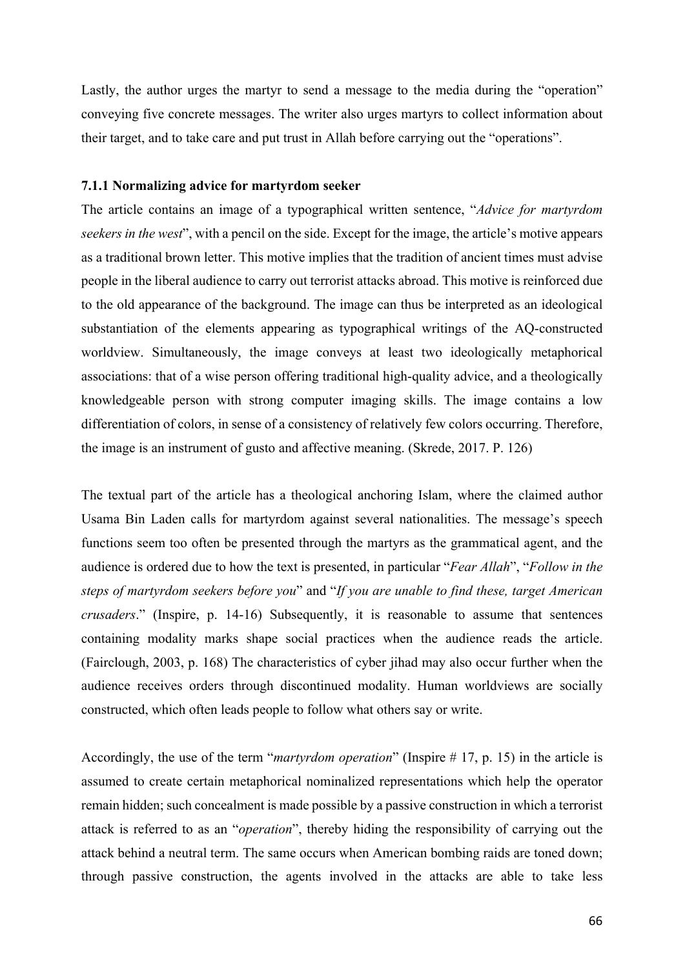Lastly, the author urges the martyr to send a message to the media during the "operation" conveying five concrete messages. The writer also urges martyrs to collect information about their target, and to take care and put trust in Allah before carrying out the "operations".

#### **7.1.1 Normalizing advice for martyrdom seeker**

The article contains an image of a typographical written sentence, "*Advice for martyrdom seekers in the west*", with a pencil on the side. Except for the image, the article's motive appears as a traditional brown letter. This motive implies that the tradition of ancient times must advise people in the liberal audience to carry out terrorist attacks abroad. This motive is reinforced due to the old appearance of the background. The image can thus be interpreted as an ideological substantiation of the elements appearing as typographical writings of the AQ-constructed worldview. Simultaneously, the image conveys at least two ideologically metaphorical associations: that of a wise person offering traditional high-quality advice, and a theologically knowledgeable person with strong computer imaging skills. The image contains a low differentiation of colors, in sense of a consistency of relatively few colors occurring. Therefore, the image is an instrument of gusto and affective meaning. (Skrede, 2017. P. 126)

The textual part of the article has a theological anchoring Islam, where the claimed author Usama Bin Laden calls for martyrdom against several nationalities. The message's speech functions seem too often be presented through the martyrs as the grammatical agent, and the audience is ordered due to how the text is presented, in particular "*Fear Allah*", "*Follow in the steps of martyrdom seekers before you*" and "*If you are unable to find these, target American crusaders*." (Inspire, p. 14-16) Subsequently, it is reasonable to assume that sentences containing modality marks shape social practices when the audience reads the article. (Fairclough, 2003, p. 168) The characteristics of cyber jihad may also occur further when the audience receives orders through discontinued modality. Human worldviews are socially constructed, which often leads people to follow what others say or write.

Accordingly, the use of the term "*martyrdom operation*" (Inspire # 17, p. 15) in the article is assumed to create certain metaphorical nominalized representations which help the operator remain hidden; such concealment is made possible by a passive construction in which a terrorist attack is referred to as an "*operation*", thereby hiding the responsibility of carrying out the attack behind a neutral term. The same occurs when American bombing raids are toned down; through passive construction, the agents involved in the attacks are able to take less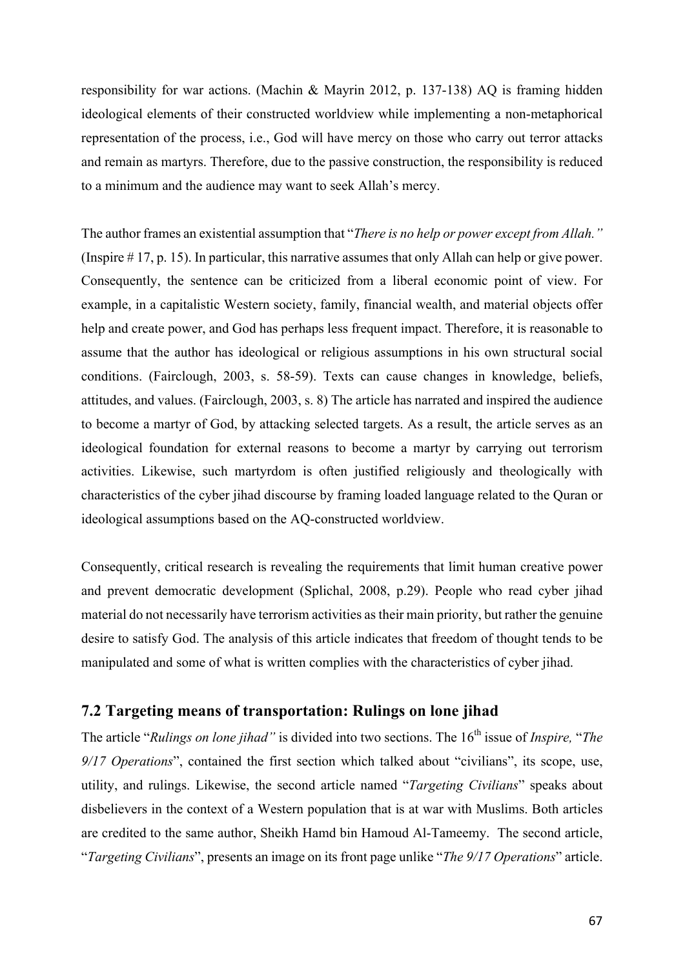responsibility for war actions. (Machin & Mayrin 2012, p. 137-138) AQ is framing hidden ideological elements of their constructed worldview while implementing a non-metaphorical representation of the process, i.e., God will have mercy on those who carry out terror attacks and remain as martyrs. Therefore, due to the passive construction, the responsibility is reduced to a minimum and the audience may want to seek Allah's mercy.

The author frames an existential assumption that "*There is no help or power except from Allah."*  (Inspire # 17, p. 15). In particular, this narrative assumes that only Allah can help or give power. Consequently, the sentence can be criticized from a liberal economic point of view. For example, in a capitalistic Western society, family, financial wealth, and material objects offer help and create power, and God has perhaps less frequent impact. Therefore, it is reasonable to assume that the author has ideological or religious assumptions in his own structural social conditions. (Fairclough, 2003, s. 58-59). Texts can cause changes in knowledge, beliefs, attitudes, and values. (Fairclough, 2003, s. 8) The article has narrated and inspired the audience to become a martyr of God, by attacking selected targets. As a result, the article serves as an ideological foundation for external reasons to become a martyr by carrying out terrorism activities. Likewise, such martyrdom is often justified religiously and theologically with characteristics of the cyber jihad discourse by framing loaded language related to the Quran or ideological assumptions based on the AQ-constructed worldview.

Consequently, critical research is revealing the requirements that limit human creative power and prevent democratic development (Splichal, 2008, p.29). People who read cyber jihad material do not necessarily have terrorism activities as their main priority, but rather the genuine desire to satisfy God. The analysis of this article indicates that freedom of thought tends to be manipulated and some of what is written complies with the characteristics of cyber jihad.

# **7.2 Targeting means of transportation: Rulings on lone jihad**

The article "*Rulings on lone jihad*" is divided into two sections. The 16<sup>th</sup> issue of *Inspire*, "*The 9/17 Operations*", contained the first section which talked about "civilians", its scope, use, utility, and rulings. Likewise, the second article named "*Targeting Civilians*" speaks about disbelievers in the context of a Western population that is at war with Muslims. Both articles are credited to the same author, Sheikh Hamd bin Hamoud Al-Tameemy. The second article, "*Targeting Civilians*", presents an image on its front page unlike "*The 9/17 Operations*" article.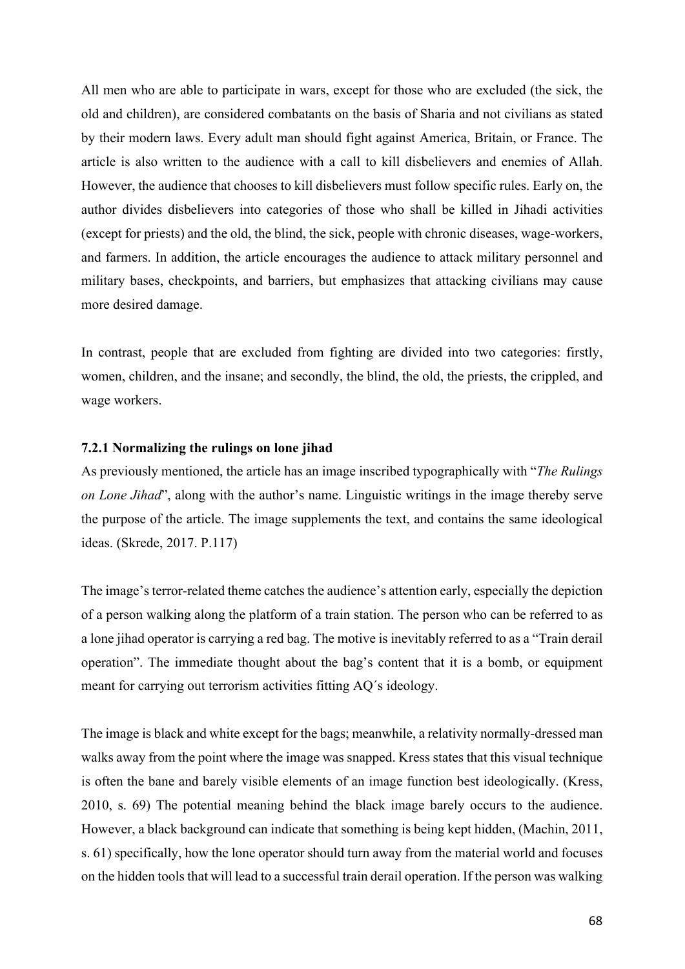All men who are able to participate in wars, except for those who are excluded (the sick, the old and children), are considered combatants on the basis of Sharia and not civilians as stated by their modern laws. Every adult man should fight against America, Britain, or France. The article is also written to the audience with a call to kill disbelievers and enemies of Allah. However, the audience that chooses to kill disbelievers must follow specific rules. Early on, the author divides disbelievers into categories of those who shall be killed in Jihadi activities (except for priests) and the old, the blind, the sick, people with chronic diseases, wage-workers, and farmers. In addition, the article encourages the audience to attack military personnel and military bases, checkpoints, and barriers, but emphasizes that attacking civilians may cause more desired damage.

In contrast, people that are excluded from fighting are divided into two categories: firstly, women, children, and the insane; and secondly, the blind, the old, the priests, the crippled, and wage workers.

## **7.2.1 Normalizing the rulings on lone jihad**

As previously mentioned, the article has an image inscribed typographically with "*The Rulings on Lone Jihad*", along with the author's name. Linguistic writings in the image thereby serve the purpose of the article. The image supplements the text, and contains the same ideological ideas. (Skrede, 2017. P.117)

The image's terror-related theme catches the audience's attention early, especially the depiction of a person walking along the platform of a train station. The person who can be referred to as a lone jihad operator is carrying a red bag. The motive is inevitably referred to as a "Train derail operation". The immediate thought about the bag's content that it is a bomb, or equipment meant for carrying out terrorism activities fitting AQ´s ideology.

The image is black and white except for the bags; meanwhile, a relativity normally-dressed man walks away from the point where the image was snapped. Kress states that this visual technique is often the bane and barely visible elements of an image function best ideologically. (Kress, 2010, s. 69) The potential meaning behind the black image barely occurs to the audience. However, a black background can indicate that something is being kept hidden, (Machin, 2011, s. 61) specifically, how the lone operator should turn away from the material world and focuses on the hidden tools that will lead to a successful train derail operation. If the person was walking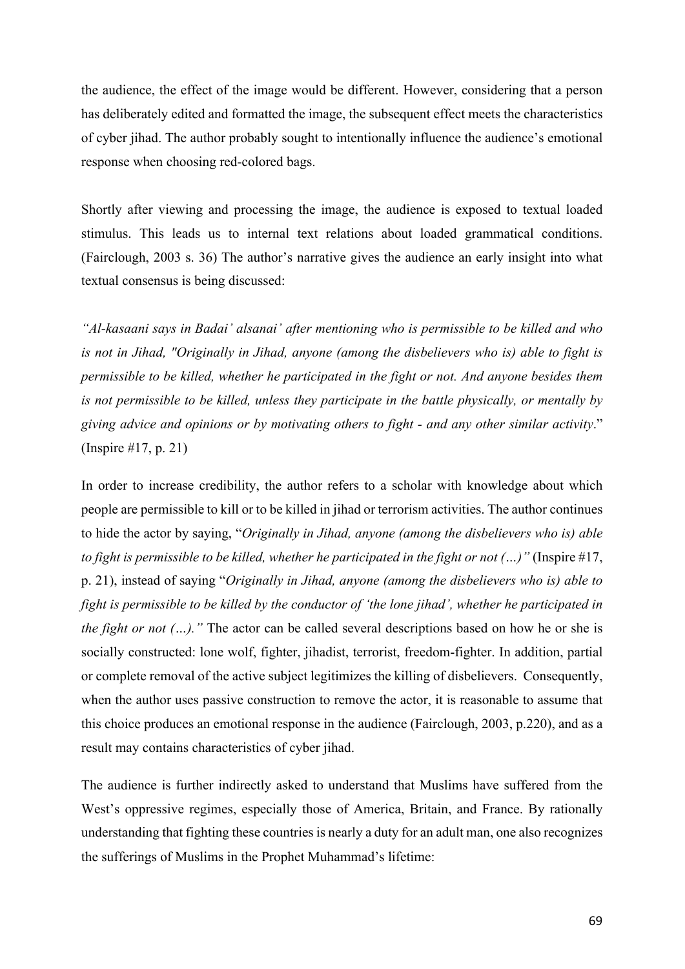the audience, the effect of the image would be different. However, considering that a person has deliberately edited and formatted the image, the subsequent effect meets the characteristics of cyber jihad. The author probably sought to intentionally influence the audience's emotional response when choosing red-colored bags.

Shortly after viewing and processing the image, the audience is exposed to textual loaded stimulus. This leads us to internal text relations about loaded grammatical conditions. (Fairclough, 2003 s. 36) The author's narrative gives the audience an early insight into what textual consensus is being discussed:

*"Al-kasaani says in Badai' alsanai' after mentioning who is permissible to be killed and who is not in Jihad, "Originally in Jihad, anyone (among the disbelievers who is) able to fight is permissible to be killed, whether he participated in the fight or not. And anyone besides them is not permissible to be killed, unless they participate in the battle physically, or mentally by giving advice and opinions or by motivating others to fight - and any other similar activity*." (Inspire #17, p. 21)

In order to increase credibility, the author refers to a scholar with knowledge about which people are permissible to kill or to be killed in jihad or terrorism activities. The author continues to hide the actor by saying, "*Originally in Jihad, anyone (among the disbelievers who is) able to fight is permissible to be killed, whether he participated in the fight or not (…)"* (Inspire #17, p. 21), instead of saying "*Originally in Jihad, anyone (among the disbelievers who is) able to fight is permissible to be killed by the conductor of 'the lone jihad', whether he participated in the fight or not (...).*" The actor can be called several descriptions based on how he or she is socially constructed: lone wolf, fighter, jihadist, terrorist, freedom-fighter. In addition, partial or complete removal of the active subject legitimizes the killing of disbelievers. Consequently, when the author uses passive construction to remove the actor, it is reasonable to assume that this choice produces an emotional response in the audience (Fairclough, 2003, p.220), and as a result may contains characteristics of cyber jihad.

The audience is further indirectly asked to understand that Muslims have suffered from the West's oppressive regimes, especially those of America, Britain, and France. By rationally understanding that fighting these countries is nearly a duty for an adult man, one also recognizes the sufferings of Muslims in the Prophet Muhammad's lifetime: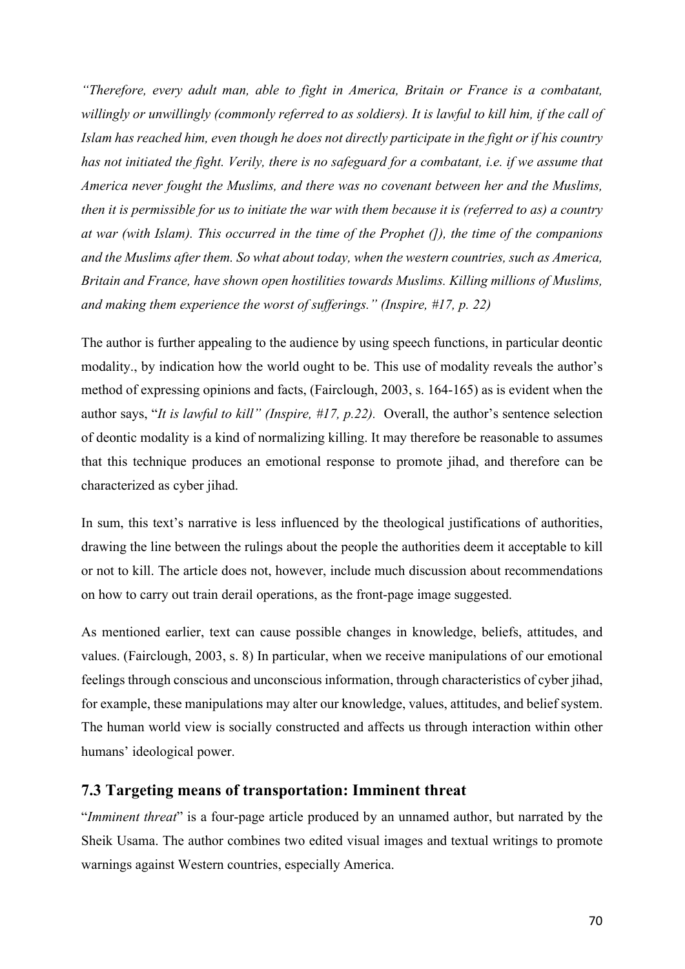*"Therefore, every adult man, able to fight in America, Britain or France is a combatant, willingly or unwillingly (commonly referred to as soldiers). It is lawful to kill him, if the call of Islam has reached him, even though he does not directly participate in the fight or if his country has not initiated the fight. Verily, there is no safeguard for a combatant, i.e. if we assume that America never fought the Muslims, and there was no covenant between her and the Muslims, then it is permissible for us to initiate the war with them because it is (referred to as) a country at war (with Islam). This occurred in the time of the Prophet (]), the time of the companions and the Muslims after them. So what about today, when the western countries, such as America, Britain and France, have shown open hostilities towards Muslims. Killing millions of Muslims, and making them experience the worst of sufferings." (Inspire, #17, p. 22)*

The author is further appealing to the audience by using speech functions, in particular deontic modality., by indication how the world ought to be. This use of modality reveals the author's method of expressing opinions and facts, (Fairclough, 2003, s. 164-165) as is evident when the author says, "*It is lawful to kill" (Inspire, #17, p.22).* Overall, the author's sentence selection of deontic modality is a kind of normalizing killing. It may therefore be reasonable to assumes that this technique produces an emotional response to promote jihad, and therefore can be characterized as cyber jihad.

In sum, this text's narrative is less influenced by the theological justifications of authorities, drawing the line between the rulings about the people the authorities deem it acceptable to kill or not to kill. The article does not, however, include much discussion about recommendations on how to carry out train derail operations, as the front-page image suggested.

As mentioned earlier, text can cause possible changes in knowledge, beliefs, attitudes, and values. (Fairclough, 2003, s. 8) In particular, when we receive manipulations of our emotional feelings through conscious and unconscious information, through characteristics of cyber jihad, for example, these manipulations may alter our knowledge, values, attitudes, and belief system. The human world view is socially constructed and affects us through interaction within other humans' ideological power.

## **7.3 Targeting means of transportation: Imminent threat**

"*Imminent threat*" is a four-page article produced by an unnamed author, but narrated by the Sheik Usama. The author combines two edited visual images and textual writings to promote warnings against Western countries, especially America.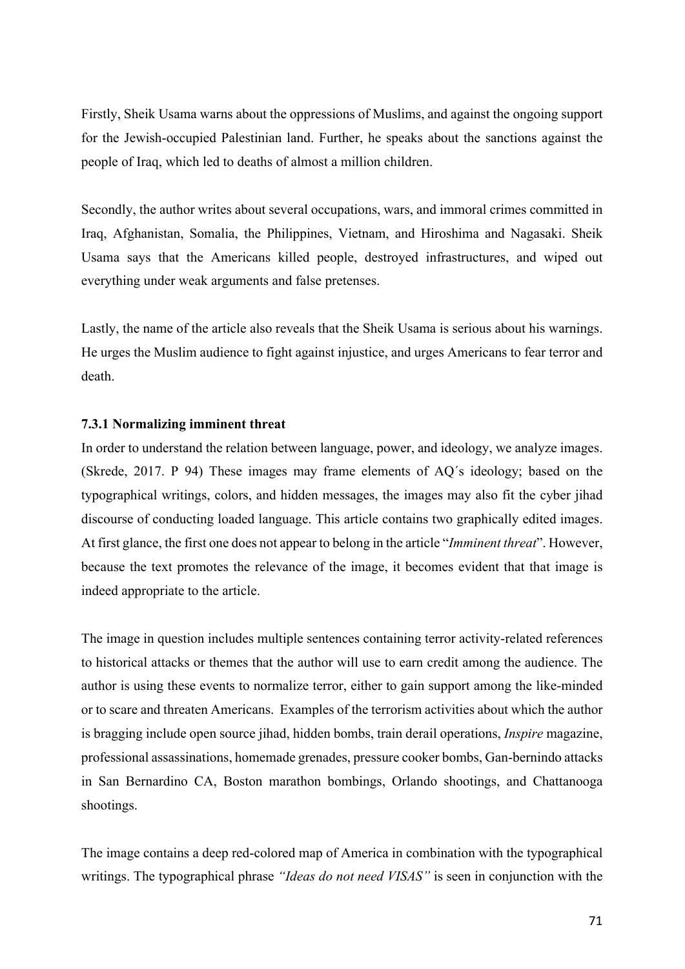Firstly, Sheik Usama warns about the oppressions of Muslims, and against the ongoing support for the Jewish-occupied Palestinian land. Further, he speaks about the sanctions against the people of Iraq, which led to deaths of almost a million children.

Secondly, the author writes about several occupations, wars, and immoral crimes committed in Iraq, Afghanistan, Somalia, the Philippines, Vietnam, and Hiroshima and Nagasaki. Sheik Usama says that the Americans killed people, destroyed infrastructures, and wiped out everything under weak arguments and false pretenses.

Lastly, the name of the article also reveals that the Sheik Usama is serious about his warnings. He urges the Muslim audience to fight against injustice, and urges Americans to fear terror and death.

## **7.3.1 Normalizing imminent threat**

In order to understand the relation between language, power, and ideology, we analyze images. (Skrede, 2017. P 94) These images may frame elements of AQ´s ideology; based on the typographical writings, colors, and hidden messages, the images may also fit the cyber jihad discourse of conducting loaded language. This article contains two graphically edited images. At first glance, the first one does not appear to belong in the article "*Imminent threat*". However, because the text promotes the relevance of the image, it becomes evident that that image is indeed appropriate to the article.

The image in question includes multiple sentences containing terror activity-related references to historical attacks or themes that the author will use to earn credit among the audience. The author is using these events to normalize terror, either to gain support among the like-minded or to scare and threaten Americans. Examples of the terrorism activities about which the author is bragging include open source jihad, hidden bombs, train derail operations, *Inspire* magazine, professional assassinations, homemade grenades, pressure cooker bombs, Gan-bernindo attacks in San Bernardino CA, Boston marathon bombings, Orlando shootings, and Chattanooga shootings.

The image contains a deep red-colored map of America in combination with the typographical writings. The typographical phrase *"Ideas do not need VISAS"* is seen in conjunction with the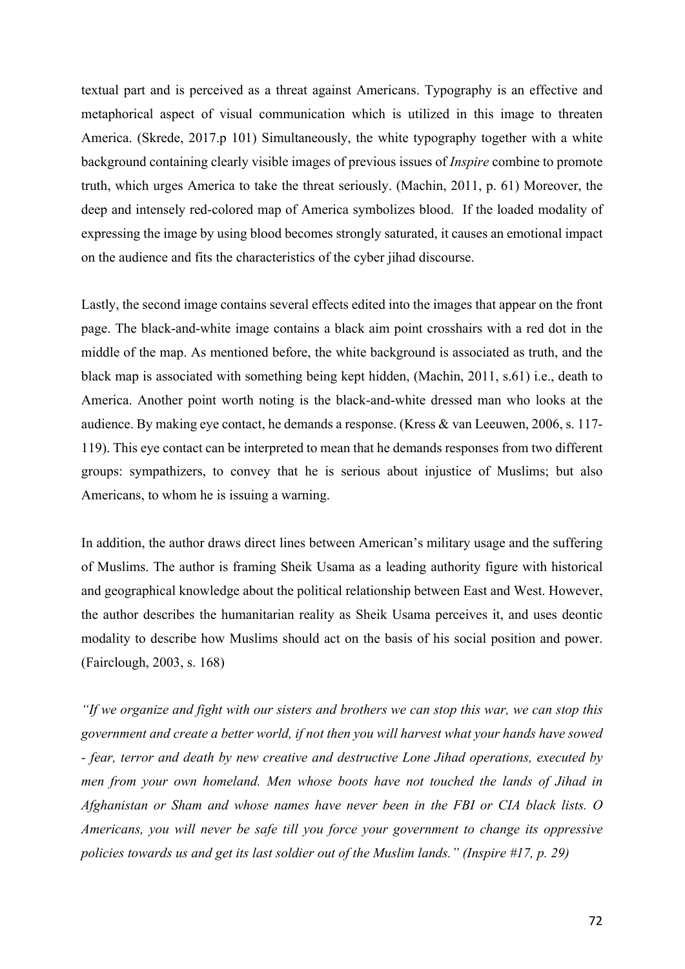textual part and is perceived as a threat against Americans. Typography is an effective and metaphorical aspect of visual communication which is utilized in this image to threaten America. (Skrede, 2017.p 101) Simultaneously, the white typography together with a white background containing clearly visible images of previous issues of *Inspire* combine to promote truth, which urges America to take the threat seriously. (Machin, 2011, p. 61) Moreover, the deep and intensely red-colored map of America symbolizes blood. If the loaded modality of expressing the image by using blood becomes strongly saturated, it causes an emotional impact on the audience and fits the characteristics of the cyber jihad discourse.

Lastly, the second image contains several effects edited into the images that appear on the front page. The black-and-white image contains a black aim point crosshairs with a red dot in the middle of the map. As mentioned before, the white background is associated as truth, and the black map is associated with something being kept hidden, (Machin, 2011, s.61) i.e., death to America. Another point worth noting is the black-and-white dressed man who looks at the audience. By making eye contact, he demands a response. (Kress & van Leeuwen, 2006, s. 117- 119). This eye contact can be interpreted to mean that he demands responses from two different groups: sympathizers, to convey that he is serious about injustice of Muslims; but also Americans, to whom he is issuing a warning.

In addition, the author draws direct lines between American's military usage and the suffering of Muslims. The author is framing Sheik Usama as a leading authority figure with historical and geographical knowledge about the political relationship between East and West. However, the author describes the humanitarian reality as Sheik Usama perceives it, and uses deontic modality to describe how Muslims should act on the basis of his social position and power. (Fairclough, 2003, s. 168)

*"If we organize and fight with our sisters and brothers we can stop this war, we can stop this government and create a better world, if not then you will harvest what your hands have sowed - fear, terror and death by new creative and destructive Lone Jihad operations, executed by men from your own homeland. Men whose boots have not touched the lands of Jihad in Afghanistan or Sham and whose names have never been in the FBI or CIA black lists. O Americans, you will never be safe till you force your government to change its oppressive policies towards us and get its last soldier out of the Muslim lands." (Inspire #17, p. 29)*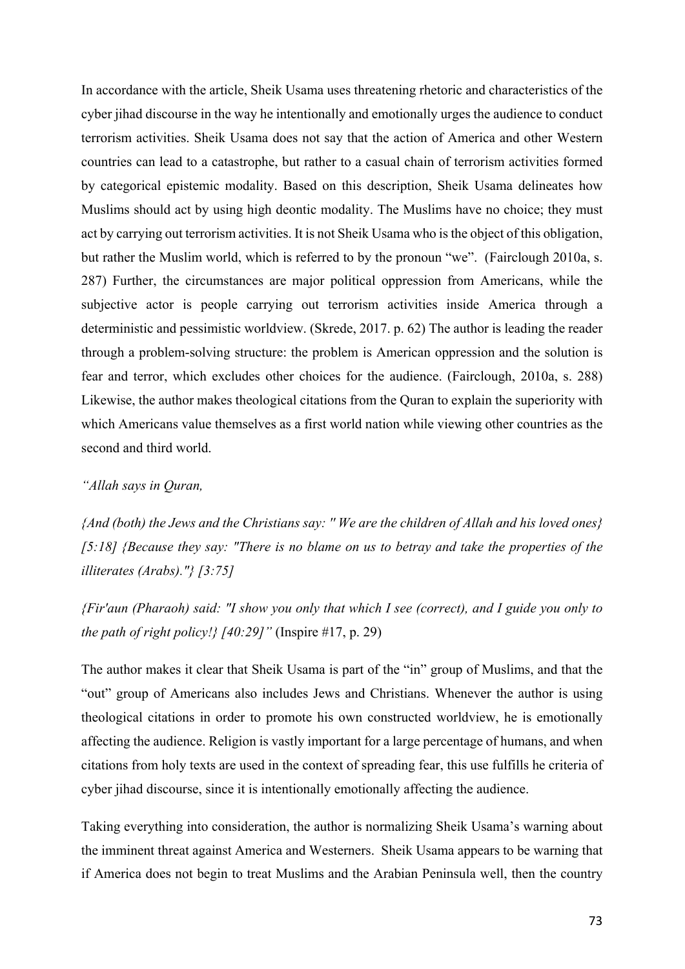In accordance with the article, Sheik Usama uses threatening rhetoric and characteristics of the cyber jihad discourse in the way he intentionally and emotionally urges the audience to conduct terrorism activities. Sheik Usama does not say that the action of America and other Western countries can lead to a catastrophe, but rather to a casual chain of terrorism activities formed by categorical epistemic modality. Based on this description, Sheik Usama delineates how Muslims should act by using high deontic modality. The Muslims have no choice; they must act by carrying out terrorism activities. It is not Sheik Usama who is the object of this obligation, but rather the Muslim world, which is referred to by the pronoun "we". (Fairclough 2010a, s. 287) Further, the circumstances are major political oppression from Americans, while the subjective actor is people carrying out terrorism activities inside America through a deterministic and pessimistic worldview. (Skrede, 2017. p. 62) The author is leading the reader through a problem-solving structure: the problem is American oppression and the solution is fear and terror, which excludes other choices for the audience. (Fairclough, 2010a, s. 288) Likewise, the author makes theological citations from the Quran to explain the superiority with which Americans value themselves as a first world nation while viewing other countries as the second and third world.

### *"Allah says in Quran,*

*{And (both) the Jews and the Christians say: '' We are the children of Allah and his loved ones} [5:18] {Because they say: "There is no blame on us to betray and take the properties of the illiterates (Arabs)."} [3:75]* 

*{Fir'aun (Pharaoh) said: "I show you only that which I see (correct), and I guide you only to the path of right policy!} [40:29]"* (Inspire #17, p. 29)

The author makes it clear that Sheik Usama is part of the "in" group of Muslims, and that the "out" group of Americans also includes Jews and Christians. Whenever the author is using theological citations in order to promote his own constructed worldview, he is emotionally affecting the audience. Religion is vastly important for a large percentage of humans, and when citations from holy texts are used in the context of spreading fear, this use fulfills he criteria of cyber jihad discourse, since it is intentionally emotionally affecting the audience.

Taking everything into consideration, the author is normalizing Sheik Usama's warning about the imminent threat against America and Westerners. Sheik Usama appears to be warning that if America does not begin to treat Muslims and the Arabian Peninsula well, then the country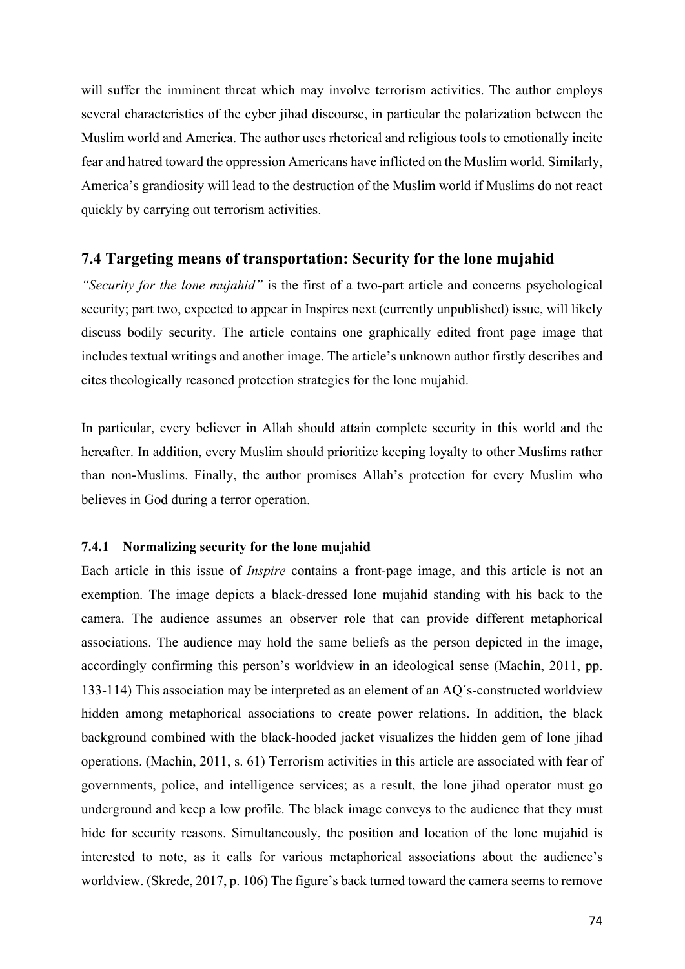will suffer the imminent threat which may involve terrorism activities. The author employs several characteristics of the cyber jihad discourse, in particular the polarization between the Muslim world and America. The author uses rhetorical and religious tools to emotionally incite fear and hatred toward the oppression Americans have inflicted on the Muslim world. Similarly, America's grandiosity will lead to the destruction of the Muslim world if Muslims do not react quickly by carrying out terrorism activities.

## **7.4 Targeting means of transportation: Security for the lone mujahid**

*"Security for the lone mujahid"* is the first of a two-part article and concerns psychological security; part two, expected to appear in Inspires next (currently unpublished) issue, will likely discuss bodily security. The article contains one graphically edited front page image that includes textual writings and another image. The article's unknown author firstly describes and cites theologically reasoned protection strategies for the lone mujahid.

In particular, every believer in Allah should attain complete security in this world and the hereafter. In addition, every Muslim should prioritize keeping loyalty to other Muslims rather than non-Muslims. Finally, the author promises Allah's protection for every Muslim who believes in God during a terror operation.

### **7.4.1 Normalizing security for the lone mujahid**

Each article in this issue of *Inspire* contains a front-page image, and this article is not an exemption. The image depicts a black-dressed lone mujahid standing with his back to the camera. The audience assumes an observer role that can provide different metaphorical associations. The audience may hold the same beliefs as the person depicted in the image, accordingly confirming this person's worldview in an ideological sense (Machin, 2011, pp. 133-114) This association may be interpreted as an element of an AQ´s-constructed worldview hidden among metaphorical associations to create power relations. In addition, the black background combined with the black-hooded jacket visualizes the hidden gem of lone jihad operations. (Machin, 2011, s. 61) Terrorism activities in this article are associated with fear of governments, police, and intelligence services; as a result, the lone jihad operator must go underground and keep a low profile. The black image conveys to the audience that they must hide for security reasons. Simultaneously, the position and location of the lone mujahid is interested to note, as it calls for various metaphorical associations about the audience's worldview. (Skrede, 2017, p. 106) The figure's back turned toward the camera seems to remove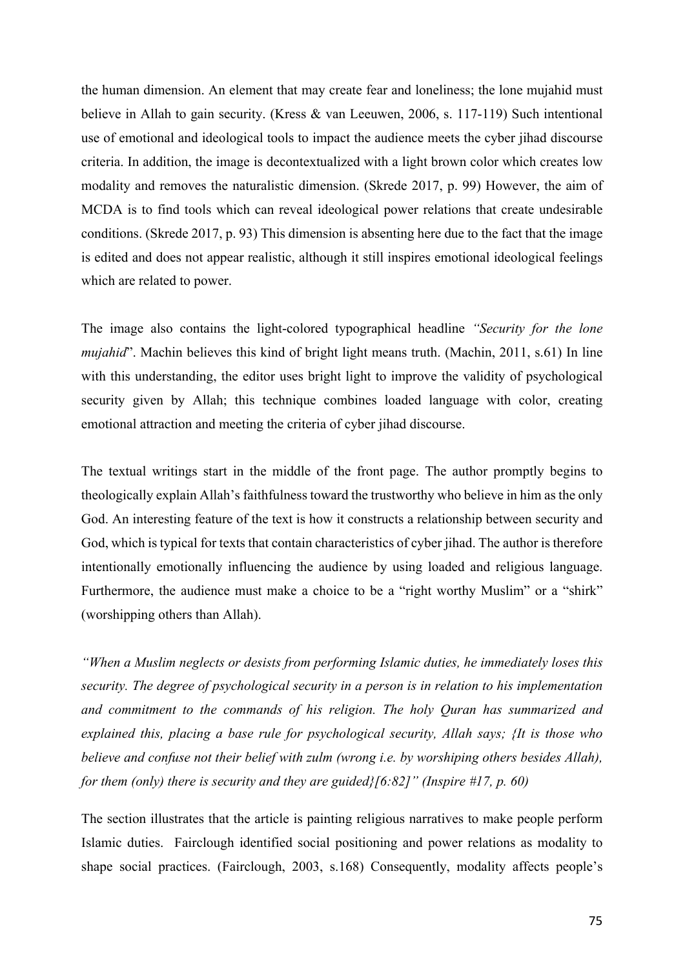the human dimension. An element that may create fear and loneliness; the lone mujahid must believe in Allah to gain security. (Kress & van Leeuwen, 2006, s. 117-119) Such intentional use of emotional and ideological tools to impact the audience meets the cyber jihad discourse criteria. In addition, the image is decontextualized with a light brown color which creates low modality and removes the naturalistic dimension. (Skrede 2017, p. 99) However, the aim of MCDA is to find tools which can reveal ideological power relations that create undesirable conditions. (Skrede 2017, p. 93) This dimension is absenting here due to the fact that the image is edited and does not appear realistic, although it still inspires emotional ideological feelings which are related to power.

The image also contains the light-colored typographical headline *"Security for the lone mujahid*". Machin believes this kind of bright light means truth. (Machin, 2011, s.61) In line with this understanding, the editor uses bright light to improve the validity of psychological security given by Allah; this technique combines loaded language with color, creating emotional attraction and meeting the criteria of cyber jihad discourse.

The textual writings start in the middle of the front page. The author promptly begins to theologically explain Allah's faithfulness toward the trustworthy who believe in him as the only God. An interesting feature of the text is how it constructs a relationship between security and God, which is typical for texts that contain characteristics of cyber jihad. The author is therefore intentionally emotionally influencing the audience by using loaded and religious language. Furthermore, the audience must make a choice to be a "right worthy Muslim" or a "shirk" (worshipping others than Allah).

*"When a Muslim neglects or desists from performing Islamic duties, he immediately loses this security. The degree of psychological security in a person is in relation to his implementation and commitment to the commands of his religion. The holy Quran has summarized and explained this, placing a base rule for psychological security, Allah says; {It is those who believe and confuse not their belief with zulm (wrong i.e. by worshiping others besides Allah), for them (only) there is security and they are guided}[6:82]" (Inspire #17, p. 60)*

The section illustrates that the article is painting religious narratives to make people perform Islamic duties. Fairclough identified social positioning and power relations as modality to shape social practices. (Fairclough, 2003, s.168) Consequently, modality affects people's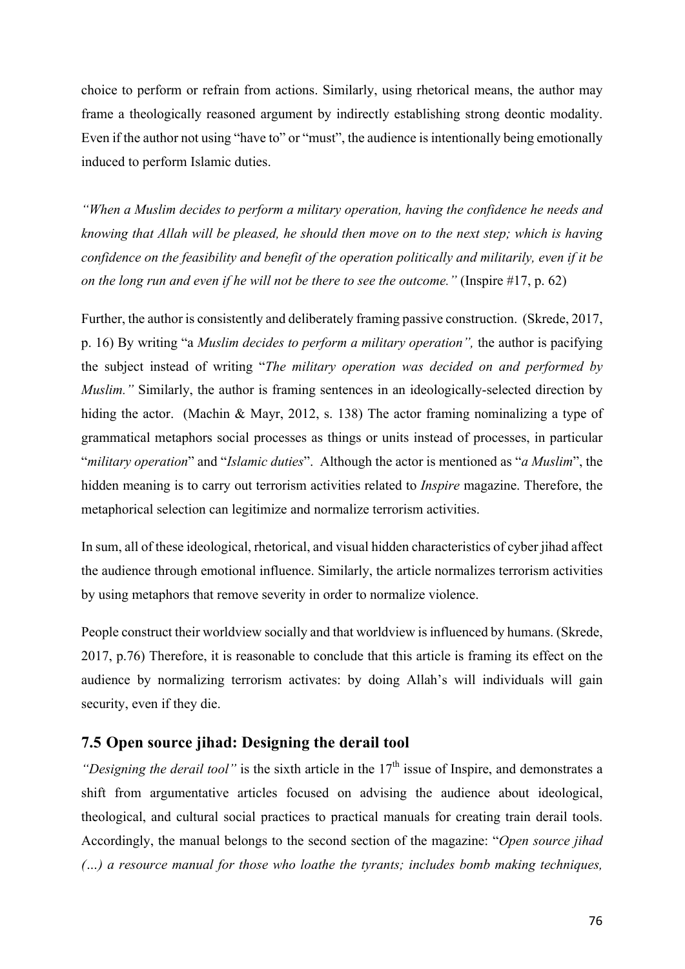choice to perform or refrain from actions. Similarly, using rhetorical means, the author may frame a theologically reasoned argument by indirectly establishing strong deontic modality. Even if the author not using "have to" or "must", the audience is intentionally being emotionally induced to perform Islamic duties.

*"When a Muslim decides to perform a military operation, having the confidence he needs and knowing that Allah will be pleased, he should then move on to the next step; which is having confidence on the feasibility and benefit of the operation politically and militarily, even if it be on the long run and even if he will not be there to see the outcome."* (Inspire #17, p. 62)

Further, the author is consistently and deliberately framing passive construction. (Skrede, 2017, p. 16) By writing "a *Muslim decides to perform a military operation",* the author is pacifying the subject instead of writing "*The military operation was decided on and performed by Muslim.*" Similarly, the author is framing sentences in an ideologically-selected direction by hiding the actor. (Machin & Mayr, 2012, s. 138) The actor framing nominalizing a type of grammatical metaphors social processes as things or units instead of processes, in particular "*military operation*" and "*Islamic duties*". Although the actor is mentioned as "*a Muslim*", the hidden meaning is to carry out terrorism activities related to *Inspire* magazine. Therefore, the metaphorical selection can legitimize and normalize terrorism activities.

In sum, all of these ideological, rhetorical, and visual hidden characteristics of cyber jihad affect the audience through emotional influence. Similarly, the article normalizes terrorism activities by using metaphors that remove severity in order to normalize violence.

People construct their worldview socially and that worldview is influenced by humans. (Skrede, 2017, p.76) Therefore, it is reasonable to conclude that this article is framing its effect on the audience by normalizing terrorism activates: by doing Allah's will individuals will gain security, even if they die.

## **7.5 Open source jihad: Designing the derail tool**

*"Designing the derail tool"* is the sixth article in the 17<sup>th</sup> issue of Inspire, and demonstrates a shift from argumentative articles focused on advising the audience about ideological, theological, and cultural social practices to practical manuals for creating train derail tools. Accordingly, the manual belongs to the second section of the magazine: "*Open source jihad (…) a resource manual for those who loathe the tyrants; includes bomb making techniques,*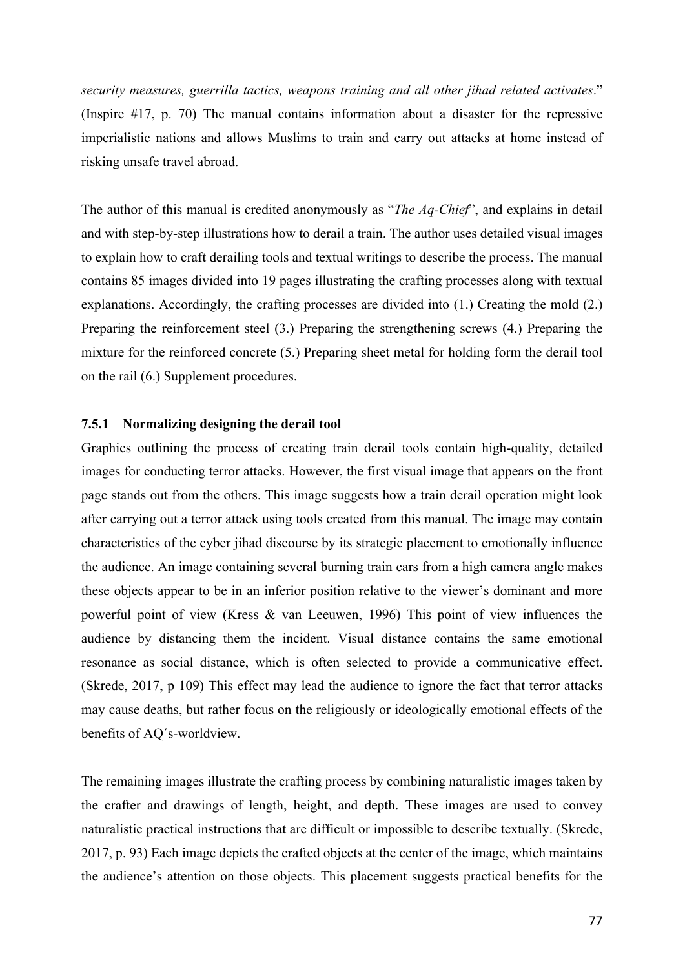*security measures, guerrilla tactics, weapons training and all other jihad related activates*." (Inspire #17, p. 70) The manual contains information about a disaster for the repressive imperialistic nations and allows Muslims to train and carry out attacks at home instead of risking unsafe travel abroad.

The author of this manual is credited anonymously as "*The Aq-Chief*", and explains in detail and with step-by-step illustrations how to derail a train. The author uses detailed visual images to explain how to craft derailing tools and textual writings to describe the process. The manual contains 85 images divided into 19 pages illustrating the crafting processes along with textual explanations. Accordingly, the crafting processes are divided into (1.) Creating the mold (2.) Preparing the reinforcement steel (3.) Preparing the strengthening screws (4.) Preparing the mixture for the reinforced concrete (5.) Preparing sheet metal for holding form the derail tool on the rail (6.) Supplement procedures.

## **7.5.1 Normalizing designing the derail tool**

Graphics outlining the process of creating train derail tools contain high-quality, detailed images for conducting terror attacks. However, the first visual image that appears on the front page stands out from the others. This image suggests how a train derail operation might look after carrying out a terror attack using tools created from this manual. The image may contain characteristics of the cyber jihad discourse by its strategic placement to emotionally influence the audience. An image containing several burning train cars from a high camera angle makes these objects appear to be in an inferior position relative to the viewer's dominant and more powerful point of view (Kress & van Leeuwen, 1996) This point of view influences the audience by distancing them the incident. Visual distance contains the same emotional resonance as social distance, which is often selected to provide a communicative effect. (Skrede, 2017, p 109) This effect may lead the audience to ignore the fact that terror attacks may cause deaths, but rather focus on the religiously or ideologically emotional effects of the benefits of AQ´s-worldview.

The remaining images illustrate the crafting process by combining naturalistic images taken by the crafter and drawings of length, height, and depth. These images are used to convey naturalistic practical instructions that are difficult or impossible to describe textually. (Skrede, 2017, p. 93) Each image depicts the crafted objects at the center of the image, which maintains the audience's attention on those objects. This placement suggests practical benefits for the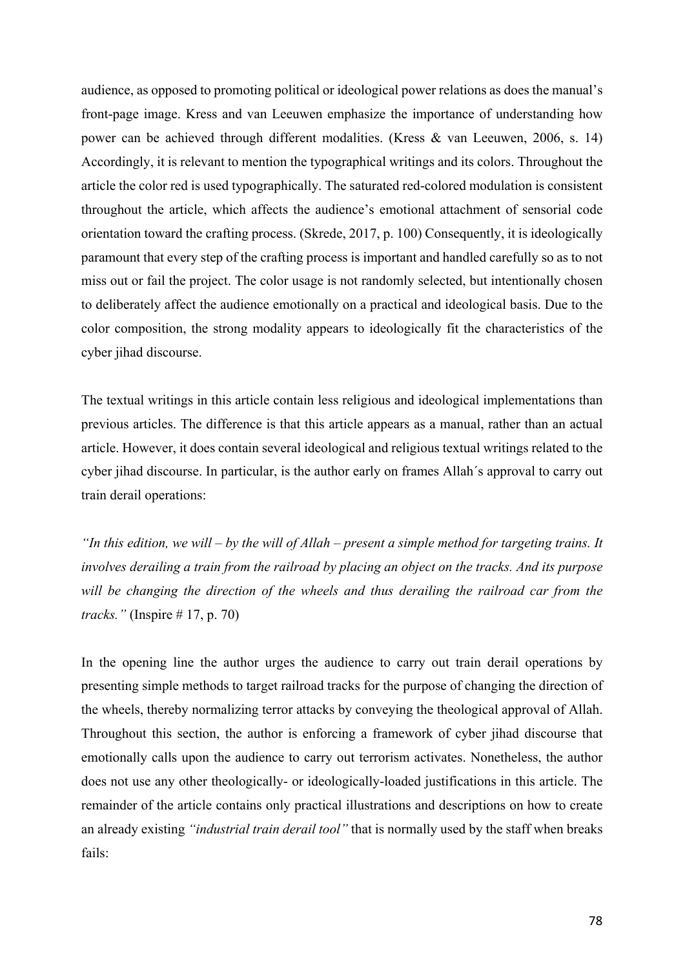audience, as opposed to promoting political or ideological power relations as does the manual's front-page image. Kress and van Leeuwen emphasize the importance of understanding how power can be achieved through different modalities. (Kress & van Leeuwen, 2006, s. 14) Accordingly, it is relevant to mention the typographical writings and its colors. Throughout the article the color red is used typographically. The saturated red-colored modulation is consistent throughout the article, which affects the audience's emotional attachment of sensorial code orientation toward the crafting process. (Skrede, 2017, p. 100) Consequently, it is ideologically paramount that every step of the crafting process is important and handled carefully so as to not miss out or fail the project. The color usage is not randomly selected, but intentionally chosen to deliberately affect the audience emotionally on a practical and ideological basis. Due to the color composition, the strong modality appears to ideologically fit the characteristics of the cyber jihad discourse.

The textual writings in this article contain less religious and ideological implementations than previous articles. The difference is that this article appears as a manual, rather than an actual article. However, it does contain several ideological and religious textual writings related to the cyber jihad discourse. In particular, is the author early on frames Allah´s approval to carry out train derail operations:

*"In this edition, we will – by the will of Allah – present a simple method for targeting trains. It involves derailing a train from the railroad by placing an object on the tracks. And its purpose will be changing the direction of the wheels and thus derailing the railroad car from the tracks."* (Inspire # 17, p. 70)

In the opening line the author urges the audience to carry out train derail operations by presenting simple methods to target railroad tracks for the purpose of changing the direction of the wheels, thereby normalizing terror attacks by conveying the theological approval of Allah. Throughout this section, the author is enforcing a framework of cyber jihad discourse that emotionally calls upon the audience to carry out terrorism activates. Nonetheless, the author does not use any other theologically- or ideologically-loaded justifications in this article. The remainder of the article contains only practical illustrations and descriptions on how to create an already existing *"industrial train derail tool"* that is normally used by the staff when breaks fails: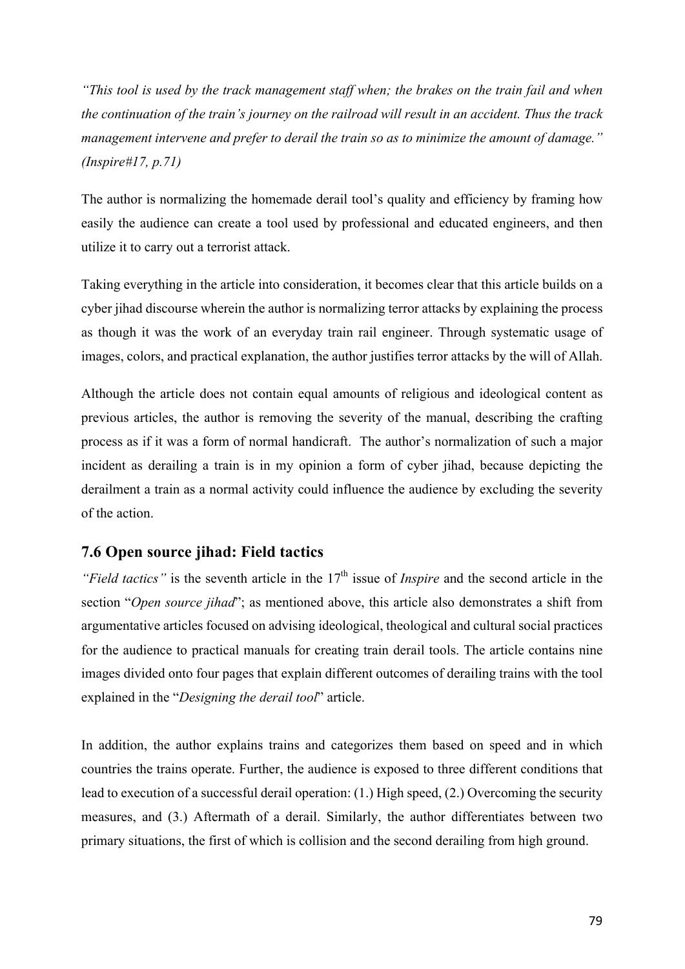*"This tool is used by the track management staff when; the brakes on the train fail and when the continuation of the train's journey on the railroad will result in an accident. Thus the track management intervene and prefer to derail the train so as to minimize the amount of damage." (Inspire#17, p.71)*

The author is normalizing the homemade derail tool's quality and efficiency by framing how easily the audience can create a tool used by professional and educated engineers, and then utilize it to carry out a terrorist attack.

Taking everything in the article into consideration, it becomes clear that this article builds on a cyber jihad discourse wherein the author is normalizing terror attacks by explaining the process as though it was the work of an everyday train rail engineer. Through systematic usage of images, colors, and practical explanation, the author justifies terror attacks by the will of Allah.

Although the article does not contain equal amounts of religious and ideological content as previous articles, the author is removing the severity of the manual, describing the crafting process as if it was a form of normal handicraft. The author's normalization of such a major incident as derailing a train is in my opinion a form of cyber jihad, because depicting the derailment a train as a normal activity could influence the audience by excluding the severity of the action.

## **7.6 Open source jihad: Field tactics**

*"Field tactics"* is the seventh article in the 17<sup>th</sup> issue of *Inspire* and the second article in the section "*Open source jihad*"; as mentioned above, this article also demonstrates a shift from argumentative articles focused on advising ideological, theological and cultural social practices for the audience to practical manuals for creating train derail tools. The article contains nine images divided onto four pages that explain different outcomes of derailing trains with the tool explained in the "*Designing the derail tool*" article.

In addition, the author explains trains and categorizes them based on speed and in which countries the trains operate. Further, the audience is exposed to three different conditions that lead to execution of a successful derail operation: (1.) High speed, (2.) Overcoming the security measures, and (3.) Aftermath of a derail. Similarly, the author differentiates between two primary situations, the first of which is collision and the second derailing from high ground.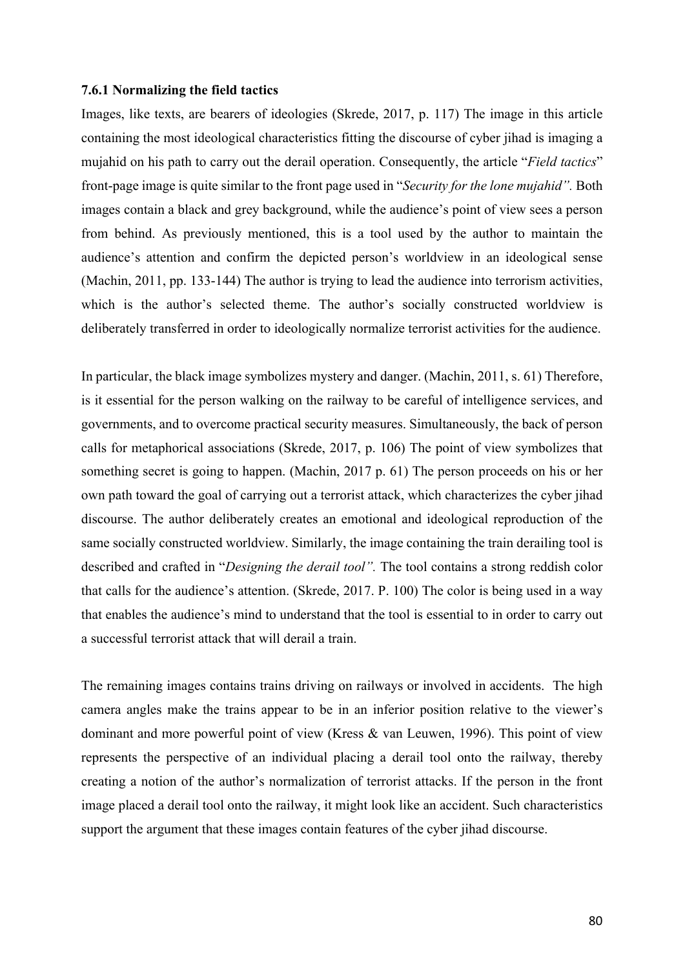#### **7.6.1 Normalizing the field tactics**

Images, like texts, are bearers of ideologies (Skrede, 2017, p. 117) The image in this article containing the most ideological characteristics fitting the discourse of cyber jihad is imaging a mujahid on his path to carry out the derail operation. Consequently, the article "*Field tactics*" front-page image is quite similar to the front page used in "*Security for the lone mujahid".* Both images contain a black and grey background, while the audience's point of view sees a person from behind. As previously mentioned, this is a tool used by the author to maintain the audience's attention and confirm the depicted person's worldview in an ideological sense (Machin, 2011, pp. 133-144) The author is trying to lead the audience into terrorism activities, which is the author's selected theme. The author's socially constructed worldview is deliberately transferred in order to ideologically normalize terrorist activities for the audience.

In particular, the black image symbolizes mystery and danger. (Machin, 2011, s. 61) Therefore, is it essential for the person walking on the railway to be careful of intelligence services, and governments, and to overcome practical security measures. Simultaneously, the back of person calls for metaphorical associations (Skrede, 2017, p. 106) The point of view symbolizes that something secret is going to happen. (Machin, 2017 p. 61) The person proceeds on his or her own path toward the goal of carrying out a terrorist attack, which characterizes the cyber jihad discourse. The author deliberately creates an emotional and ideological reproduction of the same socially constructed worldview. Similarly, the image containing the train derailing tool is described and crafted in "*Designing the derail tool".* The tool contains a strong reddish color that calls for the audience's attention. (Skrede, 2017. P. 100) The color is being used in a way that enables the audience's mind to understand that the tool is essential to in order to carry out a successful terrorist attack that will derail a train.

The remaining images contains trains driving on railways or involved in accidents. The high camera angles make the trains appear to be in an inferior position relative to the viewer's dominant and more powerful point of view (Kress & van Leuwen, 1996). This point of view represents the perspective of an individual placing a derail tool onto the railway, thereby creating a notion of the author's normalization of terrorist attacks. If the person in the front image placed a derail tool onto the railway, it might look like an accident. Such characteristics support the argument that these images contain features of the cyber jihad discourse.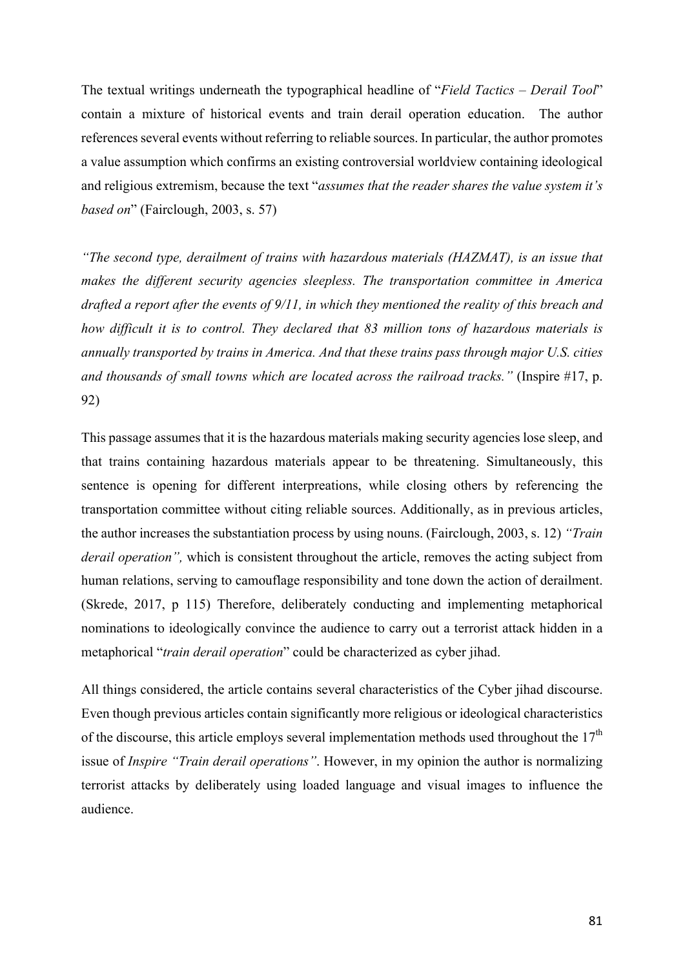The textual writings underneath the typographical headline of "*Field Tactics – Derail Tool*" contain a mixture of historical events and train derail operation education. The author references several events without referring to reliable sources. In particular, the author promotes a value assumption which confirms an existing controversial worldview containing ideological and religious extremism, because the text "*assumes that the reader shares the value system it's based on*" (Fairclough, 2003, s. 57)

*"The second type, derailment of trains with hazardous materials (HAZMAT), is an issue that makes the different security agencies sleepless. The transportation committee in America drafted a report after the events of 9/11, in which they mentioned the reality of this breach and how difficult it is to control. They declared that 83 million tons of hazardous materials is annually transported by trains in America. And that these trains pass through major U.S. cities and thousands of small towns which are located across the railroad tracks."* (Inspire #17, p. 92)

This passage assumes that it is the hazardous materials making security agencies lose sleep, and that trains containing hazardous materials appear to be threatening. Simultaneously, this sentence is opening for different interpreations, while closing others by referencing the transportation committee without citing reliable sources. Additionally, as in previous articles, the author increases the substantiation process by using nouns. (Fairclough, 2003, s. 12) *"Train derail operation",* which is consistent throughout the article, removes the acting subject from human relations, serving to camouflage responsibility and tone down the action of derailment. (Skrede, 2017, p 115) Therefore, deliberately conducting and implementing metaphorical nominations to ideologically convince the audience to carry out a terrorist attack hidden in a metaphorical "*train derail operation*" could be characterized as cyber jihad.

All things considered, the article contains several characteristics of the Cyber jihad discourse. Even though previous articles contain significantly more religious or ideological characteristics of the discourse, this article employs several implementation methods used throughout the  $17<sup>th</sup>$ issue of *Inspire "Train derail operations"*. However, in my opinion the author is normalizing terrorist attacks by deliberately using loaded language and visual images to influence the audience.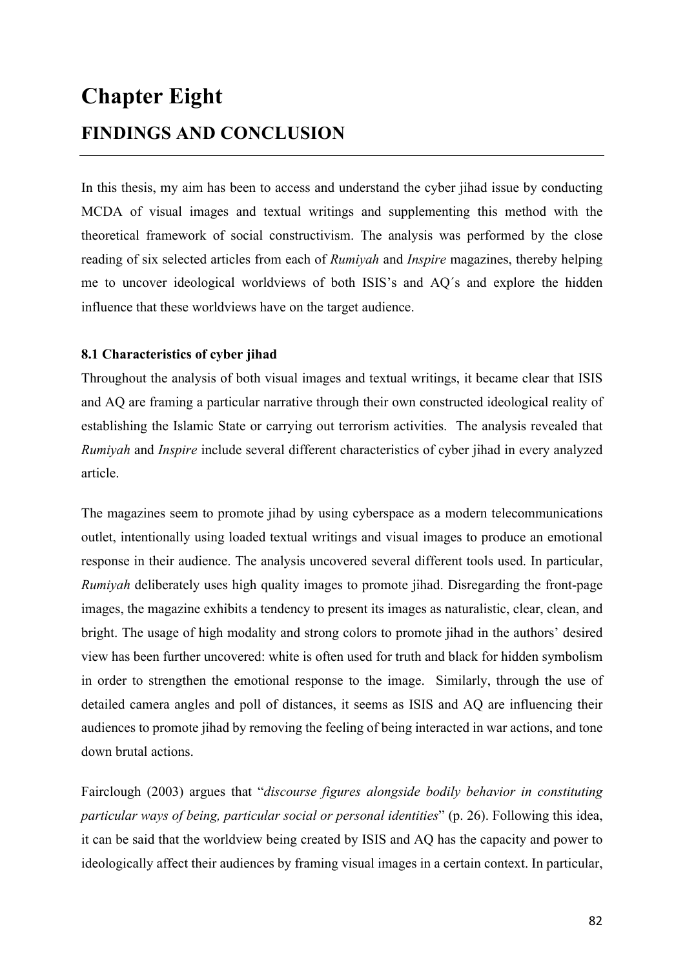# **Chapter Eight FINDINGS AND CONCLUSION**

In this thesis, my aim has been to access and understand the cyber jihad issue by conducting MCDA of visual images and textual writings and supplementing this method with the theoretical framework of social constructivism. The analysis was performed by the close reading of six selected articles from each of *Rumiyah* and *Inspire* magazines, thereby helping me to uncover ideological worldviews of both ISIS's and AQ´s and explore the hidden influence that these worldviews have on the target audience.

## **8.1 Characteristics of cyber jihad**

Throughout the analysis of both visual images and textual writings, it became clear that ISIS and AQ are framing a particular narrative through their own constructed ideological reality of establishing the Islamic State or carrying out terrorism activities. The analysis revealed that *Rumiyah* and *Inspire* include several different characteristics of cyber jihad in every analyzed article.

The magazines seem to promote jihad by using cyberspace as a modern telecommunications outlet, intentionally using loaded textual writings and visual images to produce an emotional response in their audience. The analysis uncovered several different tools used. In particular, *Rumiyah* deliberately uses high quality images to promote jihad. Disregarding the front-page images, the magazine exhibits a tendency to present its images as naturalistic, clear, clean, and bright. The usage of high modality and strong colors to promote jihad in the authors' desired view has been further uncovered: white is often used for truth and black for hidden symbolism in order to strengthen the emotional response to the image. Similarly, through the use of detailed camera angles and poll of distances, it seems as ISIS and AQ are influencing their audiences to promote jihad by removing the feeling of being interacted in war actions, and tone down brutal actions.

Fairclough (2003) argues that "*discourse figures alongside bodily behavior in constituting particular ways of being, particular social or personal identities*" (p. 26). Following this idea, it can be said that the worldview being created by ISIS and AQ has the capacity and power to ideologically affect their audiences by framing visual images in a certain context. In particular,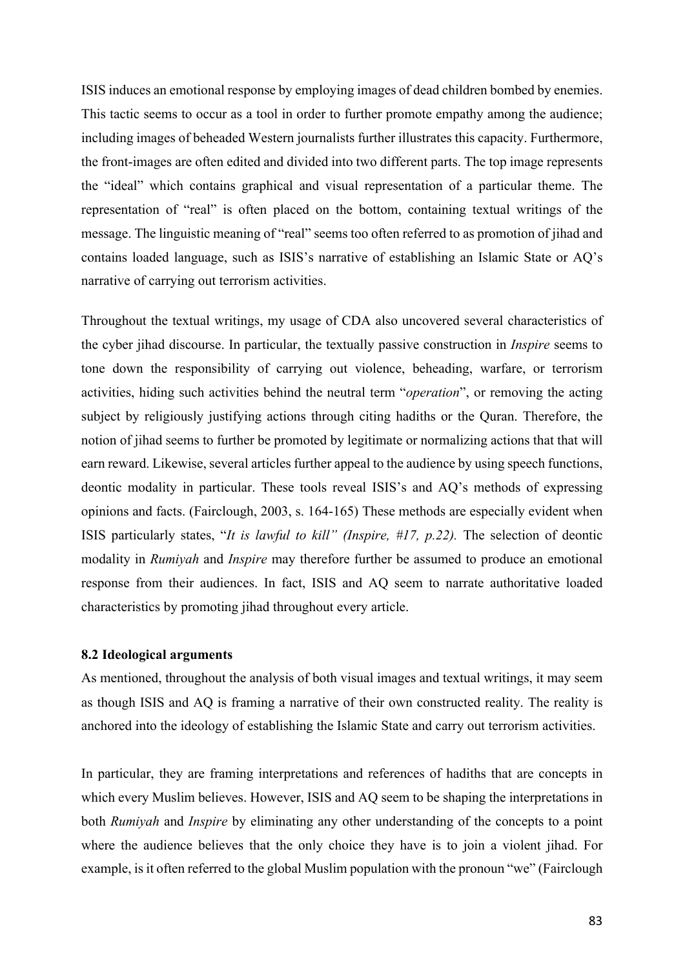ISIS induces an emotional response by employing images of dead children bombed by enemies. This tactic seems to occur as a tool in order to further promote empathy among the audience; including images of beheaded Western journalists further illustrates this capacity. Furthermore, the front-images are often edited and divided into two different parts. The top image represents the "ideal" which contains graphical and visual representation of a particular theme. The representation of "real" is often placed on the bottom, containing textual writings of the message. The linguistic meaning of "real" seems too often referred to as promotion of jihad and contains loaded language, such as ISIS's narrative of establishing an Islamic State or AQ's narrative of carrying out terrorism activities.

Throughout the textual writings, my usage of CDA also uncovered several characteristics of the cyber jihad discourse. In particular, the textually passive construction in *Inspire* seems to tone down the responsibility of carrying out violence, beheading, warfare, or terrorism activities, hiding such activities behind the neutral term "*operation*", or removing the acting subject by religiously justifying actions through citing hadiths or the Quran. Therefore, the notion of jihad seems to further be promoted by legitimate or normalizing actions that that will earn reward. Likewise, several articles further appeal to the audience by using speech functions, deontic modality in particular. These tools reveal ISIS's and AQ's methods of expressing opinions and facts. (Fairclough, 2003, s. 164-165) These methods are especially evident when ISIS particularly states, "*It is lawful to kill" (Inspire, #17, p.22).* The selection of deontic modality in *Rumiyah* and *Inspire* may therefore further be assumed to produce an emotional response from their audiences. In fact, ISIS and AQ seem to narrate authoritative loaded characteristics by promoting jihad throughout every article.

#### **8.2 Ideological arguments**

As mentioned, throughout the analysis of both visual images and textual writings, it may seem as though ISIS and AQ is framing a narrative of their own constructed reality. The reality is anchored into the ideology of establishing the Islamic State and carry out terrorism activities.

In particular, they are framing interpretations and references of hadiths that are concepts in which every Muslim believes. However, ISIS and AQ seem to be shaping the interpretations in both *Rumiyah* and *Inspire* by eliminating any other understanding of the concepts to a point where the audience believes that the only choice they have is to join a violent jihad. For example, is it often referred to the global Muslim population with the pronoun "we" (Fairclough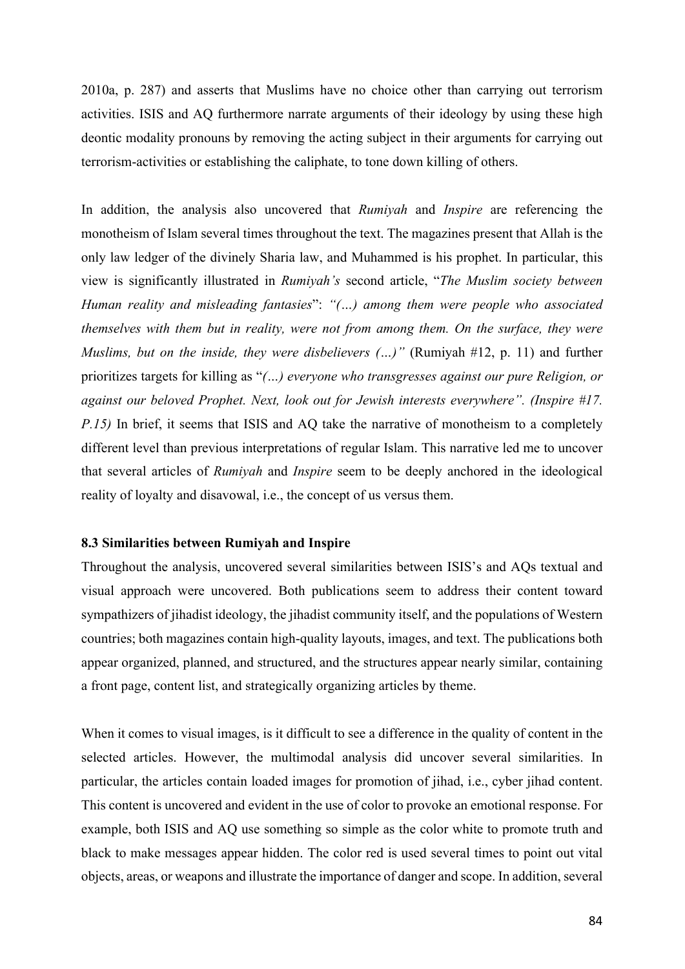2010a, p. 287) and asserts that Muslims have no choice other than carrying out terrorism activities. ISIS and AQ furthermore narrate arguments of their ideology by using these high deontic modality pronouns by removing the acting subject in their arguments for carrying out terrorism-activities or establishing the caliphate, to tone down killing of others.

In addition, the analysis also uncovered that *Rumiyah* and *Inspire* are referencing the monotheism of Islam several times throughout the text. The magazines present that Allah is the only law ledger of the divinely Sharia law, and Muhammed is his prophet. In particular, this view is significantly illustrated in *Rumiyah's* second article, "*The Muslim society between Human reality and misleading fantasies*": *"(…) among them were people who associated themselves with them but in reality, were not from among them. On the surface, they were Muslims, but on the inside, they were disbelievers (…)"* (Rumiyah #12, p. 11) and further prioritizes targets for killing as "*(…) everyone who transgresses against our pure Religion, or against our beloved Prophet. Next, look out for Jewish interests everywhere". (Inspire #17. P.15)* In brief, it seems that ISIS and AQ take the narrative of monotheism to a completely different level than previous interpretations of regular Islam. This narrative led me to uncover that several articles of *Rumiyah* and *Inspire* seem to be deeply anchored in the ideological reality of loyalty and disavowal, i.e., the concept of us versus them.

#### **8.3 Similarities between Rumiyah and Inspire**

Throughout the analysis, uncovered several similarities between ISIS's and AQs textual and visual approach were uncovered. Both publications seem to address their content toward sympathizers of jihadist ideology, the jihadist community itself, and the populations of Western countries; both magazines contain high-quality layouts, images, and text. The publications both appear organized, planned, and structured, and the structures appear nearly similar, containing a front page, content list, and strategically organizing articles by theme.

When it comes to visual images, is it difficult to see a difference in the quality of content in the selected articles. However, the multimodal analysis did uncover several similarities. In particular, the articles contain loaded images for promotion of jihad, i.e., cyber jihad content. This content is uncovered and evident in the use of color to provoke an emotional response. For example, both ISIS and AQ use something so simple as the color white to promote truth and black to make messages appear hidden. The color red is used several times to point out vital objects, areas, or weapons and illustrate the importance of danger and scope. In addition, several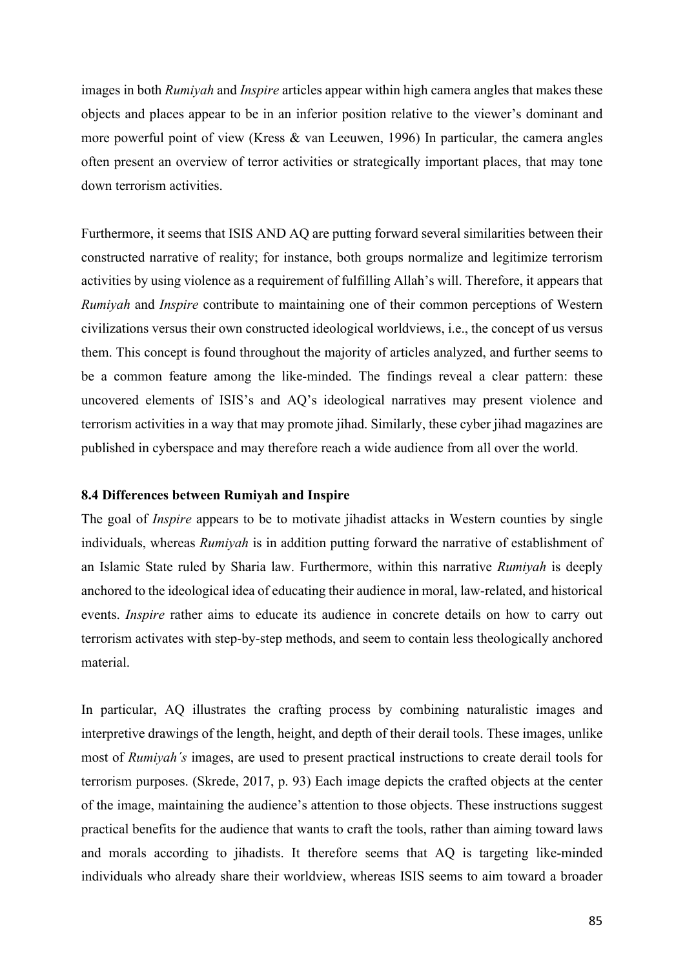images in both *Rumiyah* and *Inspire* articles appear within high camera angles that makes these objects and places appear to be in an inferior position relative to the viewer's dominant and more powerful point of view (Kress & van Leeuwen, 1996) In particular, the camera angles often present an overview of terror activities or strategically important places, that may tone down terrorism activities.

Furthermore, it seems that ISIS AND AQ are putting forward several similarities between their constructed narrative of reality; for instance, both groups normalize and legitimize terrorism activities by using violence as a requirement of fulfilling Allah's will. Therefore, it appears that *Rumiyah* and *Inspire* contribute to maintaining one of their common perceptions of Western civilizations versus their own constructed ideological worldviews, i.e., the concept of us versus them. This concept is found throughout the majority of articles analyzed, and further seems to be a common feature among the like-minded. The findings reveal a clear pattern: these uncovered elements of ISIS's and AQ's ideological narratives may present violence and terrorism activities in a way that may promote jihad. Similarly, these cyber jihad magazines are published in cyberspace and may therefore reach a wide audience from all over the world.

#### **8.4 Differences between Rumiyah and Inspire**

The goal of *Inspire* appears to be to motivate jihadist attacks in Western counties by single individuals, whereas *Rumiyah* is in addition putting forward the narrative of establishment of an Islamic State ruled by Sharia law. Furthermore, within this narrative *Rumiyah* is deeply anchored to the ideological idea of educating their audience in moral, law-related, and historical events. *Inspire* rather aims to educate its audience in concrete details on how to carry out terrorism activates with step-by-step methods, and seem to contain less theologically anchored material.

In particular, AQ illustrates the crafting process by combining naturalistic images and interpretive drawings of the length, height, and depth of their derail tools. These images, unlike most of *Rumiyah´s* images, are used to present practical instructions to create derail tools for terrorism purposes. (Skrede, 2017, p. 93) Each image depicts the crafted objects at the center of the image, maintaining the audience's attention to those objects. These instructions suggest practical benefits for the audience that wants to craft the tools, rather than aiming toward laws and morals according to jihadists. It therefore seems that AQ is targeting like-minded individuals who already share their worldview, whereas ISIS seems to aim toward a broader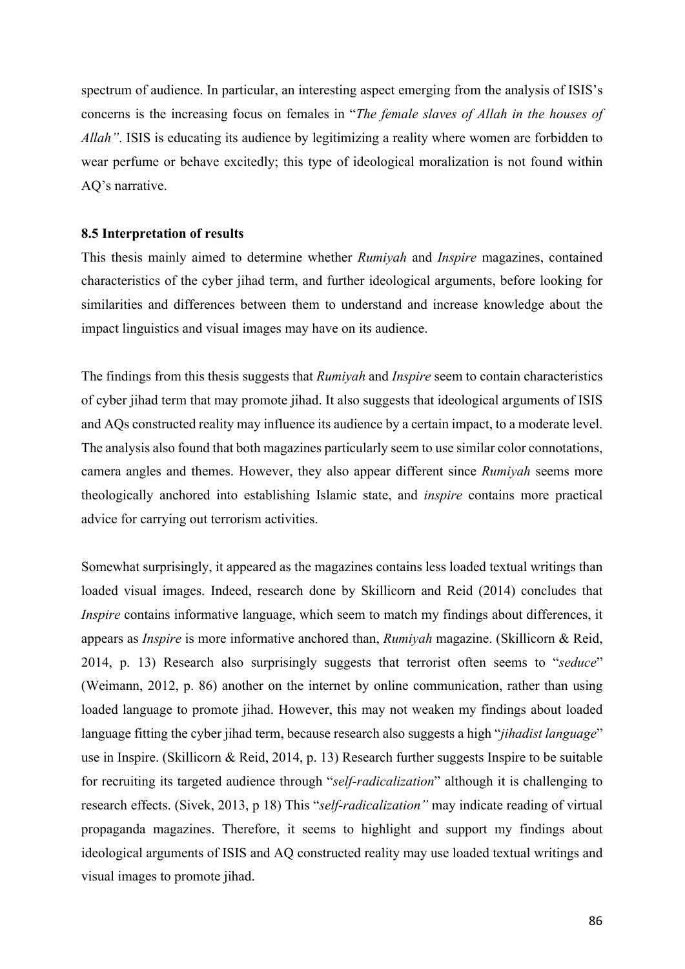spectrum of audience. In particular, an interesting aspect emerging from the analysis of ISIS's concerns is the increasing focus on females in "*The female slaves of Allah in the houses of Allah"*. ISIS is educating its audience by legitimizing a reality where women are forbidden to wear perfume or behave excitedly; this type of ideological moralization is not found within AQ's narrative.

#### **8.5 Interpretation of results**

This thesis mainly aimed to determine whether *Rumiyah* and *Inspire* magazines, contained characteristics of the cyber jihad term, and further ideological arguments, before looking for similarities and differences between them to understand and increase knowledge about the impact linguistics and visual images may have on its audience.

The findings from this thesis suggests that *Rumiyah* and *Inspire* seem to contain characteristics of cyber jihad term that may promote jihad. It also suggests that ideological arguments of ISIS and AQs constructed reality may influence its audience by a certain impact, to a moderate level. The analysis also found that both magazines particularly seem to use similar color connotations, camera angles and themes. However, they also appear different since *Rumiyah* seems more theologically anchored into establishing Islamic state, and *inspire* contains more practical advice for carrying out terrorism activities.

Somewhat surprisingly, it appeared as the magazines contains less loaded textual writings than loaded visual images. Indeed, research done by Skillicorn and Reid (2014) concludes that *Inspire* contains informative language, which seem to match my findings about differences, it appears as *Inspire* is more informative anchored than, *Rumiyah* magazine. (Skillicorn & Reid, 2014, p. 13) Research also surprisingly suggests that terrorist often seems to "*seduce*" (Weimann, 2012, p. 86) another on the internet by online communication, rather than using loaded language to promote jihad. However, this may not weaken my findings about loaded language fitting the cyber jihad term, because research also suggests a high "*jihadist language*" use in Inspire. (Skillicorn & Reid, 2014, p. 13) Research further suggests Inspire to be suitable for recruiting its targeted audience through "*self-radicalization*" although it is challenging to research effects. (Sivek, 2013, p 18) This "*self-radicalization"* may indicate reading of virtual propaganda magazines. Therefore, it seems to highlight and support my findings about ideological arguments of ISIS and AQ constructed reality may use loaded textual writings and visual images to promote jihad.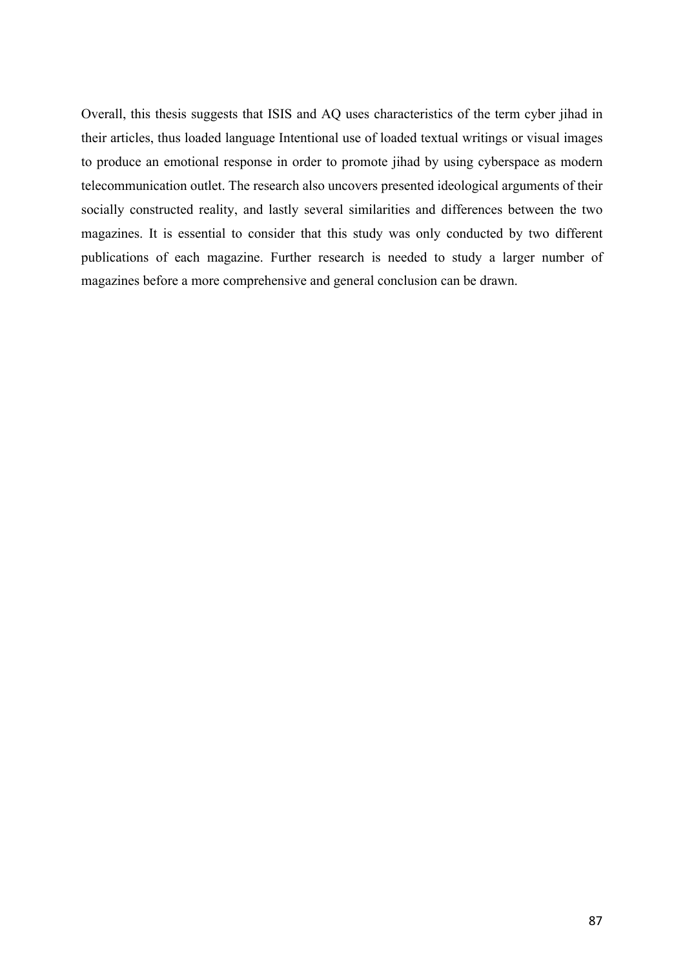Overall, this thesis suggests that ISIS and AQ uses characteristics of the term cyber jihad in their articles, thus loaded language Intentional use of loaded textual writings or visual images to produce an emotional response in order to promote jihad by using cyberspace as modern telecommunication outlet. The research also uncovers presented ideological arguments of their socially constructed reality, and lastly several similarities and differences between the two magazines. It is essential to consider that this study was only conducted by two different publications of each magazine. Further research is needed to study a larger number of magazines before a more comprehensive and general conclusion can be drawn.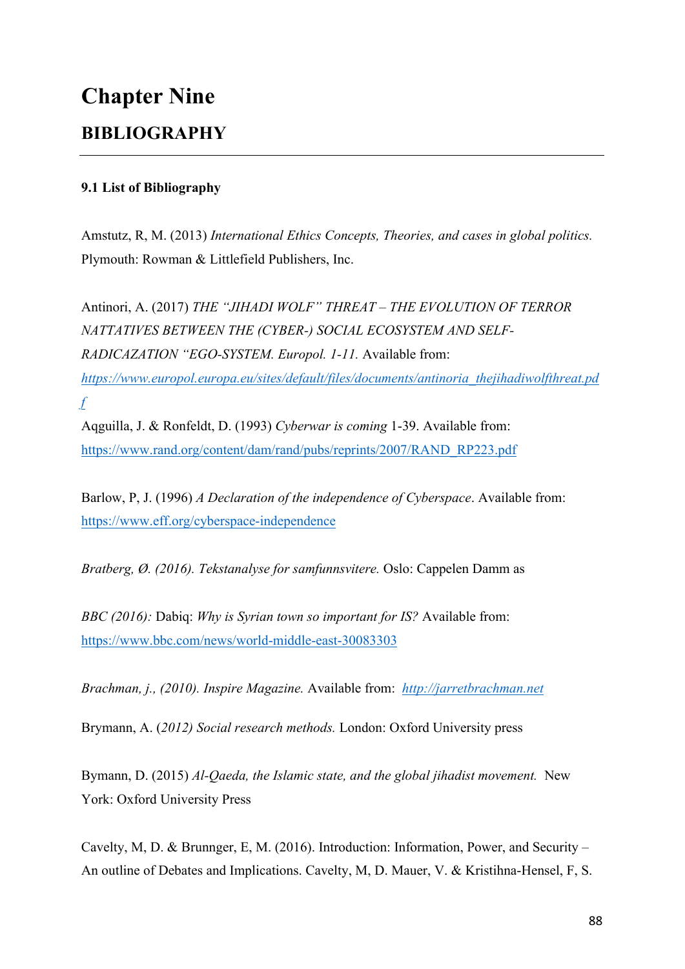# **Chapter Nine BIBLIOGRAPHY**

# **9.1 List of Bibliography**

Amstutz, R, M. (2013) *International Ethics Concepts, Theories, and cases in global politics.*  Plymouth: Rowman & Littlefield Publishers, Inc.

Antinori, A. (2017) *THE "JIHADI WOLF" THREAT – THE EVOLUTION OF TERROR NATTATIVES BETWEEN THE (CYBER-) SOCIAL ECOSYSTEM AND SELF-RADICAZATION "EGO-SYSTEM. Europol. 1-11.* Available from: *https://www.europol.europa.eu/sites/default/files/documents/antinoria\_thejihadiwolfthreat.pd f*

Aqguilla, J. & Ronfeldt, D. (1993) *Cyberwar is coming* 1-39. Available from: https://www.rand.org/content/dam/rand/pubs/reprints/2007/RAND\_RP223.pdf

Barlow, P, J. (1996) *A Declaration of the independence of Cyberspace*. Available from: https://www.eff.org/cyberspace-independence

*Bratberg, Ø. (2016). Tekstanalyse for samfunnsvitere.* Oslo: Cappelen Damm as

*BBC (2016):* Dabiq: *Why is Syrian town so important for IS?* Available from: https://www.bbc.com/news/world-middle-east-30083303

*Brachman, j., (2010). Inspire Magazine.* Available from: *http://jarretbrachman.net*

Brymann, A. (*2012) Social research methods.* London: Oxford University press

Bymann, D. (2015) *Al-Qaeda, the Islamic state, and the global jihadist movement.* New York: Oxford University Press

Cavelty, M, D. & Brunnger, E, M. (2016). Introduction: Information, Power, and Security – An outline of Debates and Implications. Cavelty, M, D. Mauer, V. & Kristihna-Hensel, F, S.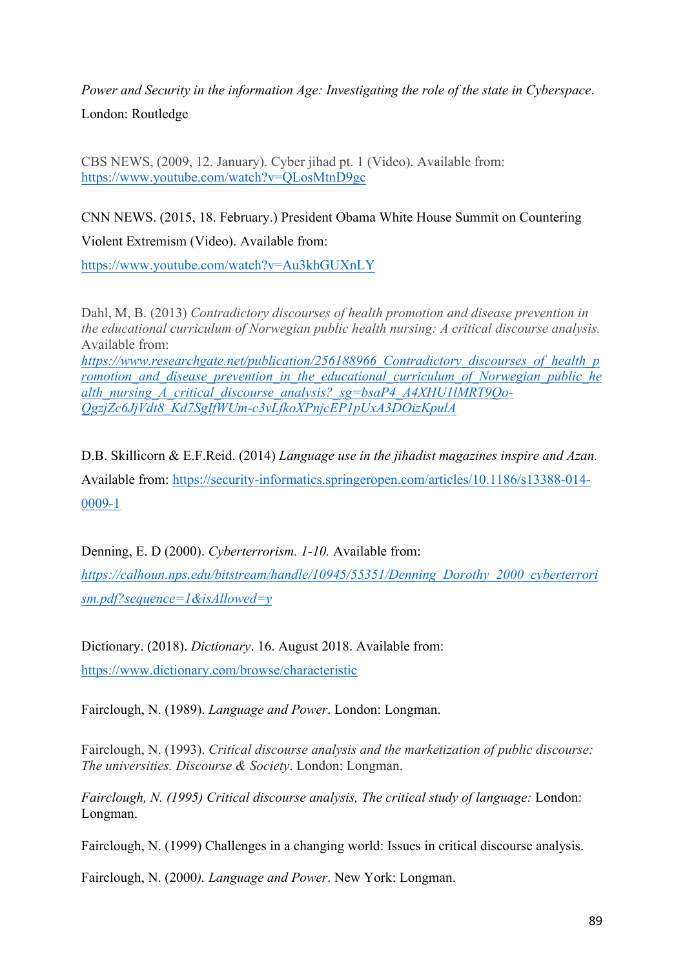*Power and Security in the information Age: Investigating the role of the state in Cyberspace*. London: Routledge

CBS NEWS, (2009, 12. January). Cyber jihad pt. 1 (Video). Available from: https://www.youtube.com/watch?v=QLosMtnD9gc

CNN NEWS. (2015, 18. February.) President Obama White House Summit on Countering Violent Extremism (Video). Available from:

https://www.youtube.com/watch?v=Au3khGUXnLY

Dahl, M, B. (2013) *Contradictory discourses of health promotion and disease prevention in the educational curriculum of Norwegian public health nursing: A critical discourse analysis.*  Available from: *https://www.researchgate.net/publication/256188966\_Contradictory\_discourses\_of\_health\_p romotion\_and\_disease\_prevention\_in\_the\_educational\_curriculum\_of\_Norwegian\_public\_he alth\_nursing\_A\_critical\_discourse\_analysis?\_sg=bsaP4\_A4XHU1lMRT9Qo-QgzjZc6JjVdt8\_Kd7SgIfWUm-c3vLfkoXPnjcEP1pUxA3DOizKpulA*

D.B. Skillicorn & E.F.Reid. (2014) *Language use in the jihadist magazines inspire and Azan.* Available from: https://security-informatics.springeropen.com/articles/10.1186/s13388-014- 0009-1

Denning, E. D (2000). *Cyberterrorism. 1-10.* Available from:

*https://calhoun.nps.edu/bitstream/handle/10945/55351/Denning\_Dorothy\_2000\_cyberterrori sm.pdf?sequence=1&isAllowed=y*

Dictionary. (2018). *Dictionary*. 16. August 2018. Available from: https://www.dictionary.com/browse/characteristic

Fairclough, N. (1989). *Language and Power*. London: Longman.

Fairclough, N. (1993). *Critical discourse analysis and the marketization of public discourse: The universities. Discourse & Society*. London: Longman.

*Fairclough, N. (1995) Critical discourse analysis, The critical study of language:* London: Longman.

Fairclough, N. (1999) Challenges in a changing world: Issues in critical discourse analysis.

Fairclough, N. (2000*). Language and Power*. New York: Longman.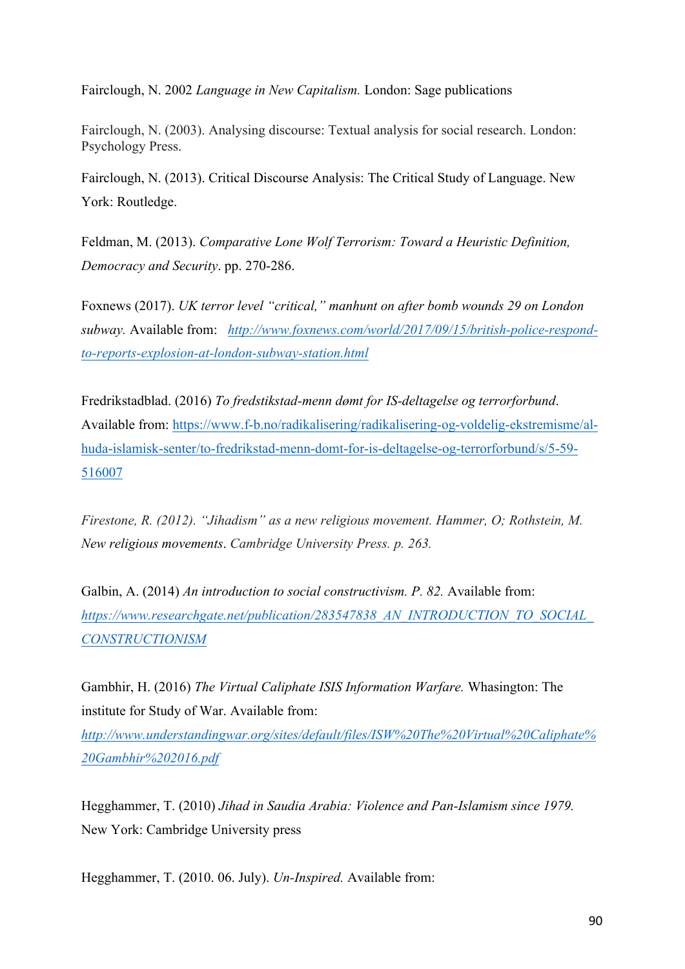Fairclough, N. 2002 *Language in New Capitalism.* London: Sage publications

Fairclough, N. (2003). Analysing discourse: Textual analysis for social research. London: Psychology Press.

Fairclough, N. (2013). Critical Discourse Analysis: The Critical Study of Language. New York: Routledge.

Feldman, M. (2013). *Comparative Lone Wolf Terrorism: Toward a Heuristic Definition, Democracy and Security*. pp. 270-286.

Foxnews (2017). *UK terror level "critical," manhunt on after bomb wounds 29 on London subway.* Available from: *http://www.foxnews.com/world/2017/09/15/british-police-respondto-reports-explosion-at-london-subway-station.html*

Fredrikstadblad. (2016) *To fredstikstad-menn dømt for IS-deltagelse og terrorforbund*. Available from: https://www.f-b.no/radikalisering/radikalisering-og-voldelig-ekstremisme/alhuda-islamisk-senter/to-fredrikstad-menn-domt-for-is-deltagelse-og-terrorforbund/s/5-59- 516007

*Firestone, R. (2012). "Jihadism" as a new religious movement. Hammer, O; Rothstein, M. New religious movements*. *Cambridge University Press. p. 263.*

Galbin, A. (2014) *An introduction to social constructivism. P. 82.* Available from: *https://www.researchgate.net/publication/283547838\_AN\_INTRODUCTION\_TO\_SOCIAL\_ CONSTRUCTIONISM*

Gambhir, H. (2016) *The Virtual Caliphate ISIS Information Warfare.* Whasington: The institute for Study of War. Available from:

*http://www.understandingwar.org/sites/default/files/ISW%20The%20Virtual%20Caliphate% 20Gambhir%202016.pdf*

Hegghammer, T. (2010) *Jihad in Saudia Arabia: Violence and Pan-Islamism since 1979.*  New York: Cambridge University press

Hegghammer, T. (2010. 06. July). *Un-Inspired.* Available from: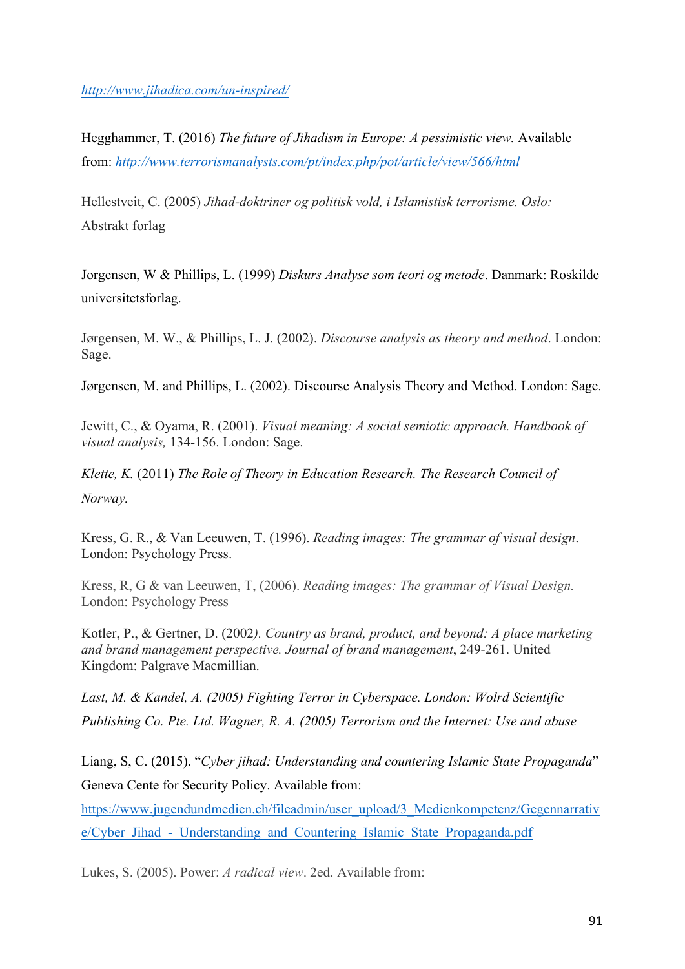*http://www.jihadica.com/un-inspired/*

Hegghammer, T. (2016) *The future of Jihadism in Europe: A pessimistic view.* Available from: *http://www.terrorismanalysts.com/pt/index.php/pot/article/view/566/html*

Hellestveit, C. (2005) *Jihad-doktriner og politisk vold, i Islamistisk terrorisme. Oslo:*  Abstrakt forlag

Jorgensen, W & Phillips, L. (1999) *Diskurs Analyse som teori og metode*. Danmark: Roskilde universitetsforlag.

Jørgensen, M. W., & Phillips, L. J. (2002). *Discourse analysis as theory and method*. London: Sage.

Jørgensen, M. and Phillips, L. (2002). Discourse Analysis Theory and Method. London: Sage.

Jewitt, C., & Oyama, R. (2001). *Visual meaning: A social semiotic approach. Handbook of visual analysis,* 134-156. London: Sage.

*Klette, K.* (2011) *The Role of Theory in Education Research. The Research Council of Norway.*

Kress, G. R., & Van Leeuwen, T. (1996). *Reading images: The grammar of visual design*. London: Psychology Press.

Kress, R, G & van Leeuwen, T, (2006). *Reading images: The grammar of Visual Design.*  London: Psychology Press

Kotler, P., & Gertner, D. (2002*). Country as brand, product, and beyond: A place marketing and brand management perspective. Journal of brand management*, 249-261. United Kingdom: Palgrave Macmillian.

*Last, M. & Kandel, A. (2005) Fighting Terror in Cyberspace. London: Wolrd Scientific Publishing Co. Pte. Ltd. Wagner, R. A. (2005) Terrorism and the Internet: Use and abuse*

Liang, S, C. (2015). "*Cyber jihad: Understanding and countering Islamic State Propaganda*" Geneva Cente for Security Policy. Available from:

https://www.jugendundmedien.ch/fileadmin/user\_upload/3\_Medienkompetenz/Gegennarrativ e/Cyber\_Jihad - Understanding\_and\_Countering\_Islamic\_State\_Propaganda.pdf

Lukes, S. (2005). Power: *A radical view*. 2ed. Available from: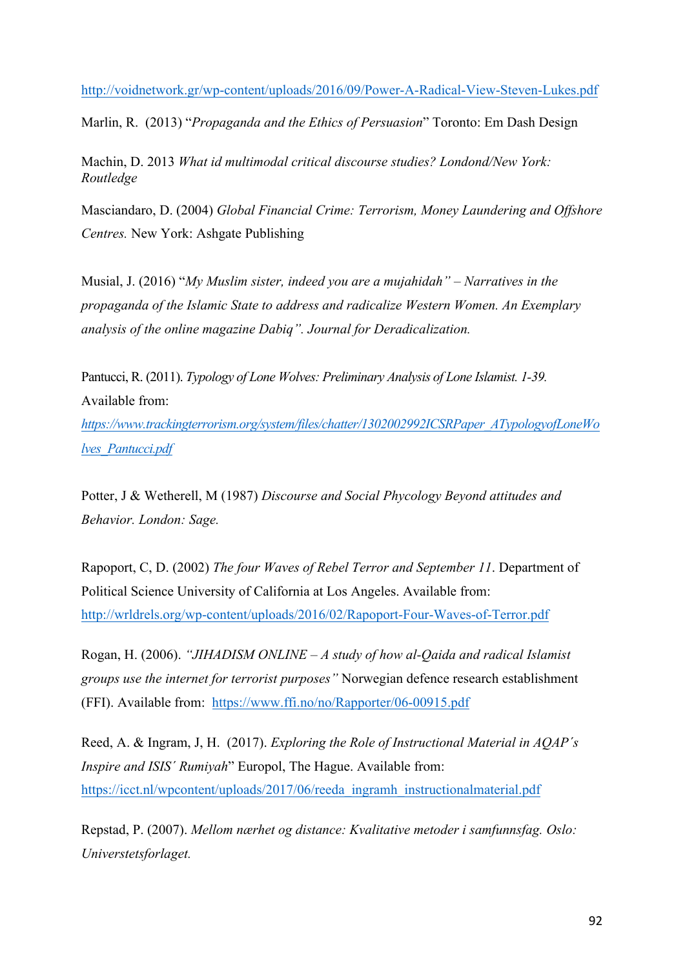http://voidnetwork.gr/wp-content/uploads/2016/09/Power-A-Radical-View-Steven-Lukes.pdf

Marlin, R. (2013) "*Propaganda and the Ethics of Persuasion*" Toronto: Em Dash Design

Machin, D. 2013 *What id multimodal critical discourse studies? Londond/New York: Routledge*

Masciandaro, D. (2004) *Global Financial Crime: Terrorism, Money Laundering and Offshore Centres.* New York: Ashgate Publishing

Musial, J. (2016) "*My Muslim sister, indeed you are a mujahidah" – Narratives in the propaganda of the Islamic State to address and radicalize Western Women. An Exemplary analysis of the online magazine Dabiq". Journal for Deradicalization.* 

Pantucci, R. (2011). *Typology of Lone Wolves: Preliminary Analysis of Lone Islamist. 1-39.*  Available from:

*https://www.trackingterrorism.org/system/files/chatter/1302002992ICSRPaper\_ATypologyofLoneWo lves\_Pantucci.pdf*

Potter, J & Wetherell, M (1987) *Discourse and Social Phycology Beyond attitudes and Behavior. London: Sage.*

Rapoport, C, D. (2002) *The four Waves of Rebel Terror and September 11*. Department of Political Science University of California at Los Angeles. Available from: http://wrldrels.org/wp-content/uploads/2016/02/Rapoport-Four-Waves-of-Terror.pdf

Rogan, H. (2006). *"JIHADISM ONLINE – A study of how al-Qaida and radical Islamist groups use the internet for terrorist purposes"* Norwegian defence research establishment (FFI). Available from: https://www.ffi.no/no/Rapporter/06-00915.pdf

Reed, A. & Ingram, J, H. (2017). *Exploring the Role of Instructional Material in AQAP´s Inspire and ISIS´ Rumiyah*" Europol, The Hague. Available from: https://icct.nl/wpcontent/uploads/2017/06/reeda\_ingramh\_instructionalmaterial.pdf

Repstad, P. (2007). *Mellom nærhet og distance: Kvalitative metoder i samfunnsfag. Oslo: Universtetsforlaget.*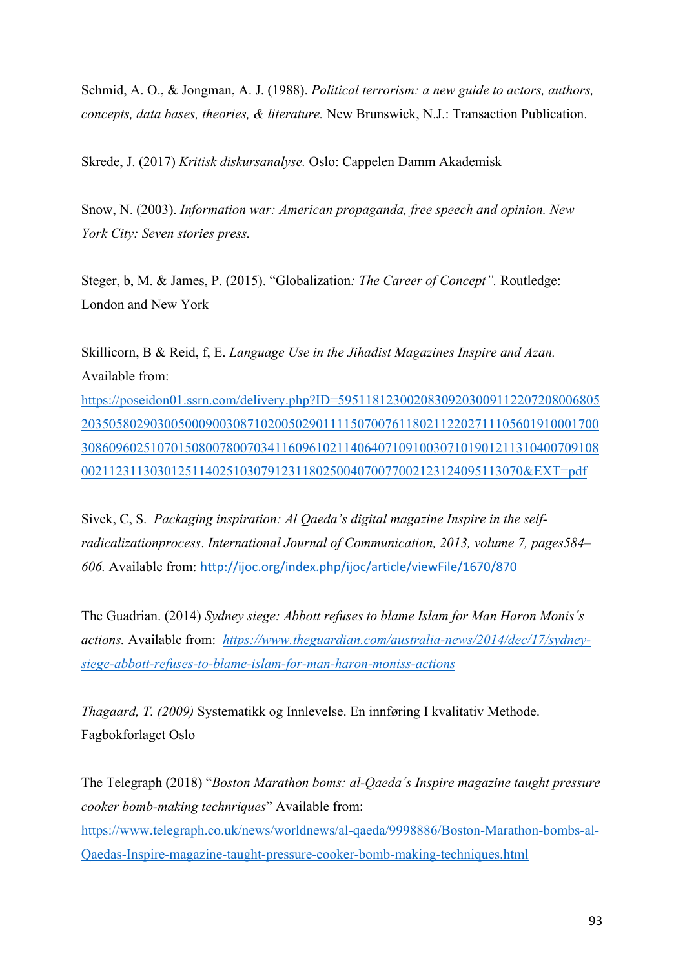Schmid, A. O., & Jongman, A. J. (1988). *Political terrorism: a new guide to actors, authors, concepts, data bases, theories, & literature.* New Brunswick, N.J.: Transaction Publication.

Skrede, J. (2017) *Kritisk diskursanalyse.* Oslo: Cappelen Damm Akademisk

Snow, N. (2003). *Information war: American propaganda, free speech and opinion. New York City: Seven stories press.*

Steger, b, M. & James, P. (2015). "Globalization*: The Career of Concept".* Routledge: London and New York

Skillicorn, B & Reid, f, E. *Language Use in the Jihadist Magazines Inspire and Azan.*  Available from:

https://poseidon01.ssrn.com/delivery.php?ID=59511812300208309203009112207208006805 203505802903005000900308710200502901111507007611802112202711105601910001700 308609602510701508007800703411609610211406407109100307101901211310400709108 0021123113030125114025103079123118025004070077002123124095113070&EXT=pdf

Sivek, C, S. *Packaging inspiration: Al Qaeda's digital magazine Inspire in the selfradicalizationprocess*. *International Journal of Communication, 2013, volume 7, pages584– 606.* Available from: http://ijoc.org/index.php/ijoc/article/viewFile/1670/870

The Guadrian. (2014) *Sydney siege: Abbott refuses to blame Islam for Man Haron Monis´s actions.* Available from: *https://www.theguardian.com/australia-news/2014/dec/17/sydneysiege-abbott-refuses-to-blame-islam-for-man-haron-moniss-actions*

*Thagaard, T. (2009)* Systematikk og Innlevelse. En innføring I kvalitativ Methode. Fagbokforlaget Oslo

The Telegraph (2018) "*Boston Marathon boms: al-Qaeda´s Inspire magazine taught pressure cooker bomb-making technriques*" Available from: https://www.telegraph.co.uk/news/worldnews/al-qaeda/9998886/Boston-Marathon-bombs-al-Qaedas-Inspire-magazine-taught-pressure-cooker-bomb-making-techniques.html